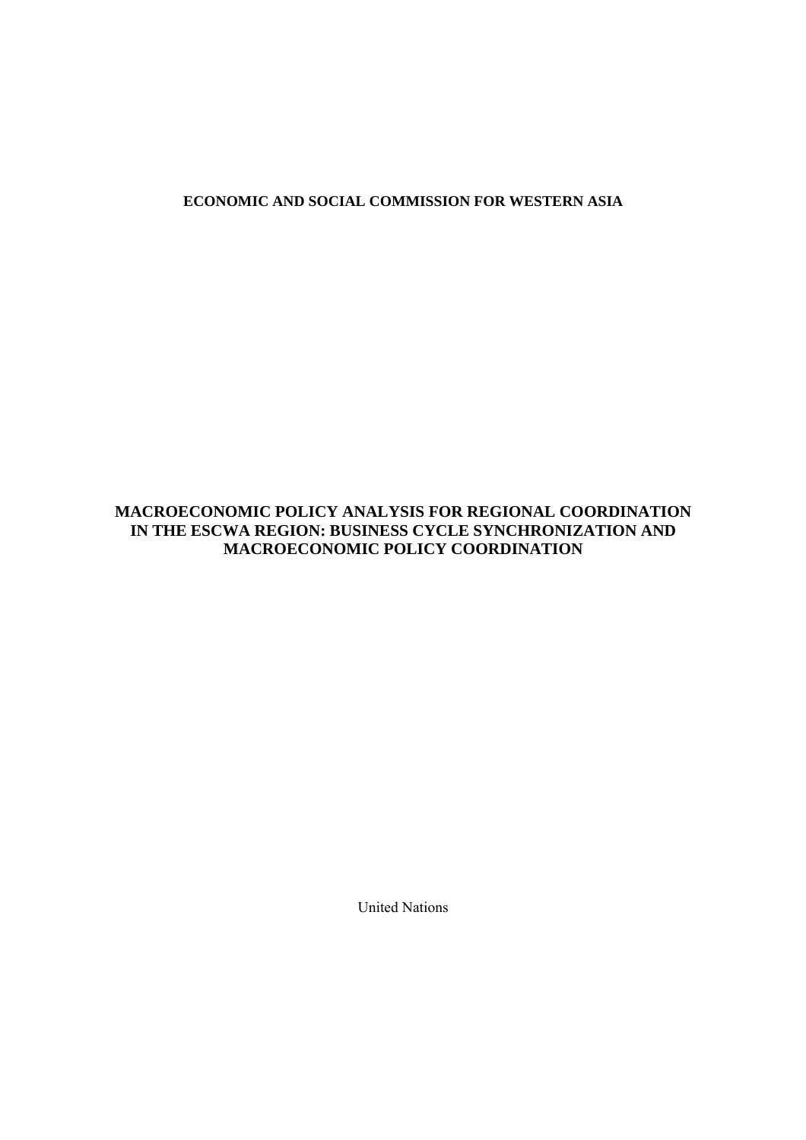# **ECONOMIC AND SOCIAL COMMISSION FOR WESTERN ASIA**

# **MACROECONOMIC POLICY ANALYSIS FOR REGIONAL COORDINATION IN THE ESCWA REGION: BUSINESS CYCLE SYNCHRONIZATION AND MACROECONOMIC POLICY COORDINATION**

United Nations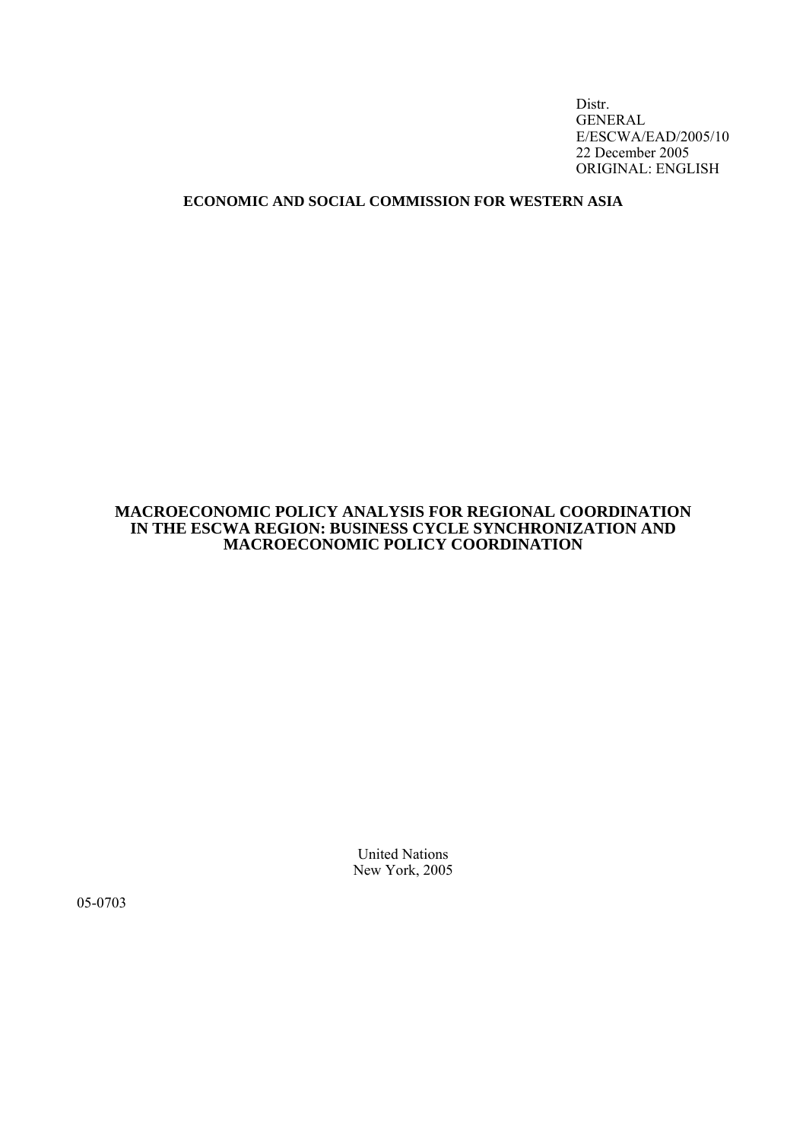Distr. GENERAL E/ESCWA/EAD/2005/10 22 December 2005 ORIGINAL: ENGLISH

# **ECONOMIC AND SOCIAL COMMISSION FOR WESTERN ASIA**

# **MACROECONOMIC POLICY ANALYSIS FOR REGIONAL COORDINATION IN THE ESCWA REGION: BUSINESS CYCLE SYNCHRONIZATION AND MACROECONOMIC POLICY COORDINATION**

United Nations New York, 2005

05-0703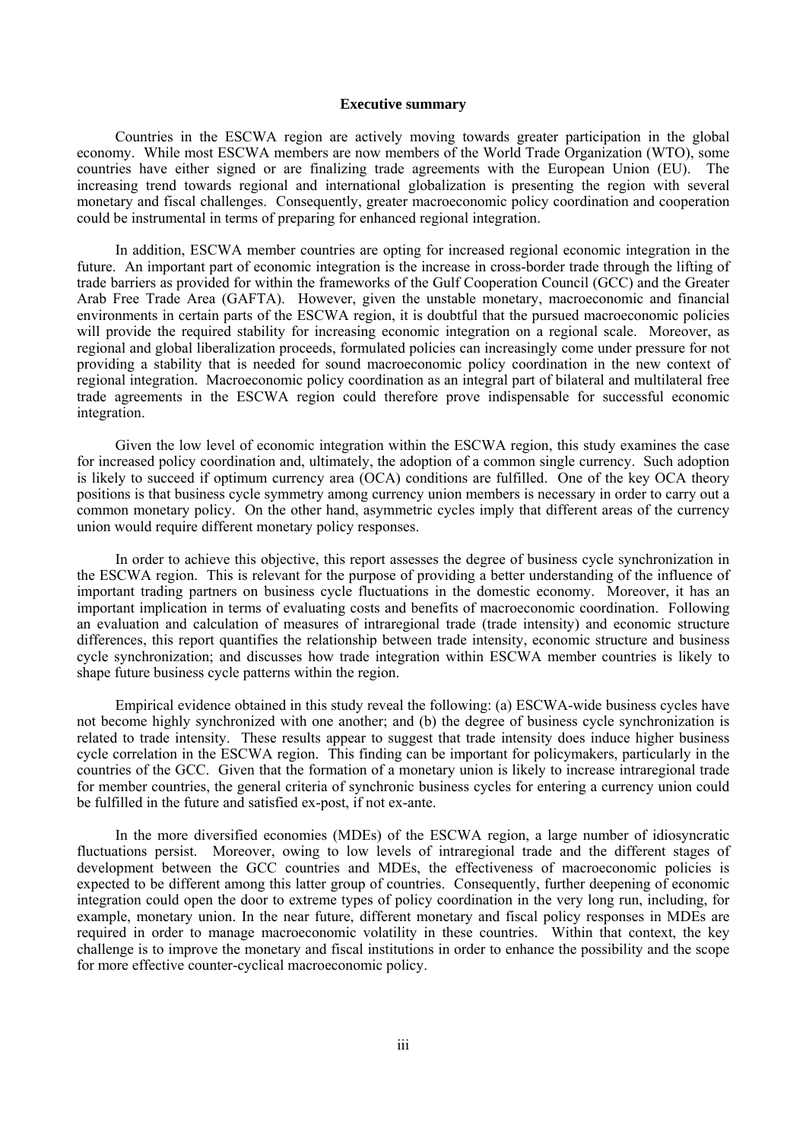#### **Executive summary**

 Countries in the ESCWA region are actively moving towards greater participation in the global economy. While most ESCWA members are now members of the World Trade Organization (WTO), some countries have either signed or are finalizing trade agreements with the European Union (EU). The increasing trend towards regional and international globalization is presenting the region with several monetary and fiscal challenges. Consequently, greater macroeconomic policy coordination and cooperation could be instrumental in terms of preparing for enhanced regional integration.

 In addition, ESCWA member countries are opting for increased regional economic integration in the future. An important part of economic integration is the increase in cross-border trade through the lifting of trade barriers as provided for within the frameworks of the Gulf Cooperation Council (GCC) and the Greater Arab Free Trade Area (GAFTA). However, given the unstable monetary, macroeconomic and financial environments in certain parts of the ESCWA region, it is doubtful that the pursued macroeconomic policies will provide the required stability for increasing economic integration on a regional scale. Moreover, as regional and global liberalization proceeds, formulated policies can increasingly come under pressure for not providing a stability that is needed for sound macroeconomic policy coordination in the new context of regional integration. Macroeconomic policy coordination as an integral part of bilateral and multilateral free trade agreements in the ESCWA region could therefore prove indispensable for successful economic integration.

 Given the low level of economic integration within the ESCWA region, this study examines the case for increased policy coordination and, ultimately, the adoption of a common single currency. Such adoption is likely to succeed if optimum currency area (OCA) conditions are fulfilled. One of the key OCA theory positions is that business cycle symmetry among currency union members is necessary in order to carry out a common monetary policy. On the other hand, asymmetric cycles imply that different areas of the currency union would require different monetary policy responses.

 In order to achieve this objective, this report assesses the degree of business cycle synchronization in the ESCWA region. This is relevant for the purpose of providing a better understanding of the influence of important trading partners on business cycle fluctuations in the domestic economy. Moreover, it has an important implication in terms of evaluating costs and benefits of macroeconomic coordination. Following an evaluation and calculation of measures of intraregional trade (trade intensity) and economic structure differences, this report quantifies the relationship between trade intensity, economic structure and business cycle synchronization; and discusses how trade integration within ESCWA member countries is likely to shape future business cycle patterns within the region.

 Empirical evidence obtained in this study reveal the following: (a) ESCWA-wide business cycles have not become highly synchronized with one another; and (b) the degree of business cycle synchronization is related to trade intensity. These results appear to suggest that trade intensity does induce higher business cycle correlation in the ESCWA region. This finding can be important for policymakers, particularly in the countries of the GCC. Given that the formation of a monetary union is likely to increase intraregional trade for member countries, the general criteria of synchronic business cycles for entering a currency union could be fulfilled in the future and satisfied ex-post, if not ex-ante.

 In the more diversified economies (MDEs) of the ESCWA region, a large number of idiosyncratic fluctuations persist. Moreover, owing to low levels of intraregional trade and the different stages of development between the GCC countries and MDEs, the effectiveness of macroeconomic policies is expected to be different among this latter group of countries. Consequently, further deepening of economic integration could open the door to extreme types of policy coordination in the very long run, including, for example, monetary union. In the near future, different monetary and fiscal policy responses in MDEs are required in order to manage macroeconomic volatility in these countries. Within that context, the key challenge is to improve the monetary and fiscal institutions in order to enhance the possibility and the scope for more effective counter-cyclical macroeconomic policy.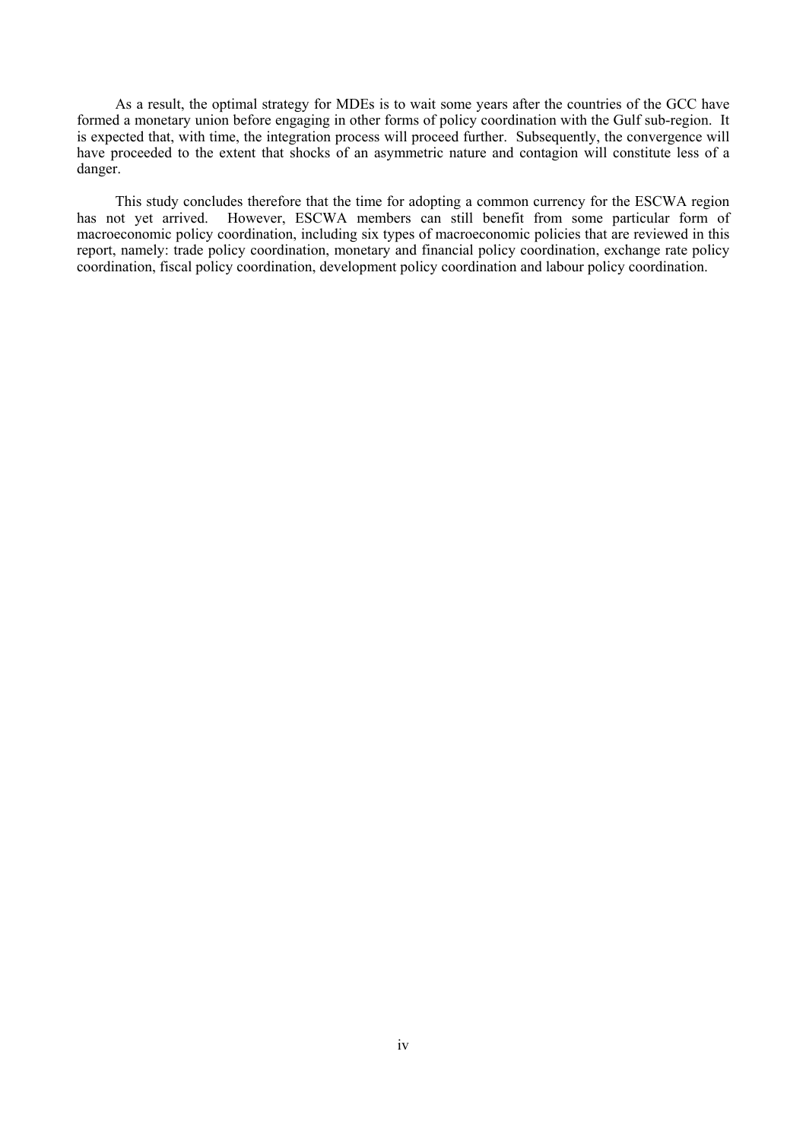As a result, the optimal strategy for MDEs is to wait some years after the countries of the GCC have formed a monetary union before engaging in other forms of policy coordination with the Gulf sub-region. It is expected that, with time, the integration process will proceed further. Subsequently, the convergence will have proceeded to the extent that shocks of an asymmetric nature and contagion will constitute less of a danger.

This study concludes therefore that the time for adopting a common currency for the ESCWA region<br>has not yet arrived. However, ESCWA members can still benefit from some particular form of However, ESCWA members can still benefit from some particular form of macroeconomic policy coordination, including six types of macroeconomic policies that are reviewed in this report, namely: trade policy coordination, monetary and financial policy coordination, exchange rate policy coordination, fiscal policy coordination, development policy coordination and labour policy coordination.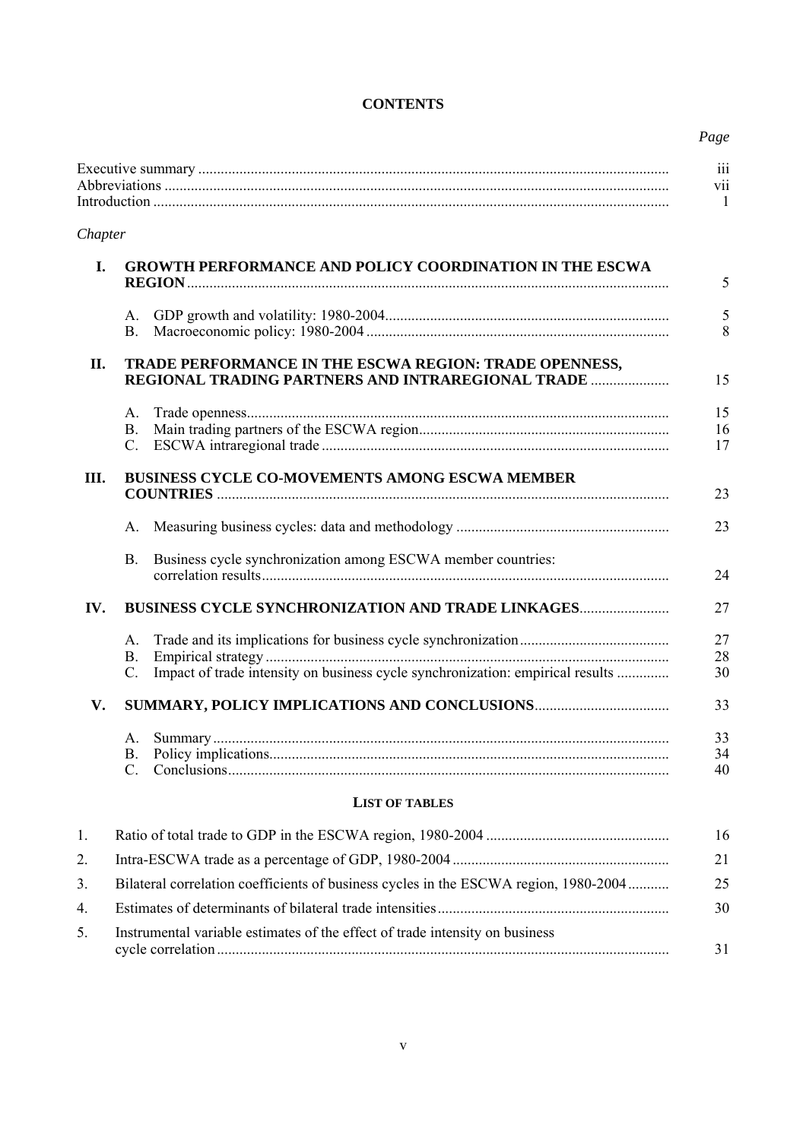# **CONTENTS**

| Chapter |                                                                                                             |
|---------|-------------------------------------------------------------------------------------------------------------|
| I.      | <b>GROWTH PERFORMANCE AND POLICY COORDINATION IN THE ESCWA</b>                                              |
|         | A.<br>B.                                                                                                    |
| II.     | TRADE PERFORMANCE IN THE ESCWA REGION: TRADE OPENNESS,<br>REGIONAL TRADING PARTNERS AND INTRAREGIONAL TRADE |
|         | A.<br><b>B.</b><br>$\mathcal{C}$ .                                                                          |
| Ш.      | <b>BUSINESS CYCLE CO-MOVEMENTS AMONG ESCWA MEMBER</b>                                                       |
|         | A.                                                                                                          |
|         | Business cycle synchronization among ESCWA member countries:<br><b>B.</b>                                   |
| IV.     | <b>BUSINESS CYCLE SYNCHRONIZATION AND TRADE LINKAGES</b>                                                    |
|         | A.<br><b>B.</b>                                                                                             |
|         | Impact of trade intensity on business cycle synchronization: empirical results<br>$\mathcal{C}$ .           |
| V.      |                                                                                                             |
|         | <b>B.</b><br>$\mathcal{C}$ .                                                                                |
|         | <b>LIST OF TABLES</b>                                                                                       |
| 1.      |                                                                                                             |
| 2.      |                                                                                                             |
| 3.      | Bilateral correlation coefficients of business cycles in the ESCWA region, 1980-2004                        |
| 4.      |                                                                                                             |
| 5.      | Instrumental variable estimates of the effect of trade intensity on business                                |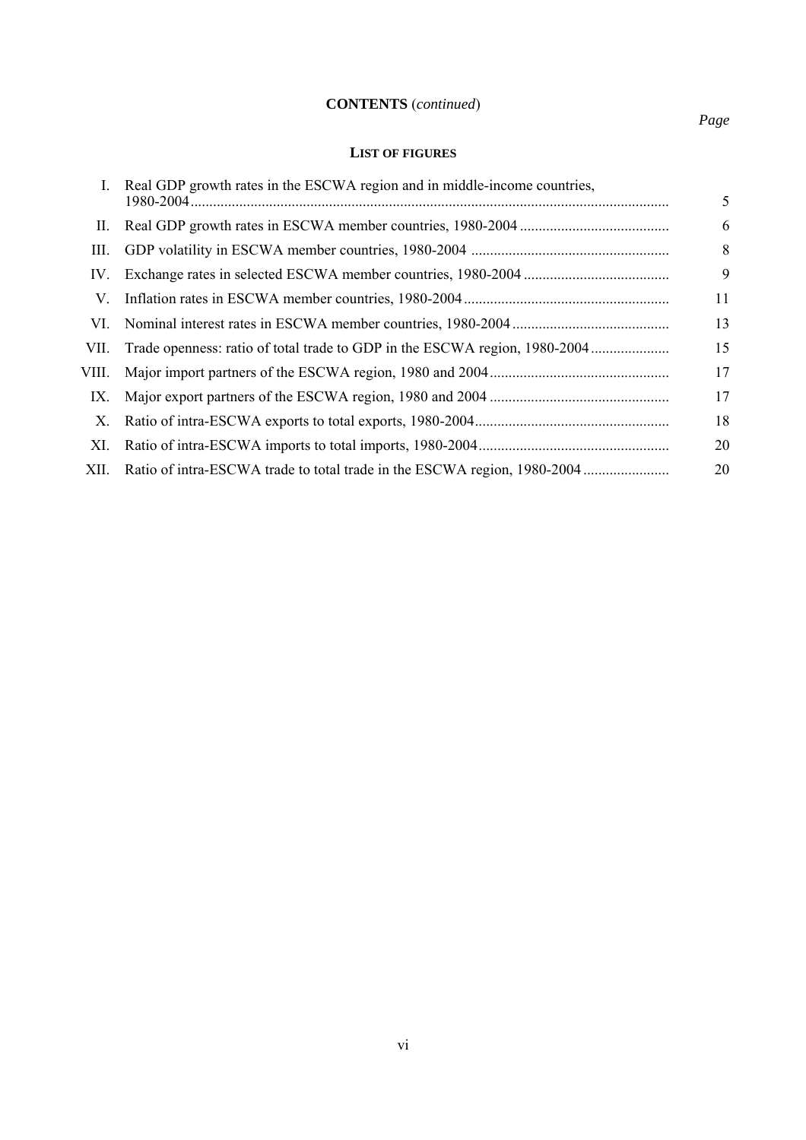# **CONTENTS** (*continued*)

# **LIST OF FIGURES**

|       | Real GDP growth rates in the ESCWA region and in middle-income countries,<br>1980-2004 | 5. |
|-------|----------------------------------------------------------------------------------------|----|
| П.    |                                                                                        | 6  |
| Ш.    |                                                                                        | 8  |
| IV.   |                                                                                        | 9  |
| V.    |                                                                                        | 11 |
| VI.   |                                                                                        | 13 |
| VII.  | Trade openness: ratio of total trade to GDP in the ESCWA region, 1980-2004             | 15 |
| VIII. |                                                                                        | 17 |
| IX.   |                                                                                        | 17 |
| Χ.    |                                                                                        | 18 |
| XI.   |                                                                                        | 20 |
| XII.  |                                                                                        | 20 |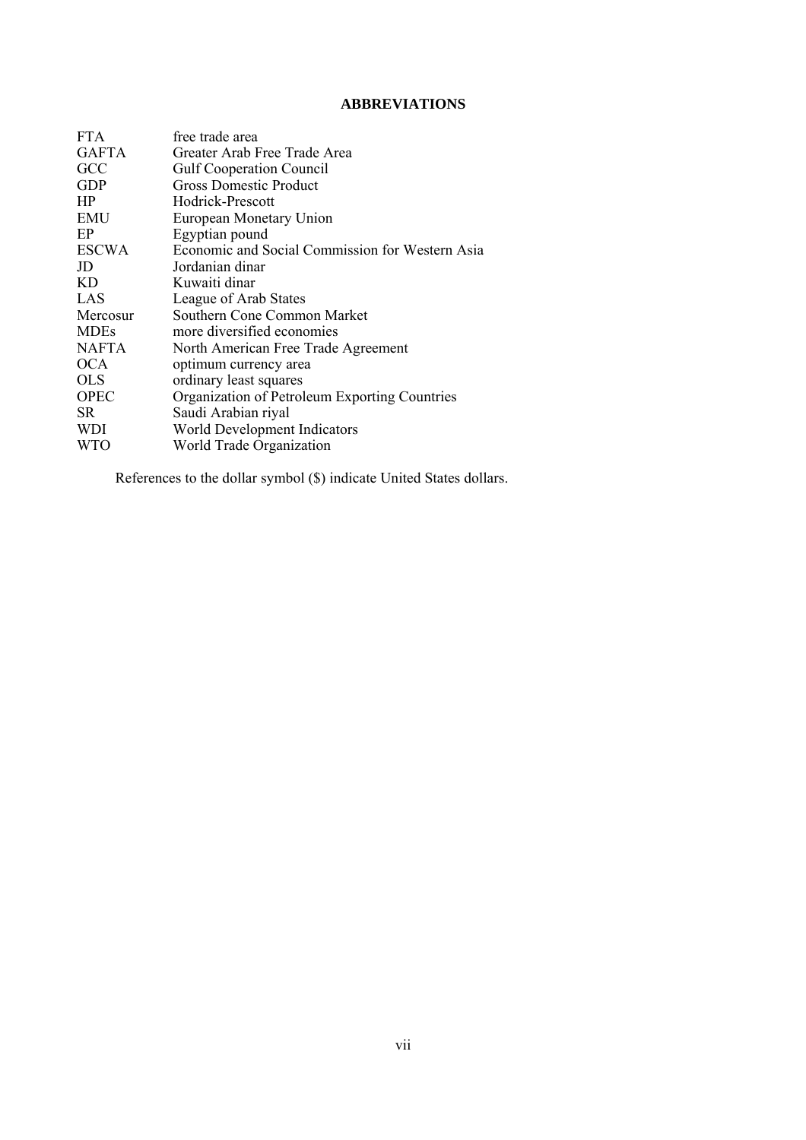# **ABBREVIATIONS**

| <b>FTA</b>   | free trade area                                 |
|--------------|-------------------------------------------------|
| <b>GAFTA</b> | Greater Arab Free Trade Area                    |
| GCC          | <b>Gulf Cooperation Council</b>                 |
| <b>GDP</b>   | <b>Gross Domestic Product</b>                   |
| <b>HP</b>    | Hodrick-Prescott                                |
| <b>EMU</b>   | European Monetary Union                         |
| EP           | Egyptian pound                                  |
| <b>ESCWA</b> | Economic and Social Commission for Western Asia |
| JD           | Jordanian dinar                                 |
| KD.          | Kuwaiti dinar                                   |
| LAS          | League of Arab States                           |
| Mercosur     | Southern Cone Common Market                     |
| <b>MDEs</b>  | more diversified economies                      |
| <b>NAFTA</b> | North American Free Trade Agreement             |
| <b>OCA</b>   | optimum currency area                           |
| <b>OLS</b>   | ordinary least squares                          |
| <b>OPEC</b>  | Organization of Petroleum Exporting Countries   |
| SR           | Saudi Arabian riyal                             |
| WDI          | World Development Indicators                    |
| WTO          | World Trade Organization                        |
|              |                                                 |

References to the dollar symbol (\$) indicate United States dollars.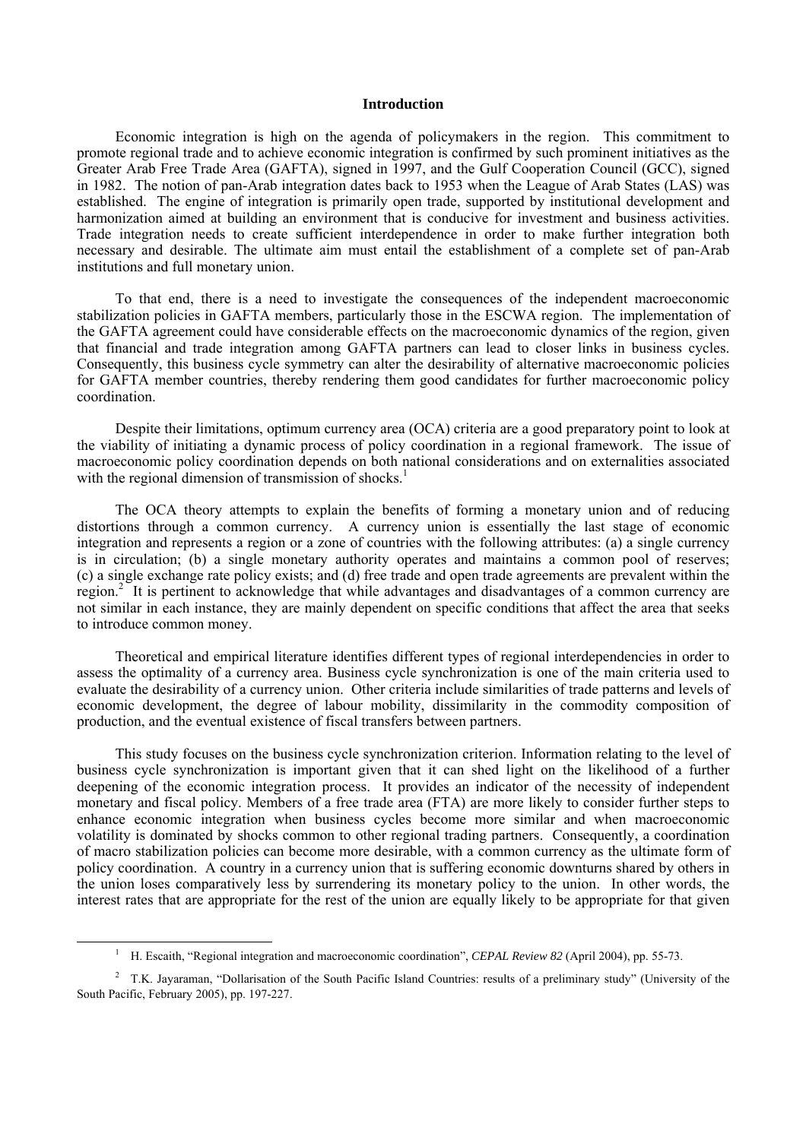#### **Introduction**

 Economic integration is high on the agenda of policymakers in the region. This commitment to promote regional trade and to achieve economic integration is confirmed by such prominent initiatives as the Greater Arab Free Trade Area (GAFTA), signed in 1997, and the Gulf Cooperation Council (GCC), signed in 1982. The notion of pan-Arab integration dates back to 1953 when the League of Arab States (LAS) was established. The engine of integration is primarily open trade, supported by institutional development and harmonization aimed at building an environment that is conducive for investment and business activities. Trade integration needs to create sufficient interdependence in order to make further integration both necessary and desirable. The ultimate aim must entail the establishment of a complete set of pan-Arab institutions and full monetary union.

 To that end, there is a need to investigate the consequences of the independent macroeconomic stabilization policies in GAFTA members, particularly those in the ESCWA region. The implementation of the GAFTA agreement could have considerable effects on the macroeconomic dynamics of the region, given that financial and trade integration among GAFTA partners can lead to closer links in business cycles. Consequently, this business cycle symmetry can alter the desirability of alternative macroeconomic policies for GAFTA member countries, thereby rendering them good candidates for further macroeconomic policy coordination.

 Despite their limitations, optimum currency area (OCA) criteria are a good preparatory point to look at the viability of initiating a dynamic process of policy coordination in a regional framework. The issue of macroeconomic policy coordination depends on both national considerations and on externalities associated with the regional dimension of transmission of shocks.<sup>1</sup>

 The OCA theory attempts to explain the benefits of forming a monetary union and of reducing distortions through a common currency. A currency union is essentially the last stage of economic integration and represents a region or a zone of countries with the following attributes: (a) a single currency is in circulation; (b) a single monetary authority operates and maintains a common pool of reserves; (c) a single exchange rate policy exists; and (d) free trade and open trade agreements are prevalent within the region.<sup>2</sup> It is pertinent to acknowledge that while advantages and disadvantages of a common currency are not similar in each instance, they are mainly dependent on specific conditions that affect the area that seeks to introduce common money.

 Theoretical and empirical literature identifies different types of regional interdependencies in order to assess the optimality of a currency area. Business cycle synchronization is one of the main criteria used to evaluate the desirability of a currency union. Other criteria include similarities of trade patterns and levels of economic development, the degree of labour mobility, dissimilarity in the commodity composition of production, and the eventual existence of fiscal transfers between partners.

 This study focuses on the business cycle synchronization criterion. Information relating to the level of business cycle synchronization is important given that it can shed light on the likelihood of a further deepening of the economic integration process. It provides an indicator of the necessity of independent monetary and fiscal policy. Members of a free trade area (FTA) are more likely to consider further steps to enhance economic integration when business cycles become more similar and when macroeconomic volatility is dominated by shocks common to other regional trading partners. Consequently, a coordination of macro stabilization policies can become more desirable, with a common currency as the ultimate form of policy coordination. A country in a currency union that is suffering economic downturns shared by others in the union loses comparatively less by surrendering its monetary policy to the union. In other words, the interest rates that are appropriate for the rest of the union are equally likely to be appropriate for that given

 $\frac{1}{1}$ <sup>1</sup> H. Escaith, "Regional integration and macroeconomic coordination", *CEPAL Review 82* (April 2004), pp. 55-73.

<sup>&</sup>lt;sup>2</sup> T.K. Jayaraman, "Dollarisation of the South Pacific Island Countries: results of a preliminary study" (University of the South Pacific, February 2005), pp. 197-227.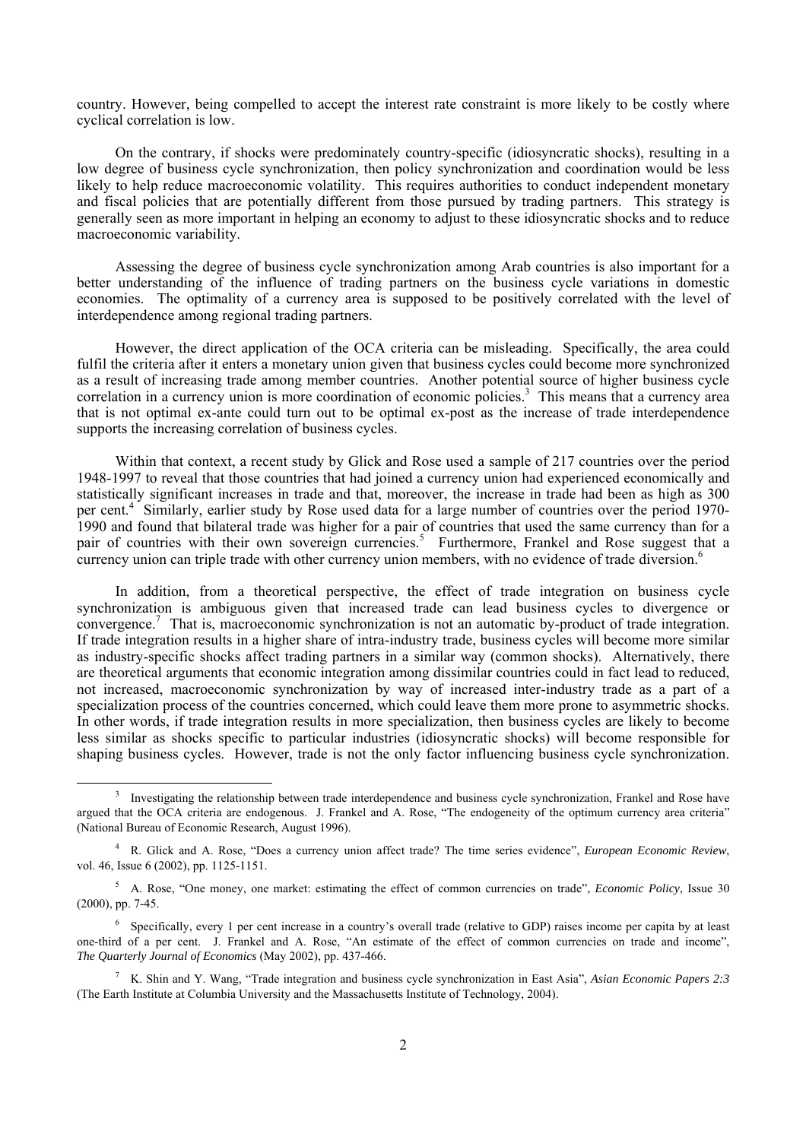country. However, being compelled to accept the interest rate constraint is more likely to be costly where cyclical correlation is low.

 On the contrary, if shocks were predominately country-specific (idiosyncratic shocks), resulting in a low degree of business cycle synchronization, then policy synchronization and coordination would be less likely to help reduce macroeconomic volatility. This requires authorities to conduct independent monetary and fiscal policies that are potentially different from those pursued by trading partners. This strategy is generally seen as more important in helping an economy to adjust to these idiosyncratic shocks and to reduce macroeconomic variability.

 Assessing the degree of business cycle synchronization among Arab countries is also important for a better understanding of the influence of trading partners on the business cycle variations in domestic economies. The optimality of a currency area is supposed to be positively correlated with the level of interdependence among regional trading partners.

 However, the direct application of the OCA criteria can be misleading. Specifically, the area could fulfil the criteria after it enters a monetary union given that business cycles could become more synchronized as a result of increasing trade among member countries. Another potential source of higher business cycle correlation in a currency union is more coordination of economic policies.<sup>3</sup> This means that a currency area that is not optimal ex-ante could turn out to be optimal ex-post as the increase of trade interdependence supports the increasing correlation of business cycles.

 Within that context, a recent study by Glick and Rose used a sample of 217 countries over the period 1948-1997 to reveal that those countries that had joined a currency union had experienced economically and statistically significant increases in trade and that, moreover, the increase in trade had been as high as 300 per cent.<sup>4</sup> Similarly, earlier study by Rose used data for a large number of countries over the period 1970-1990 and found that bilateral trade was higher for a pair of countries that used the same currency than for a pair of countries with their own sovereign currencies.<sup>5</sup> Furthermore, Frankel and Rose suggest that a currency union can triple trade with other currency union members, with no evidence of trade diversion.<sup>6</sup>

 In addition, from a theoretical perspective, the effect of trade integration on business cycle synchronization is ambiguous given that increased trade can lead business cycles to divergence or convergence.<sup>7</sup> That is, macroeconomic synchronization is not an automatic by-product of trade integration. If trade integration results in a higher share of intra-industry trade, business cycles will become more similar as industry-specific shocks affect trading partners in a similar way (common shocks). Alternatively, there are theoretical arguments that economic integration among dissimilar countries could in fact lead to reduced, not increased, macroeconomic synchronization by way of increased inter-industry trade as a part of a specialization process of the countries concerned, which could leave them more prone to asymmetric shocks. In other words, if trade integration results in more specialization, then business cycles are likely to become less similar as shocks specific to particular industries (idiosyncratic shocks) will become responsible for shaping business cycles. However, trade is not the only factor influencing business cycle synchronization.

 $\frac{1}{3}$  $3$  Investigating the relationship between trade interdependence and business cycle synchronization, Frankel and Rose have argued that the OCA criteria are endogenous. J. Frankel and A. Rose, "The endogeneity of the optimum currency area criteria" (National Bureau of Economic Research, August 1996).

<sup>4</sup> R. Glick and A. Rose, "Does a currency union affect trade? The time series evidence", *European Economic Review*, vol. 46, Issue 6 (2002), pp. 1125-1151.

<sup>5</sup> A. Rose, "One money, one market: estimating the effect of common currencies on trade", *Economic Policy*, Issue 30 (2000), pp. 7-45.

<sup>&</sup>lt;sup>6</sup> Specifically, every 1 per cent increase in a country's overall trade (relative to GDP) raises income per capita by at least one-third of a per cent. J. Frankel and A. Rose, "An estimate of the effect of common currencies on trade and income", *The Quarterly Journal of Economics* (May 2002), pp. 437-466.

<sup>7</sup> K. Shin and Y. Wang, "Trade integration and business cycle synchronization in East Asia", *Asian Economic Papers 2:3* (The Earth Institute at Columbia University and the Massachusetts Institute of Technology, 2004).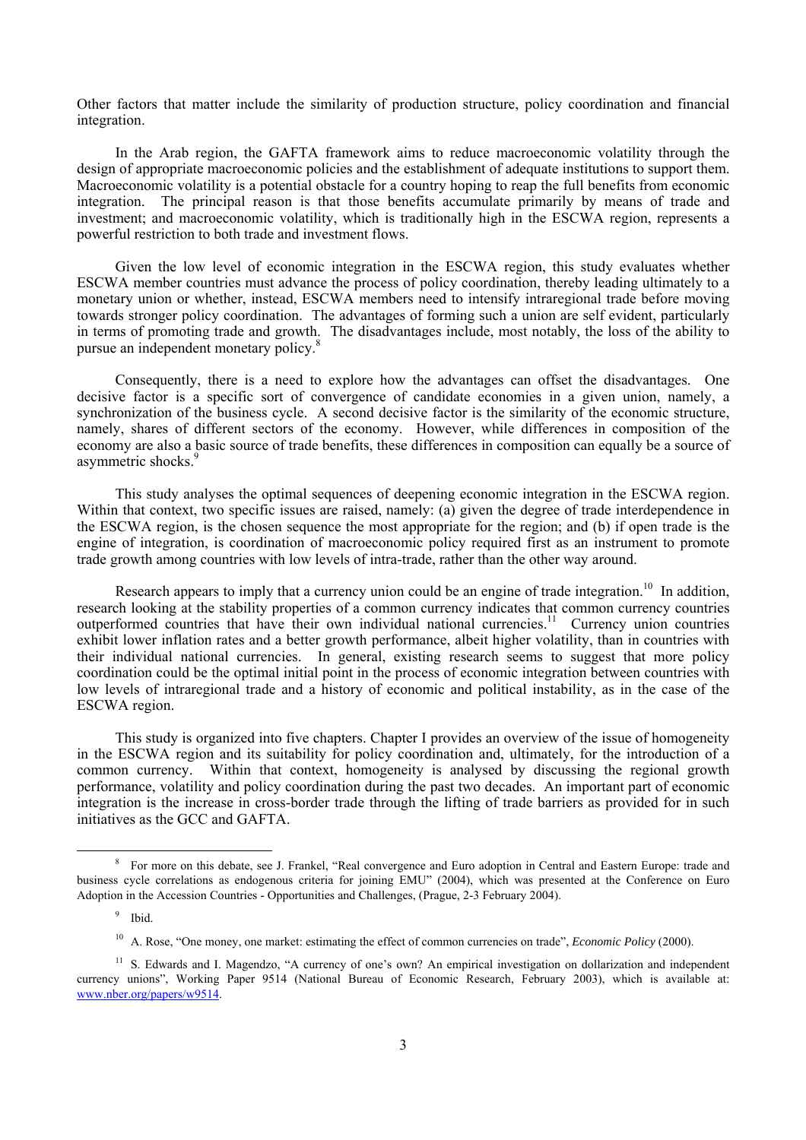Other factors that matter include the similarity of production structure, policy coordination and financial integration.

 In the Arab region, the GAFTA framework aims to reduce macroeconomic volatility through the design of appropriate macroeconomic policies and the establishment of adequate institutions to support them. Macroeconomic volatility is a potential obstacle for a country hoping to reap the full benefits from economic integration. The principal reason is that those benefits accumulate primarily by means of trade and investment; and macroeconomic volatility, which is traditionally high in the ESCWA region, represents a powerful restriction to both trade and investment flows.

 Given the low level of economic integration in the ESCWA region, this study evaluates whether ESCWA member countries must advance the process of policy coordination, thereby leading ultimately to a monetary union or whether, instead, ESCWA members need to intensify intraregional trade before moving towards stronger policy coordination. The advantages of forming such a union are self evident, particularly in terms of promoting trade and growth. The disadvantages include, most notably, the loss of the ability to pursue an independent monetary policy.<sup>8</sup>

 Consequently, there is a need to explore how the advantages can offset the disadvantages. One decisive factor is a specific sort of convergence of candidate economies in a given union, namely, a synchronization of the business cycle. A second decisive factor is the similarity of the economic structure, namely, shares of different sectors of the economy. However, while differences in composition of the economy are also a basic source of trade benefits, these differences in composition can equally be a source of asymmetric shocks.<sup>9</sup>

 This study analyses the optimal sequences of deepening economic integration in the ESCWA region. Within that context, two specific issues are raised, namely: (a) given the degree of trade interdependence in the ESCWA region, is the chosen sequence the most appropriate for the region; and (b) if open trade is the engine of integration, is coordination of macroeconomic policy required first as an instrument to promote trade growth among countries with low levels of intra-trade, rather than the other way around.

Research appears to imply that a currency union could be an engine of trade integration.<sup>10</sup> In addition, research looking at the stability properties of a common currency indicates that common currency countries outperformed countries that have their own individual national currencies.11 Currency union countries exhibit lower inflation rates and a better growth performance, albeit higher volatility, than in countries with their individual national currencies. In general, existing research seems to suggest that more policy coordination could be the optimal initial point in the process of economic integration between countries with low levels of intraregional trade and a history of economic and political instability, as in the case of the ESCWA region.

 This study is organized into five chapters. Chapter I provides an overview of the issue of homogeneity in the ESCWA region and its suitability for policy coordination and, ultimately, for the introduction of a common currency. Within that context, homogeneity is analysed by discussing the regional growth performance, volatility and policy coordination during the past two decades. An important part of economic integration is the increase in cross-border trade through the lifting of trade barriers as provided for in such initiatives as the GCC and GAFTA.

 $\frac{1}{8}$ <sup>8</sup> For more on this debate, see J. Frankel, "Real convergence and Euro adoption in Central and Eastern Europe: trade and business cycle correlations as endogenous criteria for joining EMU" (2004), which was presented at the Conference on Euro Adoption in the Accession Countries - Opportunities and Challenges, (Prague, 2-3 February 2004).

<sup>&</sup>lt;sup>9</sup> Ibid.

<sup>&</sup>lt;sup>10</sup> A. Rose, "One money, one market: estimating the effect of common currencies on trade", *Economic Policy* (2000).

<sup>&</sup>lt;sup>11</sup> S. Edwards and I. Magendzo, "A currency of one's own? An empirical investigation on dollarization and independent currency unions", Working Paper 9514 (National Bureau of Economic Research, February 2003), which is available at: www.nber.org/papers/w9514.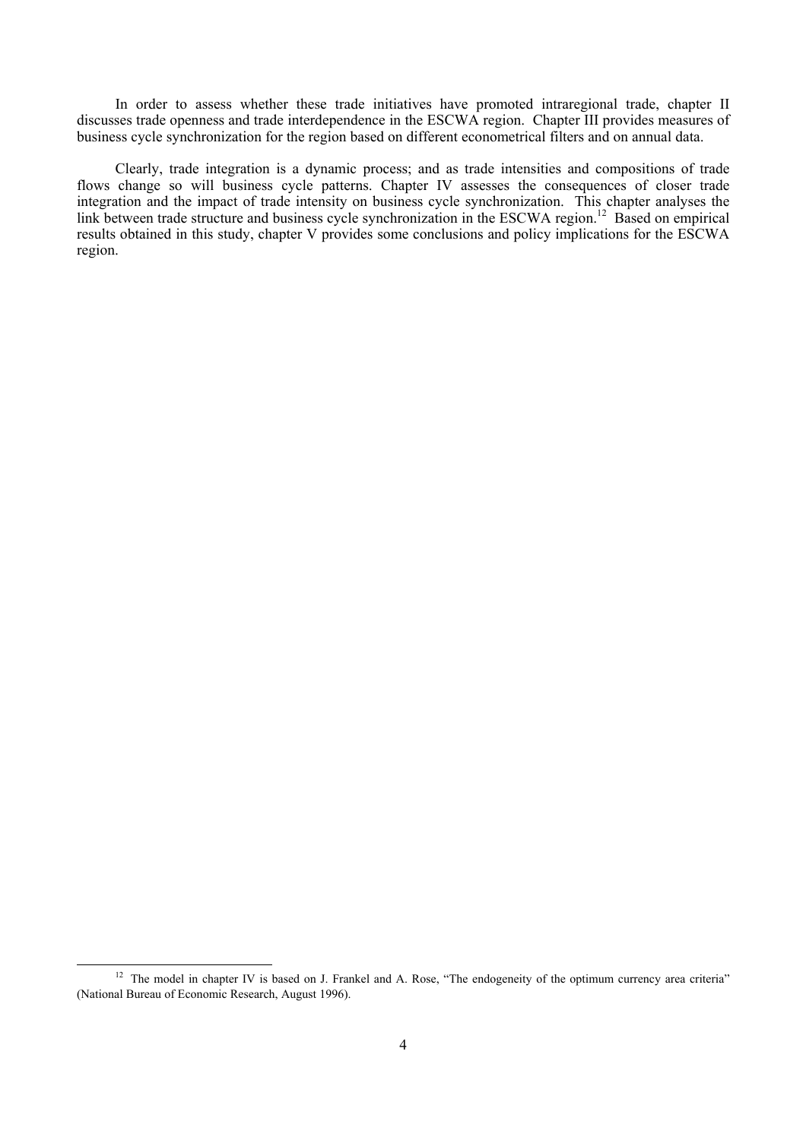In order to assess whether these trade initiatives have promoted intraregional trade, chapter II discusses trade openness and trade interdependence in the ESCWA region. Chapter III provides measures of business cycle synchronization for the region based on different econometrical filters and on annual data.

 Clearly, trade integration is a dynamic process; and as trade intensities and compositions of trade flows change so will business cycle patterns. Chapter IV assesses the consequences of closer trade integration and the impact of trade intensity on business cycle synchronization. This chapter analyses the link between trade structure and business cycle synchronization in the ESCWA region.<sup>12</sup> Based on empirical results obtained in this study, chapter V provides some conclusions and policy implications for the ESCWA region.

<sup>&</sup>lt;sup>12</sup> The model in chapter IV is based on J. Frankel and A. Rose, "The endogeneity of the optimum currency area criteria" (National Bureau of Economic Research, August 1996).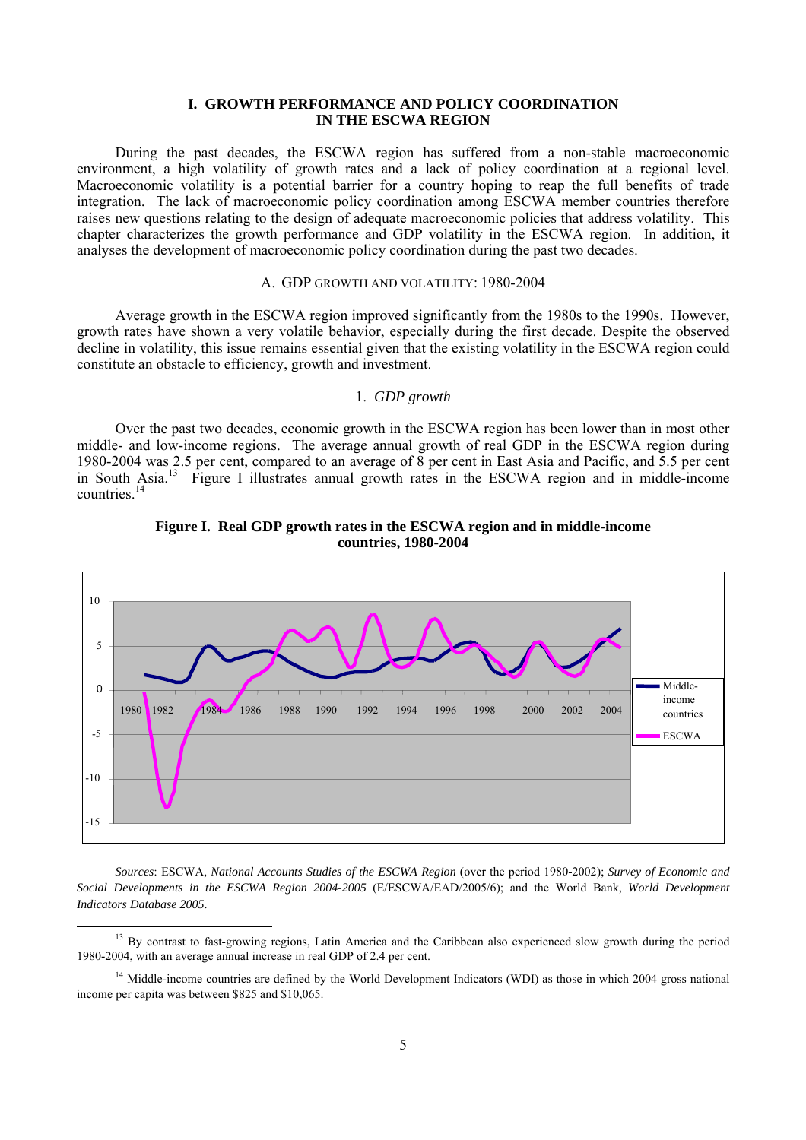#### **I. GROWTH PERFORMANCE AND POLICY COORDINATION IN THE ESCWA REGION**

 During the past decades, the ESCWA region has suffered from a non-stable macroeconomic environment, a high volatility of growth rates and a lack of policy coordination at a regional level. Macroeconomic volatility is a potential barrier for a country hoping to reap the full benefits of trade integration. The lack of macroeconomic policy coordination among ESCWA member countries therefore raises new questions relating to the design of adequate macroeconomic policies that address volatility. This chapter characterizes the growth performance and GDP volatility in the ESCWA region. In addition, it analyses the development of macroeconomic policy coordination during the past two decades.

## A. GDP GROWTH AND VOLATILITY: 1980-2004

 Average growth in the ESCWA region improved significantly from the 1980s to the 1990s. However, growth rates have shown a very volatile behavior, especially during the first decade. Despite the observed decline in volatility, this issue remains essential given that the existing volatility in the ESCWA region could constitute an obstacle to efficiency, growth and investment.

### 1. *GDP growth*

 Over the past two decades, economic growth in the ESCWA region has been lower than in most other middle- and low-income regions. The average annual growth of real GDP in the ESCWA region during 1980-2004 was 2.5 per cent, compared to an average of 8 per cent in East Asia and Pacific, and 5.5 per cent in South Asia.13 Figure I illustrates annual growth rates in the ESCWA region and in middle-income countries.<sup>14</sup>





 *Sources*: ESCWA, *National Accounts Studies of the ESCWA Region* (over the period 1980-2002); *Survey of Economic and Social Developments in the ESCWA Region 2004-2005* (E/ESCWA/EAD/2005/6); and the World Bank, *World Development Indicators Database 2005*.

<sup>&</sup>lt;sup>13</sup> By contrast to fast-growing regions, Latin America and the Caribbean also experienced slow growth during the period 1980-2004, with an average annual increase in real GDP of 2.4 per cent.

 $14$  Middle-income countries are defined by the World Development Indicators (WDI) as those in which 2004 gross national income per capita was between \$825 and \$10,065.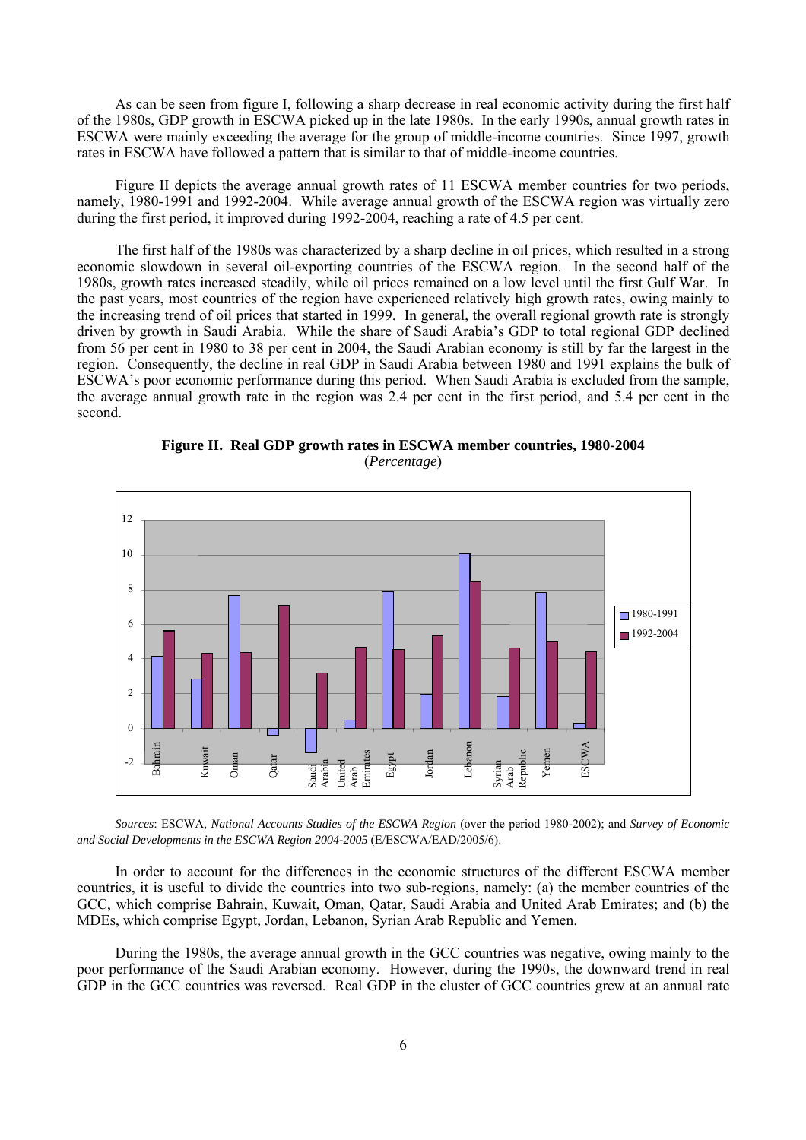As can be seen from figure I, following a sharp decrease in real economic activity during the first half of the 1980s, GDP growth in ESCWA picked up in the late 1980s. In the early 1990s, annual growth rates in ESCWA were mainly exceeding the average for the group of middle-income countries. Since 1997, growth rates in ESCWA have followed a pattern that is similar to that of middle-income countries.

 Figure II depicts the average annual growth rates of 11 ESCWA member countries for two periods, namely, 1980-1991 and 1992-2004. While average annual growth of the ESCWA region was virtually zero during the first period, it improved during 1992-2004, reaching a rate of 4.5 per cent.

 The first half of the 1980s was characterized by a sharp decline in oil prices, which resulted in a strong economic slowdown in several oil-exporting countries of the ESCWA region. In the second half of the 1980s, growth rates increased steadily, while oil prices remained on a low level until the first Gulf War. In the past years, most countries of the region have experienced relatively high growth rates, owing mainly to the increasing trend of oil prices that started in 1999. In general, the overall regional growth rate is strongly driven by growth in Saudi Arabia. While the share of Saudi Arabia's GDP to total regional GDP declined from 56 per cent in 1980 to 38 per cent in 2004, the Saudi Arabian economy is still by far the largest in the region. Consequently, the decline in real GDP in Saudi Arabia between 1980 and 1991 explains the bulk of ESCWA's poor economic performance during this period. When Saudi Arabia is excluded from the sample, the average annual growth rate in the region was 2.4 per cent in the first period, and 5.4 per cent in the second.



**Figure II. Real GDP growth rates in ESCWA member countries, 1980-2004**  (*Percentage*)

 *Sources*: ESCWA, *National Accounts Studies of the ESCWA Region* (over the period 1980-2002); and *Survey of Economic and Social Developments in the ESCWA Region 2004-2005* (E/ESCWA/EAD/2005/6).

 In order to account for the differences in the economic structures of the different ESCWA member countries, it is useful to divide the countries into two sub-regions, namely: (a) the member countries of the GCC, which comprise Bahrain, Kuwait, Oman, Qatar, Saudi Arabia and United Arab Emirates; and (b) the MDEs, which comprise Egypt, Jordan, Lebanon, Syrian Arab Republic and Yemen.

 During the 1980s, the average annual growth in the GCC countries was negative, owing mainly to the poor performance of the Saudi Arabian economy. However, during the 1990s, the downward trend in real GDP in the GCC countries was reversed. Real GDP in the cluster of GCC countries grew at an annual rate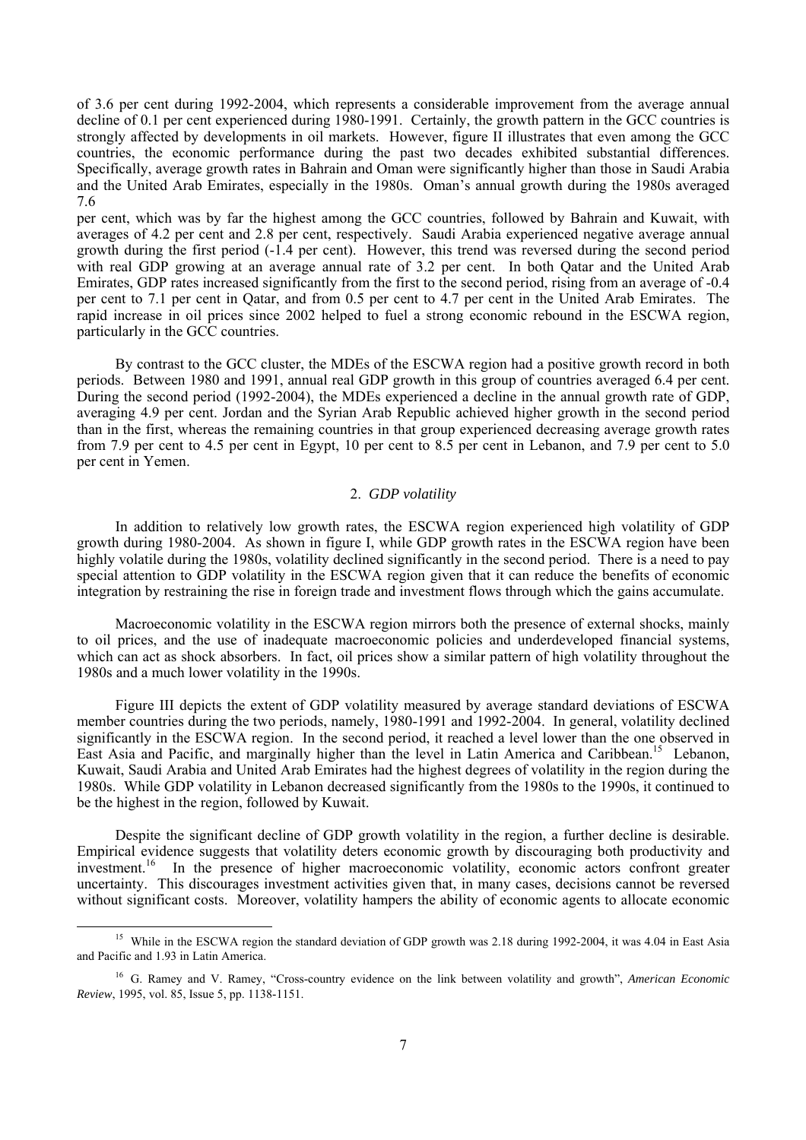of 3.6 per cent during 1992-2004, which represents a considerable improvement from the average annual decline of 0.1 per cent experienced during 1980-1991. Certainly, the growth pattern in the GCC countries is strongly affected by developments in oil markets. However, figure II illustrates that even among the GCC countries, the economic performance during the past two decades exhibited substantial differences. Specifically, average growth rates in Bahrain and Oman were significantly higher than those in Saudi Arabia and the United Arab Emirates, especially in the 1980s. Oman's annual growth during the 1980s averaged 7.6

per cent, which was by far the highest among the GCC countries, followed by Bahrain and Kuwait, with averages of 4.2 per cent and 2.8 per cent, respectively. Saudi Arabia experienced negative average annual growth during the first period (-1.4 per cent). However, this trend was reversed during the second period with real GDP growing at an average annual rate of 3.2 per cent. In both Qatar and the United Arab Emirates, GDP rates increased significantly from the first to the second period, rising from an average of -0.4 per cent to 7.1 per cent in Qatar, and from 0.5 per cent to 4.7 per cent in the United Arab Emirates. The rapid increase in oil prices since 2002 helped to fuel a strong economic rebound in the ESCWA region, particularly in the GCC countries.

 By contrast to the GCC cluster, the MDEs of the ESCWA region had a positive growth record in both periods. Between 1980 and 1991, annual real GDP growth in this group of countries averaged 6.4 per cent. During the second period (1992-2004), the MDEs experienced a decline in the annual growth rate of GDP, averaging 4.9 per cent. Jordan and the Syrian Arab Republic achieved higher growth in the second period than in the first, whereas the remaining countries in that group experienced decreasing average growth rates from 7.9 per cent to 4.5 per cent in Egypt, 10 per cent to 8.5 per cent in Lebanon, and 7.9 per cent to 5.0 per cent in Yemen.

# 2. *GDP volatility*

 In addition to relatively low growth rates, the ESCWA region experienced high volatility of GDP growth during 1980-2004. As shown in figure I, while GDP growth rates in the ESCWA region have been highly volatile during the 1980s, volatility declined significantly in the second period. There is a need to pay special attention to GDP volatility in the ESCWA region given that it can reduce the benefits of economic integration by restraining the rise in foreign trade and investment flows through which the gains accumulate.

 Macroeconomic volatility in the ESCWA region mirrors both the presence of external shocks, mainly to oil prices, and the use of inadequate macroeconomic policies and underdeveloped financial systems, which can act as shock absorbers. In fact, oil prices show a similar pattern of high volatility throughout the 1980s and a much lower volatility in the 1990s.

 Figure III depicts the extent of GDP volatility measured by average standard deviations of ESCWA member countries during the two periods, namely, 1980-1991 and 1992-2004. In general, volatility declined significantly in the ESCWA region. In the second period, it reached a level lower than the one observed in East Asia and Pacific, and marginally higher than the level in Latin America and Caribbean.<sup>15</sup> Lebanon, Kuwait, Saudi Arabia and United Arab Emirates had the highest degrees of volatility in the region during the 1980s. While GDP volatility in Lebanon decreased significantly from the 1980s to the 1990s, it continued to be the highest in the region, followed by Kuwait.

 Despite the significant decline of GDP growth volatility in the region, a further decline is desirable. Empirical evidence suggests that volatility deters economic growth by discouraging both productivity and investment.<sup>16</sup> In the presence of higher macroeconomic volatility, economic actors confront greater uncertainty. This discourages investment activities given that, in many cases, decisions cannot be reversed without significant costs. Moreover, volatility hampers the ability of economic agents to allocate economic

<sup>&</sup>lt;sup>15</sup> While in the ESCWA region the standard deviation of GDP growth was 2.18 during 1992-2004, it was 4.04 in East Asia and Pacific and 1.93 in Latin America.

<sup>16</sup> G. Ramey and V. Ramey, "Cross-country evidence on the link between volatility and growth", *American Economic Review*, 1995, vol. 85, Issue 5, pp. 1138-1151.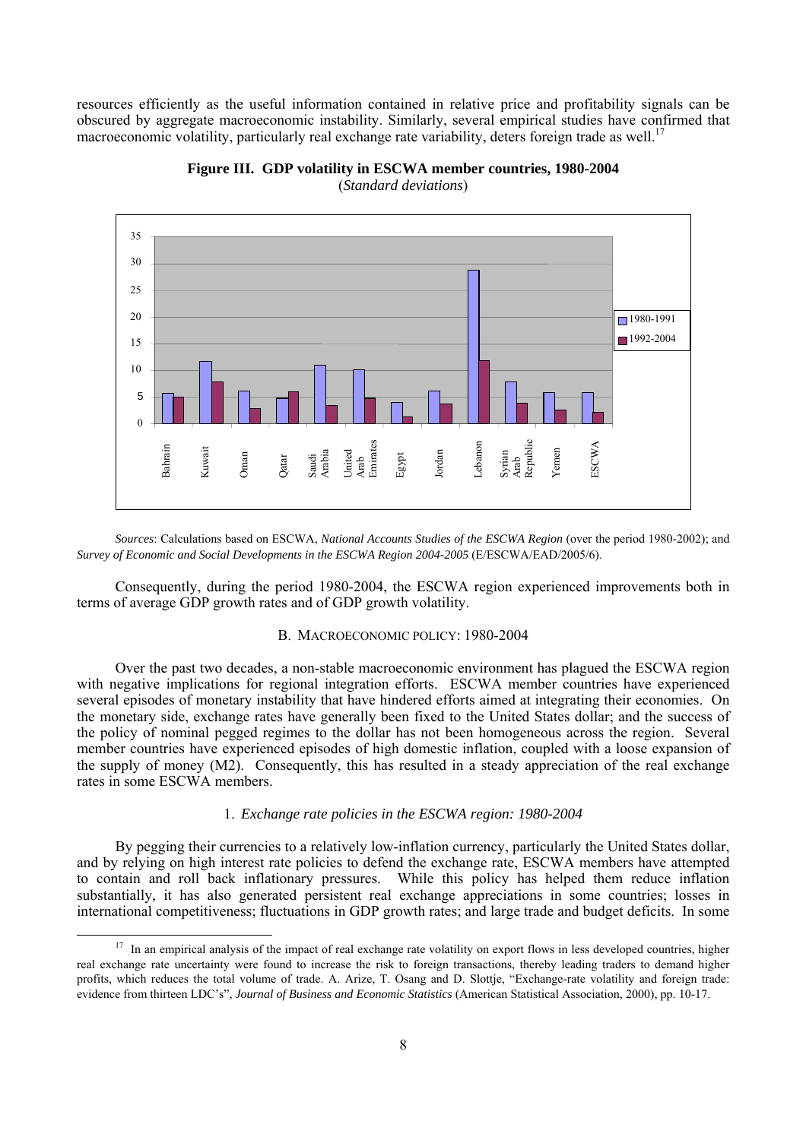resources efficiently as the useful information contained in relative price and profitability signals can be obscured by aggregate macroeconomic instability. Similarly, several empirical studies have confirmed that macroeconomic volatility, particularly real exchange rate variability, deters foreign trade as well.<sup>17</sup>



**Figure III. GDP volatility in ESCWA member countries, 1980-2004** 

(*Standard deviations*)

 *Sources*: Calculations based on ESCWA, *National Accounts Studies of the ESCWA Region* (over the period 1980-2002); and *Survey of Economic and Social Developments in the ESCWA Region 2004-2005* (E/ESCWA/EAD/2005/6).

 Consequently, during the period 1980-2004, the ESCWA region experienced improvements both in terms of average GDP growth rates and of GDP growth volatility.

## B. MACROECONOMIC POLICY: 1980-2004

 Over the past two decades, a non-stable macroeconomic environment has plagued the ESCWA region with negative implications for regional integration efforts. ESCWA member countries have experienced several episodes of monetary instability that have hindered efforts aimed at integrating their economies. On the monetary side, exchange rates have generally been fixed to the United States dollar; and the success of the policy of nominal pegged regimes to the dollar has not been homogeneous across the region. Several member countries have experienced episodes of high domestic inflation, coupled with a loose expansion of the supply of money (M2). Consequently, this has resulted in a steady appreciation of the real exchange rates in some ESCWA members.

## 1. *Exchange rate policies in the ESCWA region: 1980-2004*

 By pegging their currencies to a relatively low-inflation currency, particularly the United States dollar, and by relying on high interest rate policies to defend the exchange rate, ESCWA members have attempted to contain and roll back inflationary pressures. While this policy has helped them reduce inflation substantially, it has also generated persistent real exchange appreciations in some countries; losses in international competitiveness; fluctuations in GDP growth rates; and large trade and budget deficits. In some

<sup>&</sup>lt;sup>17</sup> In an empirical analysis of the impact of real exchange rate volatility on export flows in less developed countries, higher real exchange rate uncertainty were found to increase the risk to foreign transactions, thereby leading traders to demand higher profits, which reduces the total volume of trade. A. Arize, T. Osang and D. Slottje, "Exchange-rate volatility and foreign trade: evidence from thirteen LDC's", *Journal of Business and Economic Statistics* (American Statistical Association, 2000), pp. 10-17.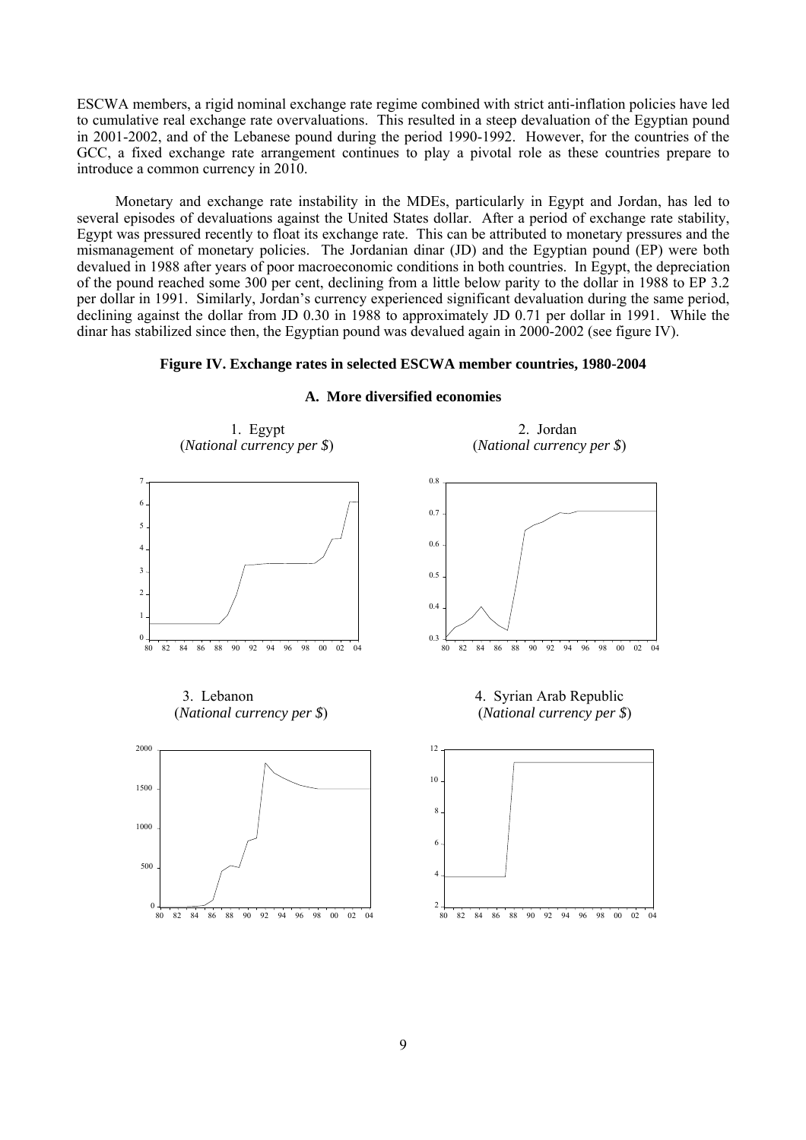ESCWA members, a rigid nominal exchange rate regime combined with strict anti-inflation policies have led to cumulative real exchange rate overvaluations. This resulted in a steep devaluation of the Egyptian pound in 2001-2002, and of the Lebanese pound during the period 1990-1992. However, for the countries of the GCC, a fixed exchange rate arrangement continues to play a pivotal role as these countries prepare to introduce a common currency in 2010.

 Monetary and exchange rate instability in the MDEs, particularly in Egypt and Jordan, has led to several episodes of devaluations against the United States dollar. After a period of exchange rate stability, Egypt was pressured recently to float its exchange rate. This can be attributed to monetary pressures and the mismanagement of monetary policies. The Jordanian dinar (JD) and the Egyptian pound (EP) were both devalued in 1988 after years of poor macroeconomic conditions in both countries. In Egypt, the depreciation of the pound reached some 300 per cent, declining from a little below parity to the dollar in 1988 to EP 3.2 per dollar in 1991. Similarly, Jordan's currency experienced significant devaluation during the same period, declining against the dollar from JD 0.30 in 1988 to approximately JD 0.71 per dollar in 1991. While the dinar has stabilized since then, the Egyptian pound was devalued again in 2000-2002 (see figure IV).

### **Figure IV. Exchange rates in selected ESCWA member countries, 1980-2004**



#### **A. More diversified economies**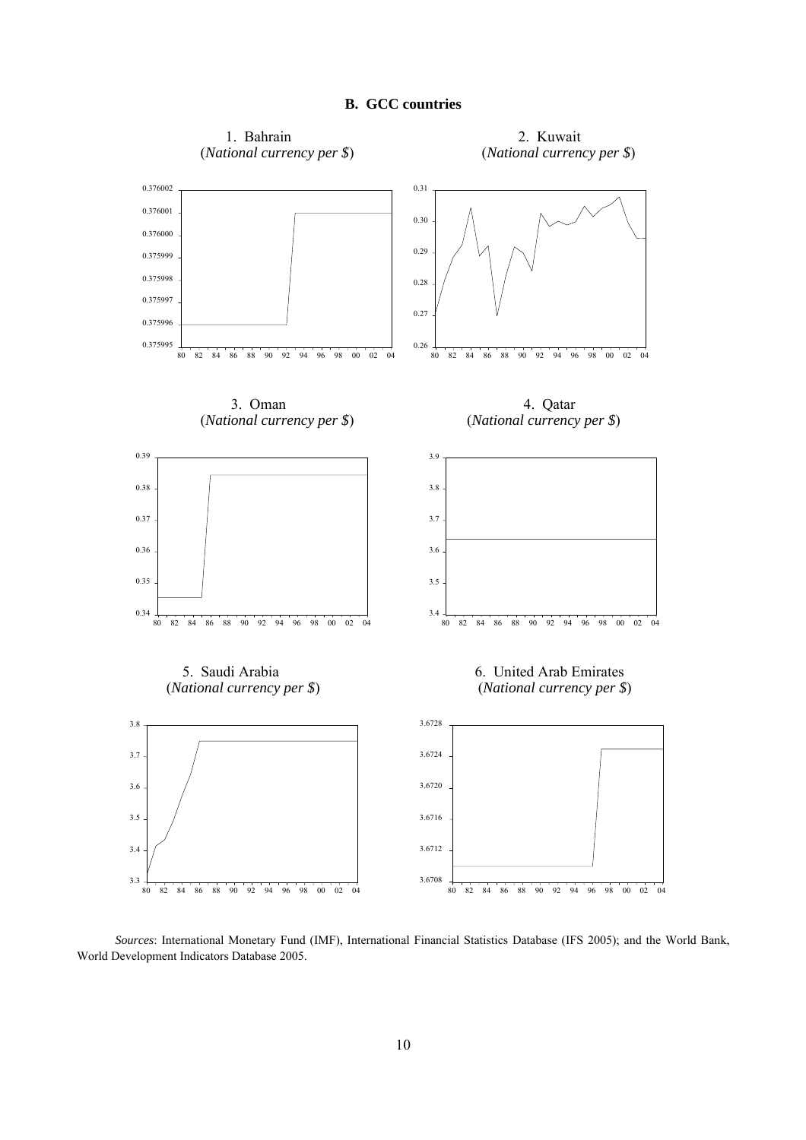



 *Sources*: International Monetary Fund (IMF), International Financial Statistics Database (IFS 2005); and the World Bank, World Development Indicators Database 2005.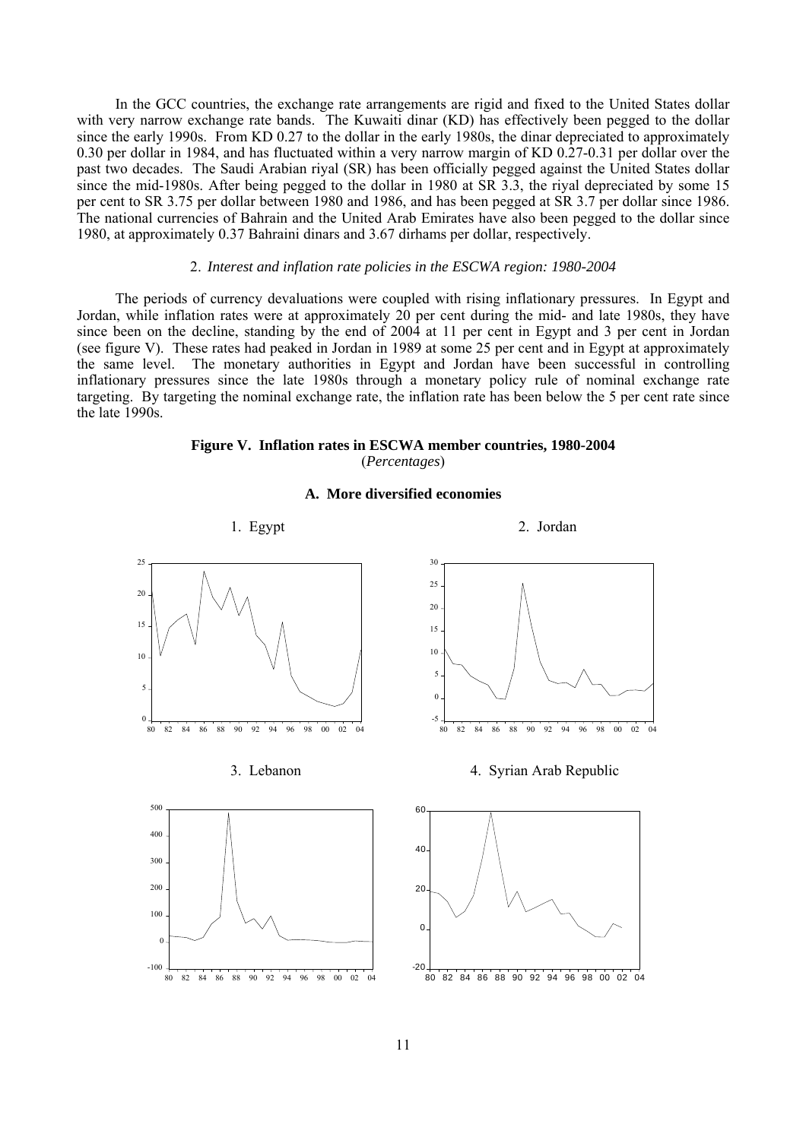In the GCC countries, the exchange rate arrangements are rigid and fixed to the United States dollar with very narrow exchange rate bands. The Kuwaiti dinar (KD) has effectively been pegged to the dollar since the early 1990s. From KD 0.27 to the dollar in the early 1980s, the dinar depreciated to approximately 0.30 per dollar in 1984, and has fluctuated within a very narrow margin of KD 0.27-0.31 per dollar over the past two decades. The Saudi Arabian riyal (SR) has been officially pegged against the United States dollar since the mid-1980s. After being pegged to the dollar in 1980 at SR 3.3, the riyal depreciated by some 15 per cent to SR 3.75 per dollar between 1980 and 1986, and has been pegged at SR 3.7 per dollar since 1986. The national currencies of Bahrain and the United Arab Emirates have also been pegged to the dollar since 1980, at approximately 0.37 Bahraini dinars and 3.67 dirhams per dollar, respectively.

#### 2. *Interest and inflation rate policies in the ESCWA region: 1980-2004*

 The periods of currency devaluations were coupled with rising inflationary pressures. In Egypt and Jordan, while inflation rates were at approximately 20 per cent during the mid- and late 1980s, they have since been on the decline, standing by the end of 2004 at 11 per cent in Egypt and 3 per cent in Jordan (see figure V). These rates had peaked in Jordan in 1989 at some 25 per cent and in Egypt at approximately the same level. The monetary authorities in Egypt and Jordan have been successful in controlling inflationary pressures since the late 1980s through a monetary policy rule of nominal exchange rate targeting. By targeting the nominal exchange rate, the inflation rate has been below the 5 per cent rate since the late 1990s.

#### **Figure V. Inflation rates in ESCWA member countries, 1980-2004**  (*Percentages*)

#### **A. More diversified economies**

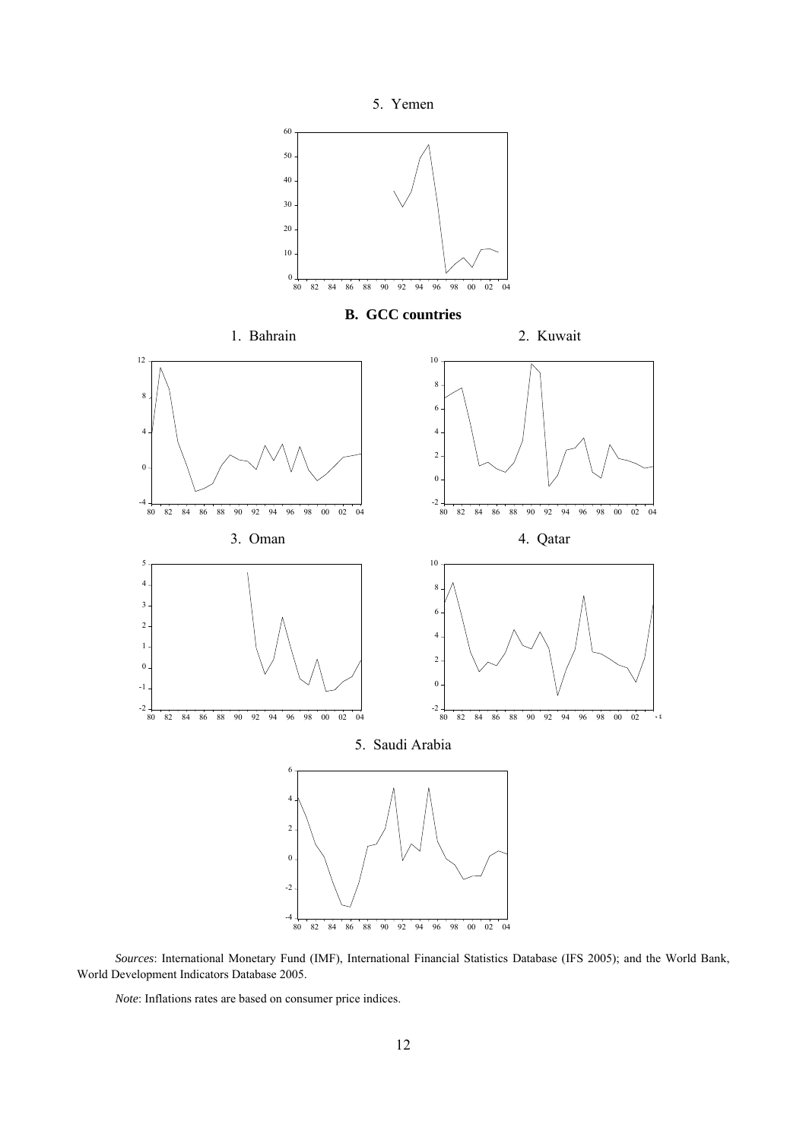

 *Sources*: International Monetary Fund (IMF), International Financial Statistics Database (IFS 2005); and the World Bank, World Development Indicators Database 2005.

 *Note*: Inflations rates are based on consumer price indices.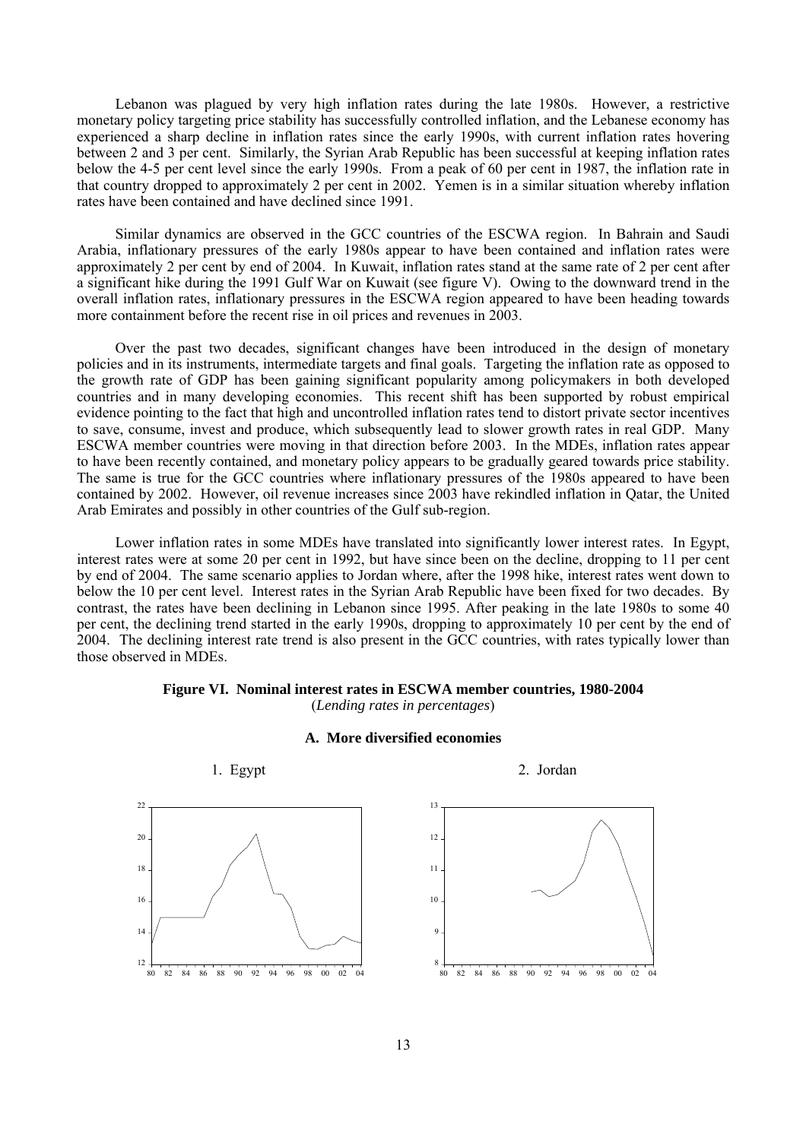Lebanon was plagued by very high inflation rates during the late 1980s. However, a restrictive monetary policy targeting price stability has successfully controlled inflation, and the Lebanese economy has experienced a sharp decline in inflation rates since the early 1990s, with current inflation rates hovering between 2 and 3 per cent. Similarly, the Syrian Arab Republic has been successful at keeping inflation rates below the 4-5 per cent level since the early 1990s. From a peak of 60 per cent in 1987, the inflation rate in that country dropped to approximately 2 per cent in 2002. Yemen is in a similar situation whereby inflation rates have been contained and have declined since 1991.

 Similar dynamics are observed in the GCC countries of the ESCWA region. In Bahrain and Saudi Arabia, inflationary pressures of the early 1980s appear to have been contained and inflation rates were approximately 2 per cent by end of 2004. In Kuwait, inflation rates stand at the same rate of 2 per cent after a significant hike during the 1991 Gulf War on Kuwait (see figure V). Owing to the downward trend in the overall inflation rates, inflationary pressures in the ESCWA region appeared to have been heading towards more containment before the recent rise in oil prices and revenues in 2003.

 Over the past two decades, significant changes have been introduced in the design of monetary policies and in its instruments, intermediate targets and final goals. Targeting the inflation rate as opposed to the growth rate of GDP has been gaining significant popularity among policymakers in both developed countries and in many developing economies. This recent shift has been supported by robust empirical evidence pointing to the fact that high and uncontrolled inflation rates tend to distort private sector incentives to save, consume, invest and produce, which subsequently lead to slower growth rates in real GDP. Many ESCWA member countries were moving in that direction before 2003. In the MDEs, inflation rates appear to have been recently contained, and monetary policy appears to be gradually geared towards price stability. The same is true for the GCC countries where inflationary pressures of the 1980s appeared to have been contained by 2002. However, oil revenue increases since 2003 have rekindled inflation in Qatar, the United Arab Emirates and possibly in other countries of the Gulf sub-region.

 Lower inflation rates in some MDEs have translated into significantly lower interest rates. In Egypt, interest rates were at some 20 per cent in 1992, but have since been on the decline, dropping to 11 per cent by end of 2004. The same scenario applies to Jordan where, after the 1998 hike, interest rates went down to below the 10 per cent level. Interest rates in the Syrian Arab Republic have been fixed for two decades. By contrast, the rates have been declining in Lebanon since 1995. After peaking in the late 1980s to some 40 per cent, the declining trend started in the early 1990s, dropping to approximately 10 per cent by the end of 2004. The declining interest rate trend is also present in the GCC countries, with rates typically lower than those observed in MDEs.



(*Lending rates in percentages*)



**A. More diversified economies** 



1. Egypt 2. Jordan

8

9

10

11

12

13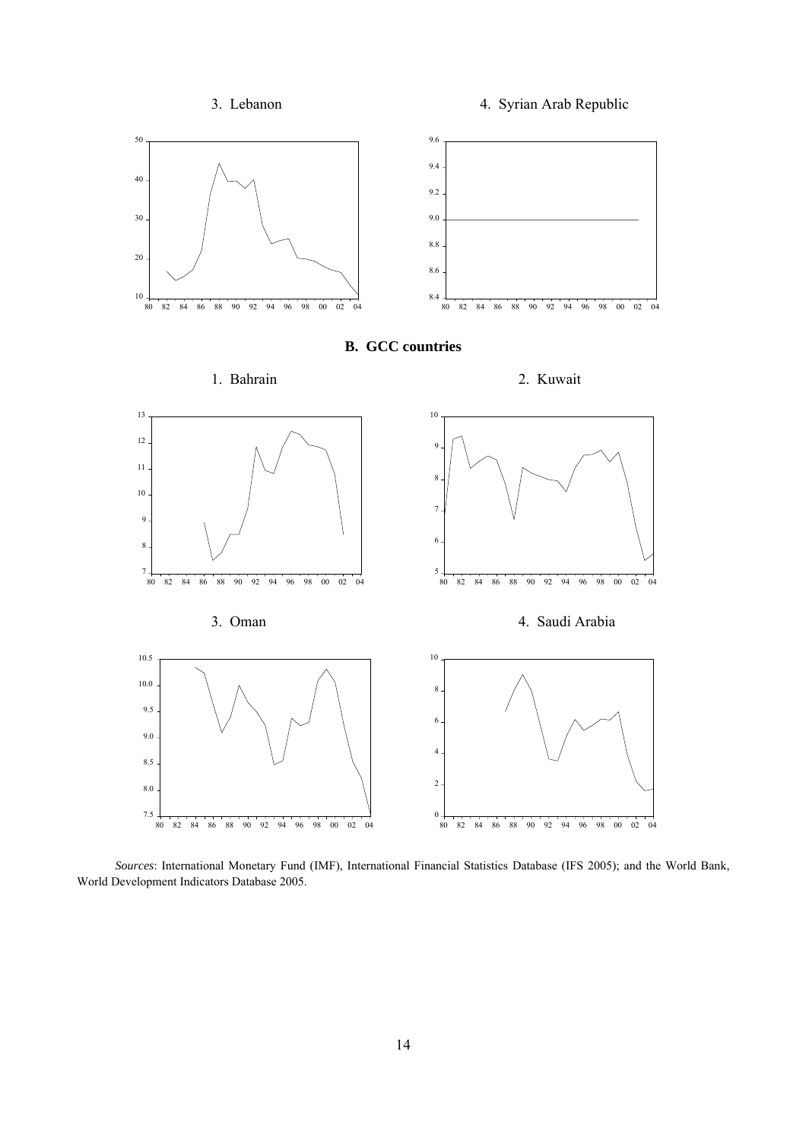3. Lebanon 4. Syrian Arab Republic



 *Sources*: International Monetary Fund (IMF), International Financial Statistics Database (IFS 2005); and the World Bank, World Development Indicators Database 2005.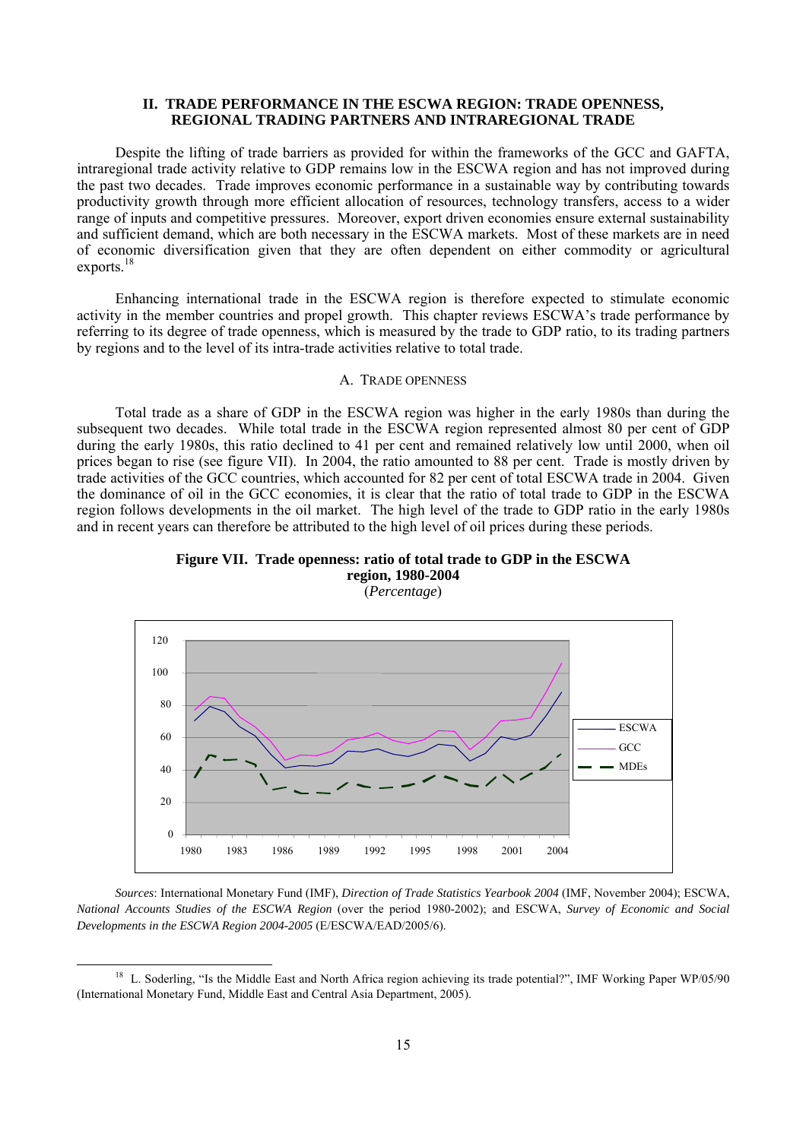### **II. TRADE PERFORMANCE IN THE ESCWA REGION: TRADE OPENNESS, REGIONAL TRADING PARTNERS AND INTRAREGIONAL TRADE**

 Despite the lifting of trade barriers as provided for within the frameworks of the GCC and GAFTA, intraregional trade activity relative to GDP remains low in the ESCWA region and has not improved during the past two decades. Trade improves economic performance in a sustainable way by contributing towards productivity growth through more efficient allocation of resources, technology transfers, access to a wider range of inputs and competitive pressures. Moreover, export driven economies ensure external sustainability and sufficient demand, which are both necessary in the ESCWA markets. Most of these markets are in need of economic diversification given that they are often dependent on either commodity or agricultural exports.<sup>18</sup>

 Enhancing international trade in the ESCWA region is therefore expected to stimulate economic activity in the member countries and propel growth. This chapter reviews ESCWA's trade performance by referring to its degree of trade openness, which is measured by the trade to GDP ratio, to its trading partners by regions and to the level of its intra-trade activities relative to total trade.

#### A. TRADE OPENNESS

 Total trade as a share of GDP in the ESCWA region was higher in the early 1980s than during the subsequent two decades. While total trade in the ESCWA region represented almost 80 per cent of GDP during the early 1980s, this ratio declined to 41 per cent and remained relatively low until 2000, when oil prices began to rise (see figure VII). In 2004, the ratio amounted to 88 per cent. Trade is mostly driven by trade activities of the GCC countries, which accounted for 82 per cent of total ESCWA trade in 2004. Given the dominance of oil in the GCC economies, it is clear that the ratio of total trade to GDP in the ESCWA region follows developments in the oil market. The high level of the trade to GDP ratio in the early 1980s and in recent years can therefore be attributed to the high level of oil prices during these periods.

# **Figure VII. Trade openness: ratio of total trade to GDP in the ESCWA region, 1980-2004**



(*Percentage*)

 *Sources*: International Monetary Fund (IMF), *Direction of Trade Statistics Yearbook 2004* (IMF, November 2004); ESCWA, *National Accounts Studies of the ESCWA Region* (over the period 1980-2002); and ESCWA, *Survey of Economic and Social Developments in the ESCWA Region 2004-2005* (E/ESCWA/EAD/2005/6).

<sup>&</sup>lt;sup>18</sup> L. Soderling, "Is the Middle East and North Africa region achieving its trade potential?", IMF Working Paper WP/05/90 (International Monetary Fund, Middle East and Central Asia Department, 2005).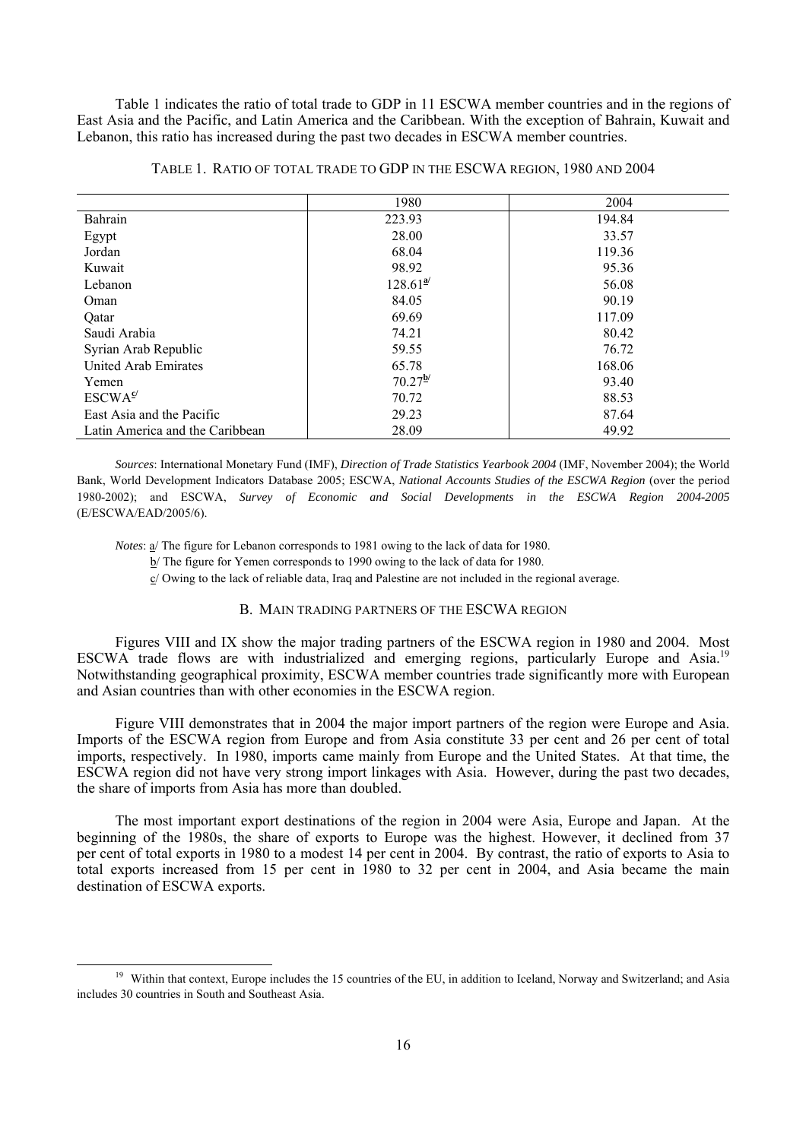Table 1 indicates the ratio of total trade to GDP in 11 ESCWA member countries and in the regions of East Asia and the Pacific, and Latin America and the Caribbean. With the exception of Bahrain, Kuwait and Lebanon, this ratio has increased during the past two decades in ESCWA member countries.

|                                 | 1980                  | 2004   |
|---------------------------------|-----------------------|--------|
| Bahrain                         | 223.93                | 194.84 |
| Egypt                           | 28.00                 | 33.57  |
| Jordan                          | 68.04                 | 119.36 |
| Kuwait                          | 98.92                 | 95.36  |
| Lebanon                         | $128.61^{\frac{a}{}}$ | 56.08  |
| Oman                            | 84.05                 | 90.19  |
| Oatar                           | 69.69                 | 117.09 |
| Saudi Arabia                    | 74.21                 | 80.42  |
| Syrian Arab Republic            | 59.55                 | 76.72  |
| United Arab Emirates            | 65.78                 | 168.06 |
| Yemen                           | $70.27^{\frac{b}{}}$  | 93.40  |
| ESCWA <sup>c</sup>              | 70.72                 | 88.53  |
| East Asia and the Pacific       | 29.23                 | 87.64  |
| Latin America and the Caribbean | 28.09                 | 49.92  |

TABLE 1. RATIO OF TOTAL TRADE TO GDP IN THE ESCWA REGION, 1980 AND 2004

 *Sources*: International Monetary Fund (IMF), *Direction of Trade Statistics Yearbook 2004* (IMF, November 2004); the World Bank, World Development Indicators Database 2005; ESCWA, *National Accounts Studies of the ESCWA Region* (over the period 1980-2002); and ESCWA, *Survey of Economic and Social Developments in the ESCWA Region 2004-2005* (E/ESCWA/EAD/2005/6).

 *Notes*: a/ The figure for Lebanon corresponds to 1981 owing to the lack of data for 1980. b/ The figure for Yemen corresponds to 1990 owing to the lack of data for 1980.

c/ Owing to the lack of reliable data, Iraq and Palestine are not included in the regional average.

#### B. MAIN TRADING PARTNERS OF THE ESCWA REGION

 Figures VIII and IX show the major trading partners of the ESCWA region in 1980 and 2004. Most ESCWA trade flows are with industrialized and emerging regions, particularly Europe and Asia.19 Notwithstanding geographical proximity, ESCWA member countries trade significantly more with European and Asian countries than with other economies in the ESCWA region.

 Figure VIII demonstrates that in 2004 the major import partners of the region were Europe and Asia. Imports of the ESCWA region from Europe and from Asia constitute 33 per cent and 26 per cent of total imports, respectively. In 1980, imports came mainly from Europe and the United States. At that time, the ESCWA region did not have very strong import linkages with Asia. However, during the past two decades, the share of imports from Asia has more than doubled.

 The most important export destinations of the region in 2004 were Asia, Europe and Japan. At the beginning of the 1980s, the share of exports to Europe was the highest. However, it declined from 37 per cent of total exports in 1980 to a modest 14 per cent in 2004. By contrast, the ratio of exports to Asia to total exports increased from 15 per cent in 1980 to 32 per cent in 2004, and Asia became the main destination of ESCWA exports.

<sup>&</sup>lt;sup>19</sup> Within that context, Europe includes the 15 countries of the EU, in addition to Iceland, Norway and Switzerland; and Asia includes 30 countries in South and Southeast Asia.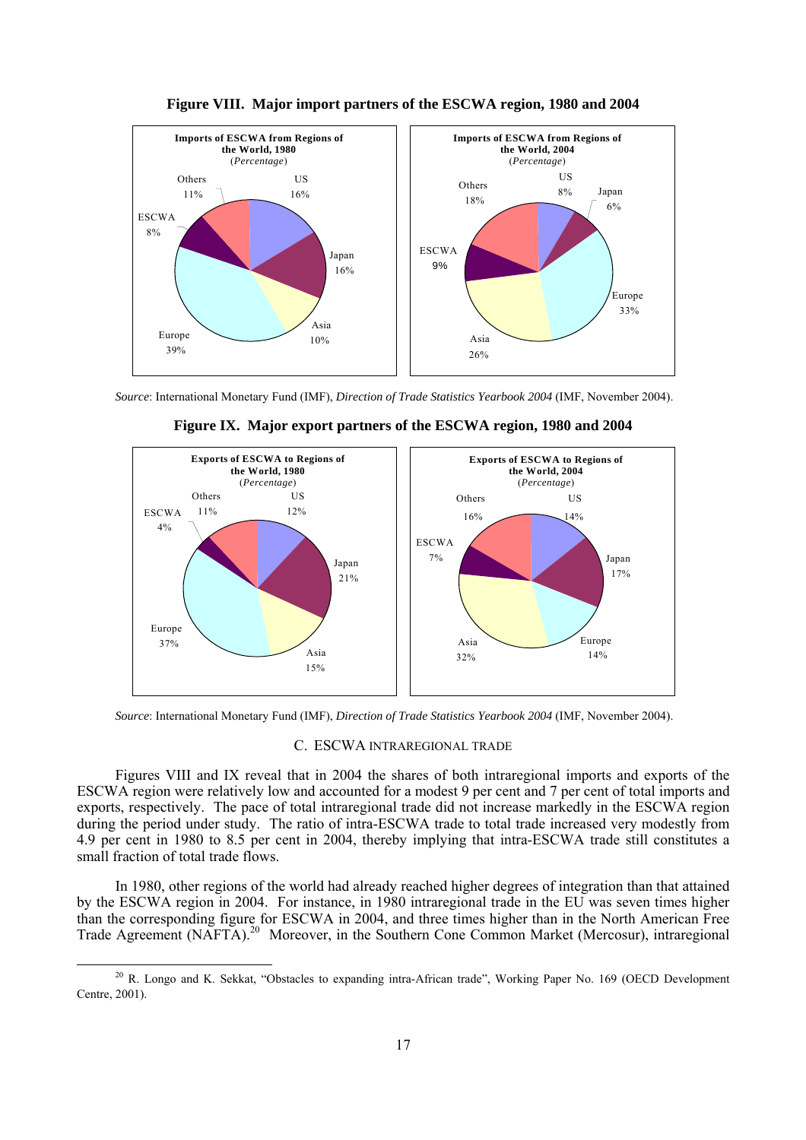



 *Source*: International Monetary Fund (IMF), *Direction of Trade Statistics Yearbook 2004* (IMF, November 2004).



**Figure IX. Major export partners of the ESCWA region, 1980 and 2004** 

 *Source*: International Monetary Fund (IMF), *Direction of Trade Statistics Yearbook 2004* (IMF, November 2004).

# C. ESCWA INTRAREGIONAL TRADE

 Figures VIII and IX reveal that in 2004 the shares of both intraregional imports and exports of the ESCWA region were relatively low and accounted for a modest 9 per cent and 7 per cent of total imports and exports, respectively. The pace of total intraregional trade did not increase markedly in the ESCWA region during the period under study. The ratio of intra-ESCWA trade to total trade increased very modestly from 4.9 per cent in 1980 to 8.5 per cent in 2004, thereby implying that intra-ESCWA trade still constitutes a small fraction of total trade flows.

 In 1980, other regions of the world had already reached higher degrees of integration than that attained by the ESCWA region in 2004. For instance, in 1980 intraregional trade in the EU was seven times higher than the corresponding figure for ESCWA in 2004, and three times higher than in the North American Free Trade Agreement (NAFTA).<sup>20</sup> Moreover, in the Southern Cone Common Market (Mercosur), intraregional

<sup>&</sup>lt;sup>20</sup> R. Longo and K. Sekkat, "Obstacles to expanding intra-African trade", Working Paper No. 169 (OECD Development Centre, 2001).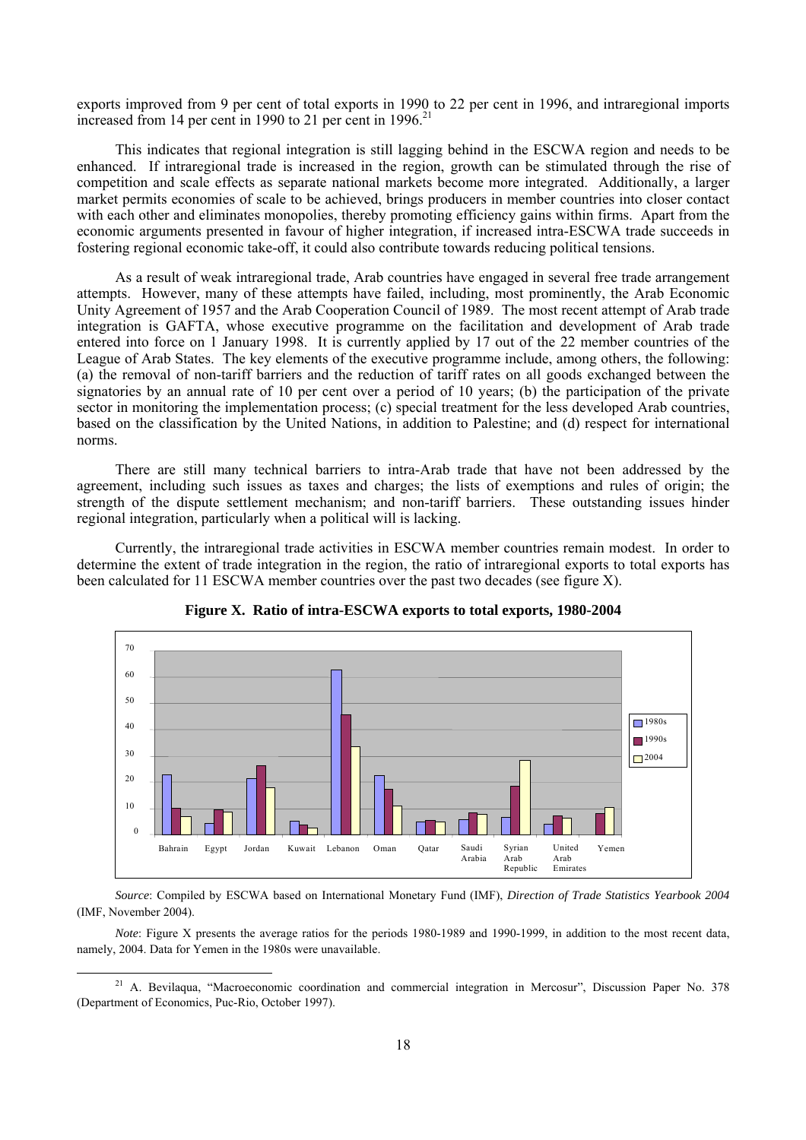exports improved from 9 per cent of total exports in 1990 to 22 per cent in 1996, and intraregional imports increased from 14 per cent in 1990 to 21 per cent in  $1996$ <sup>21</sup>

 This indicates that regional integration is still lagging behind in the ESCWA region and needs to be enhanced. If intraregional trade is increased in the region, growth can be stimulated through the rise of competition and scale effects as separate national markets become more integrated. Additionally, a larger market permits economies of scale to be achieved, brings producers in member countries into closer contact with each other and eliminates monopolies, thereby promoting efficiency gains within firms. Apart from the economic arguments presented in favour of higher integration, if increased intra-ESCWA trade succeeds in fostering regional economic take-off, it could also contribute towards reducing political tensions.

 As a result of weak intraregional trade, Arab countries have engaged in several free trade arrangement attempts. However, many of these attempts have failed, including, most prominently, the Arab Economic Unity Agreement of 1957 and the Arab Cooperation Council of 1989. The most recent attempt of Arab trade integration is GAFTA, whose executive programme on the facilitation and development of Arab trade entered into force on 1 January 1998. It is currently applied by 17 out of the 22 member countries of the League of Arab States. The key elements of the executive programme include, among others, the following: (a) the removal of non-tariff barriers and the reduction of tariff rates on all goods exchanged between the signatories by an annual rate of 10 per cent over a period of 10 years; (b) the participation of the private sector in monitoring the implementation process; (c) special treatment for the less developed Arab countries, based on the classification by the United Nations, in addition to Palestine; and (d) respect for international norms.

 There are still many technical barriers to intra-Arab trade that have not been addressed by the agreement, including such issues as taxes and charges; the lists of exemptions and rules of origin; the strength of the dispute settlement mechanism; and non-tariff barriers. These outstanding issues hinder regional integration, particularly when a political will is lacking.

 Currently, the intraregional trade activities in ESCWA member countries remain modest. In order to determine the extent of trade integration in the region, the ratio of intraregional exports to total exports has been calculated for 11 ESCWA member countries over the past two decades (see figure X).



**Figure X. Ratio of intra-ESCWA exports to total exports, 1980-2004** 

 *Source*: Compiled by ESCWA based on International Monetary Fund (IMF), *Direction of Trade Statistics Yearbook 2004* (IMF, November 2004).

 *Note*: Figure X presents the average ratios for the periods 1980-1989 and 1990-1999, in addition to the most recent data, namely, 2004. Data for Yemen in the 1980s were unavailable.

<sup>&</sup>lt;sup>21</sup> A. Bevilaqua, "Macroeconomic coordination and commercial integration in Mercosur", Discussion Paper No. 378 (Department of Economics, Puc-Rio, October 1997).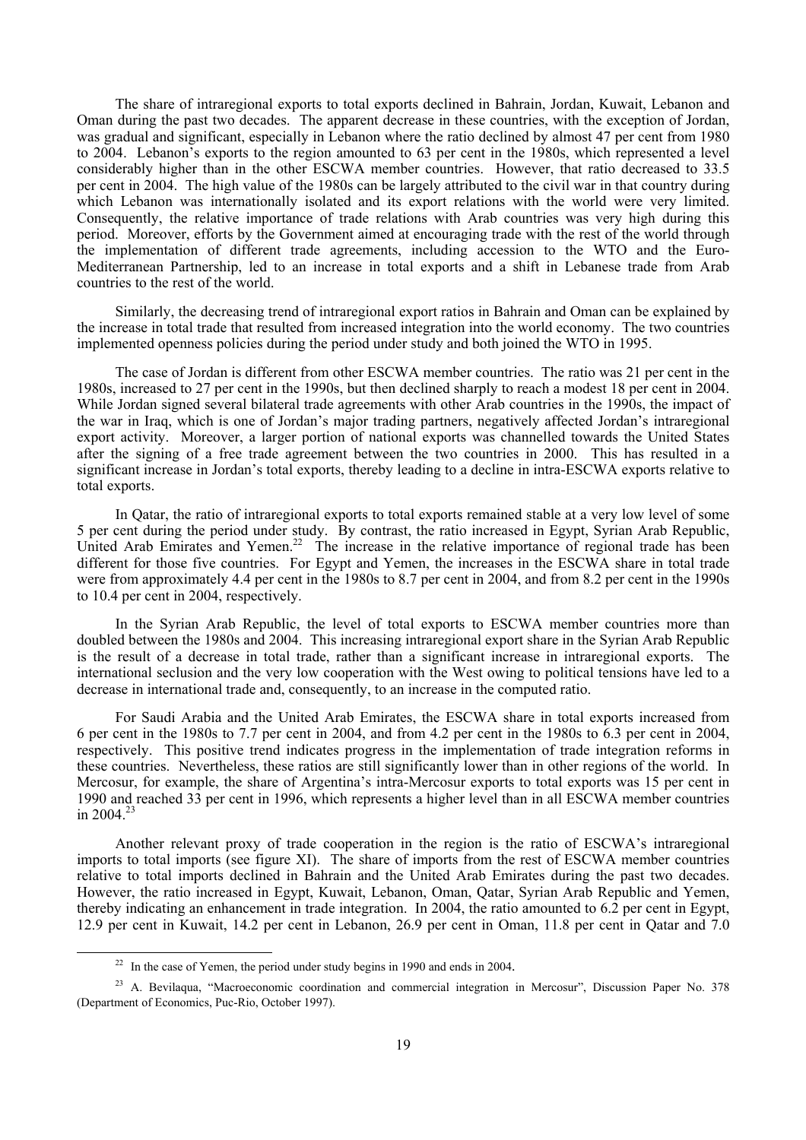The share of intraregional exports to total exports declined in Bahrain, Jordan, Kuwait, Lebanon and Oman during the past two decades. The apparent decrease in these countries, with the exception of Jordan, was gradual and significant, especially in Lebanon where the ratio declined by almost 47 per cent from 1980 to 2004. Lebanon's exports to the region amounted to 63 per cent in the 1980s, which represented a level considerably higher than in the other ESCWA member countries. However, that ratio decreased to 33.5 per cent in 2004. The high value of the 1980s can be largely attributed to the civil war in that country during which Lebanon was internationally isolated and its export relations with the world were very limited. Consequently, the relative importance of trade relations with Arab countries was very high during this period. Moreover, efforts by the Government aimed at encouraging trade with the rest of the world through the implementation of different trade agreements, including accession to the WTO and the Euro-Mediterranean Partnership, led to an increase in total exports and a shift in Lebanese trade from Arab countries to the rest of the world.

 Similarly, the decreasing trend of intraregional export ratios in Bahrain and Oman can be explained by the increase in total trade that resulted from increased integration into the world economy. The two countries implemented openness policies during the period under study and both joined the WTO in 1995.

 The case of Jordan is different from other ESCWA member countries. The ratio was 21 per cent in the 1980s, increased to 27 per cent in the 1990s, but then declined sharply to reach a modest 18 per cent in 2004. While Jordan signed several bilateral trade agreements with other Arab countries in the 1990s, the impact of the war in Iraq, which is one of Jordan's major trading partners, negatively affected Jordan's intraregional export activity. Moreover, a larger portion of national exports was channelled towards the United States after the signing of a free trade agreement between the two countries in 2000. This has resulted in a significant increase in Jordan's total exports, thereby leading to a decline in intra-ESCWA exports relative to total exports.

 In Qatar, the ratio of intraregional exports to total exports remained stable at a very low level of some 5 per cent during the period under study. By contrast, the ratio increased in Egypt, Syrian Arab Republic, United Arab Emirates and Yemen.<sup>22</sup> The increase in the relative importance of regional trade has been different for those five countries. For Egypt and Yemen, the increases in the ESCWA share in total trade were from approximately 4.4 per cent in the 1980s to 8.7 per cent in 2004, and from 8.2 per cent in the 1990s to 10.4 per cent in 2004, respectively.

 In the Syrian Arab Republic, the level of total exports to ESCWA member countries more than doubled between the 1980s and 2004. This increasing intraregional export share in the Syrian Arab Republic is the result of a decrease in total trade, rather than a significant increase in intraregional exports. The international seclusion and the very low cooperation with the West owing to political tensions have led to a decrease in international trade and, consequently, to an increase in the computed ratio.

 For Saudi Arabia and the United Arab Emirates, the ESCWA share in total exports increased from 6 per cent in the 1980s to 7.7 per cent in 2004, and from 4.2 per cent in the 1980s to 6.3 per cent in 2004, respectively. This positive trend indicates progress in the implementation of trade integration reforms in these countries. Nevertheless, these ratios are still significantly lower than in other regions of the world. In Mercosur, for example, the share of Argentina's intra-Mercosur exports to total exports was 15 per cent in 1990 and reached 33 per cent in 1996, which represents a higher level than in all ESCWA member countries in 2004.<sup>23</sup>

 Another relevant proxy of trade cooperation in the region is the ratio of ESCWA's intraregional imports to total imports (see figure XI). The share of imports from the rest of ESCWA member countries relative to total imports declined in Bahrain and the United Arab Emirates during the past two decades. However, the ratio increased in Egypt, Kuwait, Lebanon, Oman, Qatar, Syrian Arab Republic and Yemen, thereby indicating an enhancement in trade integration. In 2004, the ratio amounted to 6.2 per cent in Egypt, 12.9 per cent in Kuwait, 14.2 per cent in Lebanon, 26.9 per cent in Oman, 11.8 per cent in Qatar and 7.0

<sup>&</sup>lt;sup>22</sup> In the case of Yemen, the period under study begins in 1990 and ends in 2004.

<sup>&</sup>lt;sup>23</sup> A. Bevilaqua, "Macroeconomic coordination and commercial integration in Mercosur", Discussion Paper No. 378 (Department of Economics, Puc-Rio, October 1997).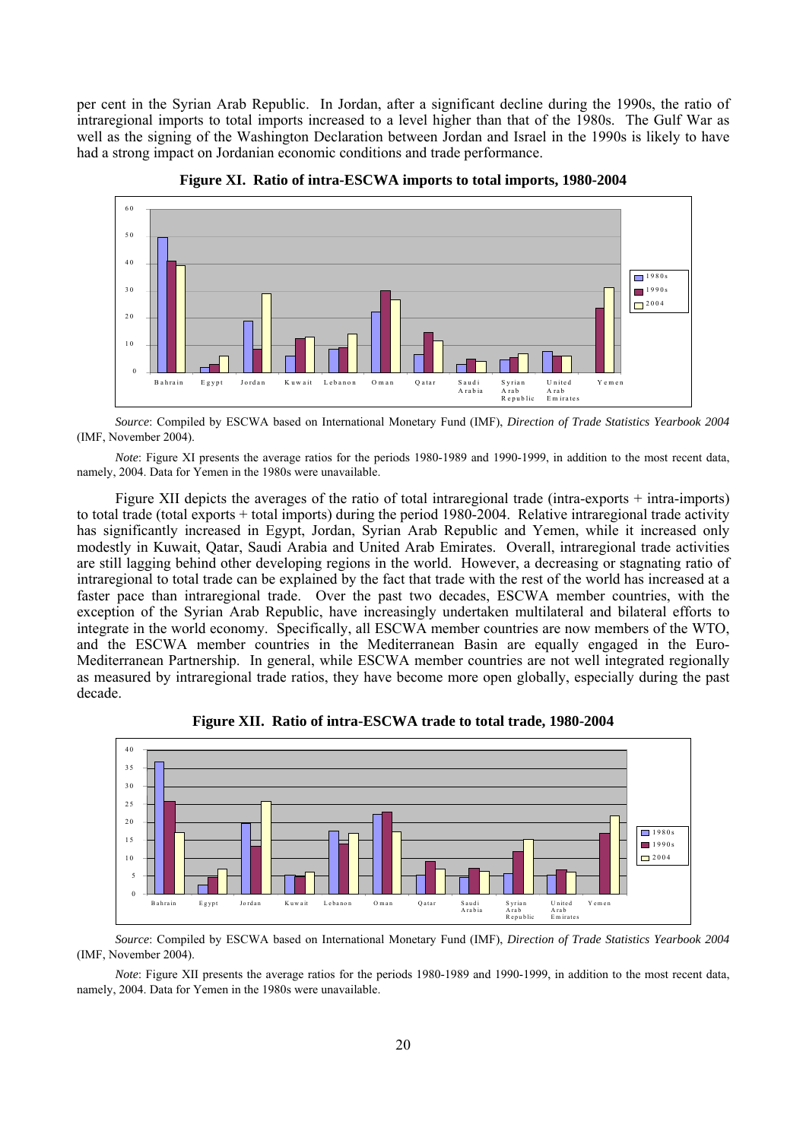per cent in the Syrian Arab Republic. In Jordan, after a significant decline during the 1990s, the ratio of intraregional imports to total imports increased to a level higher than that of the 1980s. The Gulf War as well as the signing of the Washington Declaration between Jordan and Israel in the 1990s is likely to have had a strong impact on Jordanian economic conditions and trade performance.



**Figure XI. Ratio of intra-ESCWA imports to total imports, 1980-2004** 

 *Source*: Compiled by ESCWA based on International Monetary Fund (IMF), *Direction of Trade Statistics Yearbook 2004* (IMF, November 2004).

 *Note*: Figure XI presents the average ratios for the periods 1980-1989 and 1990-1999, in addition to the most recent data, namely, 2004. Data for Yemen in the 1980s were unavailable.

 Figure XII depicts the averages of the ratio of total intraregional trade (intra-exports + intra-imports) to total trade (total exports + total imports) during the period 1980-2004. Relative intraregional trade activity has significantly increased in Egypt, Jordan, Syrian Arab Republic and Yemen, while it increased only modestly in Kuwait, Qatar, Saudi Arabia and United Arab Emirates. Overall, intraregional trade activities are still lagging behind other developing regions in the world. However, a decreasing or stagnating ratio of intraregional to total trade can be explained by the fact that trade with the rest of the world has increased at a faster pace than intraregional trade. Over the past two decades, ESCWA member countries, with the exception of the Syrian Arab Republic, have increasingly undertaken multilateral and bilateral efforts to integrate in the world economy. Specifically, all ESCWA member countries are now members of the WTO, and the ESCWA member countries in the Mediterranean Basin are equally engaged in the Euro-Mediterranean Partnership. In general, while ESCWA member countries are not well integrated regionally as measured by intraregional trade ratios, they have become more open globally, especially during the past decade.



**Figure XII. Ratio of intra-ESCWA trade to total trade, 1980-2004** 

 *Source*: Compiled by ESCWA based on International Monetary Fund (IMF), *Direction of Trade Statistics Yearbook 2004* (IMF, November 2004).

 *Note*: Figure XII presents the average ratios for the periods 1980-1989 and 1990-1999, in addition to the most recent data, namely, 2004. Data for Yemen in the 1980s were unavailable.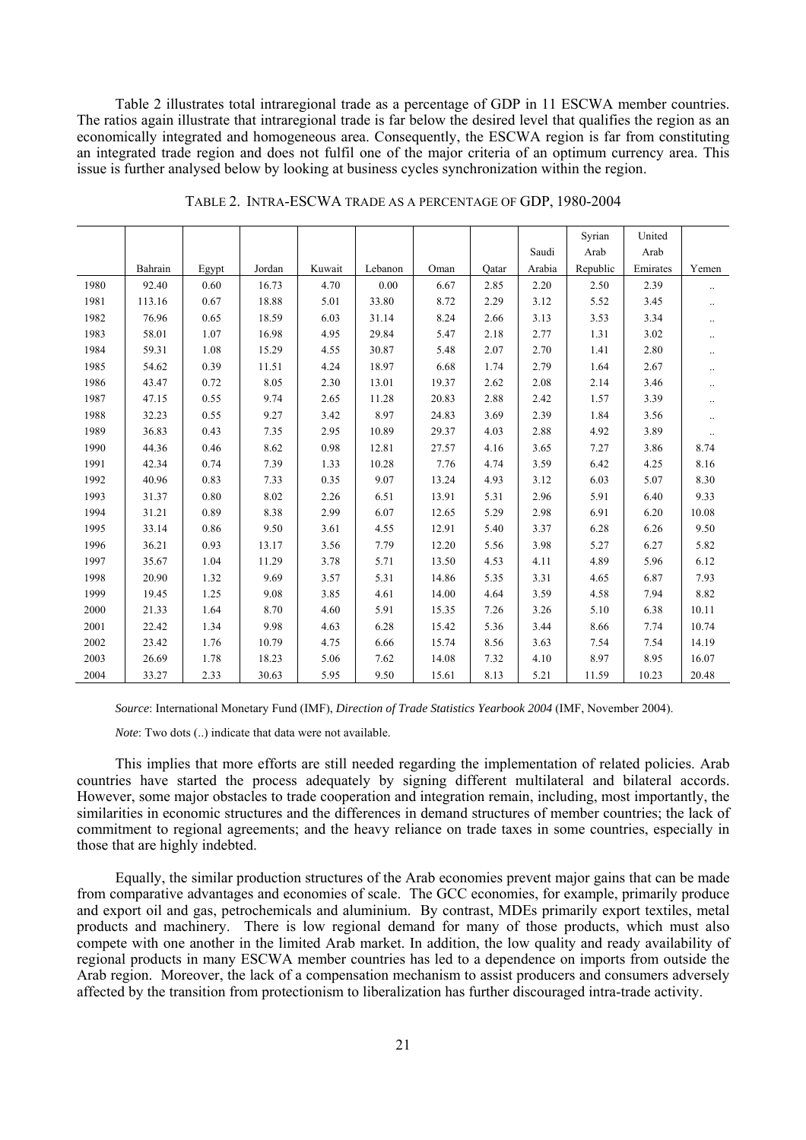Table 2 illustrates total intraregional trade as a percentage of GDP in 11 ESCWA member countries. The ratios again illustrate that intraregional trade is far below the desired level that qualifies the region as an economically integrated and homogeneous area. Consequently, the ESCWA region is far from constituting an integrated trade region and does not fulfil one of the major criteria of an optimum currency area. This issue is further analysed below by looking at business cycles synchronization within the region.

|      |         |       |        |        |         |       |       |        | Syrian   | United   |           |
|------|---------|-------|--------|--------|---------|-------|-------|--------|----------|----------|-----------|
|      |         |       |        |        |         |       |       | Saudi  | Arab     | Arab     |           |
|      | Bahrain | Egypt | Jordan | Kuwait | Lebanon | Oman  | Oatar | Arabia | Republic | Emirates | Yemen     |
| 1980 | 92.40   | 0.60  | 16.73  | 4.70   | 0.00    | 6.67  | 2.85  | 2.20   | 2.50     | 2.39     | $\ldots$  |
| 1981 | 113.16  | 0.67  | 18.88  | 5.01   | 33.80   | 8.72  | 2.29  | 3.12   | 5.52     | 3.45     | $\ddotsc$ |
| 1982 | 76.96   | 0.65  | 18.59  | 6.03   | 31.14   | 8.24  | 2.66  | 3.13   | 3.53     | 3.34     | $\ddotsc$ |
| 1983 | 58.01   | 1.07  | 16.98  | 4.95   | 29.84   | 5.47  | 2.18  | 2.77   | 1.31     | 3.02     | $\ddotsc$ |
| 1984 | 59.31   | 1.08  | 15.29  | 4.55   | 30.87   | 5.48  | 2.07  | 2.70   | 1.41     | 2.80     | $\ddotsc$ |
| 1985 | 54.62   | 0.39  | 11.51  | 4.24   | 18.97   | 6.68  | 1.74  | 2.79   | 1.64     | 2.67     | $\ddotsc$ |
| 1986 | 43.47   | 0.72  | 8.05   | 2.30   | 13.01   | 19.37 | 2.62  | 2.08   | 2.14     | 3.46     | $\ddotsc$ |
| 1987 | 47.15   | 0.55  | 9.74   | 2.65   | 11.28   | 20.83 | 2.88  | 2.42   | 1.57     | 3.39     | $\ddotsc$ |
| 1988 | 32.23   | 0.55  | 9.27   | 3.42   | 8.97    | 24.83 | 3.69  | 2.39   | 1.84     | 3.56     |           |
| 1989 | 36.83   | 0.43  | 7.35   | 2.95   | 10.89   | 29.37 | 4.03  | 2.88   | 4.92     | 3.89     | $\ddotsc$ |
| 1990 | 44.36   | 0.46  | 8.62   | 0.98   | 12.81   | 27.57 | 4.16  | 3.65   | 7.27     | 3.86     | 8.74      |
| 1991 | 42.34   | 0.74  | 7.39   | 1.33   | 10.28   | 7.76  | 4.74  | 3.59   | 6.42     | 4.25     | 8.16      |
| 1992 | 40.96   | 0.83  | 7.33   | 0.35   | 9.07    | 13.24 | 4.93  | 3.12   | 6.03     | 5.07     | 8.30      |
| 1993 | 31.37   | 0.80  | 8.02   | 2.26   | 6.51    | 13.91 | 5.31  | 2.96   | 5.91     | 6.40     | 9.33      |
| 1994 | 31.21   | 0.89  | 8.38   | 2.99   | 6.07    | 12.65 | 5.29  | 2.98   | 6.91     | 6.20     | 10.08     |
| 1995 | 33.14   | 0.86  | 9.50   | 3.61   | 4.55    | 12.91 | 5.40  | 3.37   | 6.28     | 6.26     | 9.50      |
| 1996 | 36.21   | 0.93  | 13.17  | 3.56   | 7.79    | 12.20 | 5.56  | 3.98   | 5.27     | 6.27     | 5.82      |
| 1997 | 35.67   | 1.04  | 11.29  | 3.78   | 5.71    | 13.50 | 4.53  | 4.11   | 4.89     | 5.96     | 6.12      |
| 1998 | 20.90   | 1.32  | 9.69   | 3.57   | 5.31    | 14.86 | 5.35  | 3.31   | 4.65     | 6.87     | 7.93      |
| 1999 | 19.45   | 1.25  | 9.08   | 3.85   | 4.61    | 14.00 | 4.64  | 3.59   | 4.58     | 7.94     | 8.82      |
| 2000 | 21.33   | 1.64  | 8.70   | 4.60   | 5.91    | 15.35 | 7.26  | 3.26   | 5.10     | 6.38     | 10.11     |
| 2001 | 22.42   | 1.34  | 9.98   | 4.63   | 6.28    | 15.42 | 5.36  | 3.44   | 8.66     | 7.74     | 10.74     |
| 2002 | 23.42   | 1.76  | 10.79  | 4.75   | 6.66    | 15.74 | 8.56  | 3.63   | 7.54     | 7.54     | 14.19     |
| 2003 | 26.69   | 1.78  | 18.23  | 5.06   | 7.62    | 14.08 | 7.32  | 4.10   | 8.97     | 8.95     | 16.07     |
| 2004 | 33.27   | 2.33  | 30.63  | 5.95   | 9.50    | 15.61 | 8.13  | 5.21   | 11.59    | 10.23    | 20.48     |

TABLE 2. INTRA-ESCWA TRADE AS A PERCENTAGE OF GDP, 1980-2004

 *Source*: International Monetary Fund (IMF), *Direction of Trade Statistics Yearbook 2004* (IMF, November 2004).

 *Note*: Two dots (..) indicate that data were not available.

 This implies that more efforts are still needed regarding the implementation of related policies. Arab countries have started the process adequately by signing different multilateral and bilateral accords. However, some major obstacles to trade cooperation and integration remain, including, most importantly, the similarities in economic structures and the differences in demand structures of member countries; the lack of commitment to regional agreements; and the heavy reliance on trade taxes in some countries, especially in those that are highly indebted.

 Equally, the similar production structures of the Arab economies prevent major gains that can be made from comparative advantages and economies of scale. The GCC economies, for example, primarily produce and export oil and gas, petrochemicals and aluminium. By contrast, MDEs primarily export textiles, metal products and machinery. There is low regional demand for many of those products, which must also compete with one another in the limited Arab market. In addition, the low quality and ready availability of regional products in many ESCWA member countries has led to a dependence on imports from outside the Arab region. Moreover, the lack of a compensation mechanism to assist producers and consumers adversely affected by the transition from protectionism to liberalization has further discouraged intra-trade activity.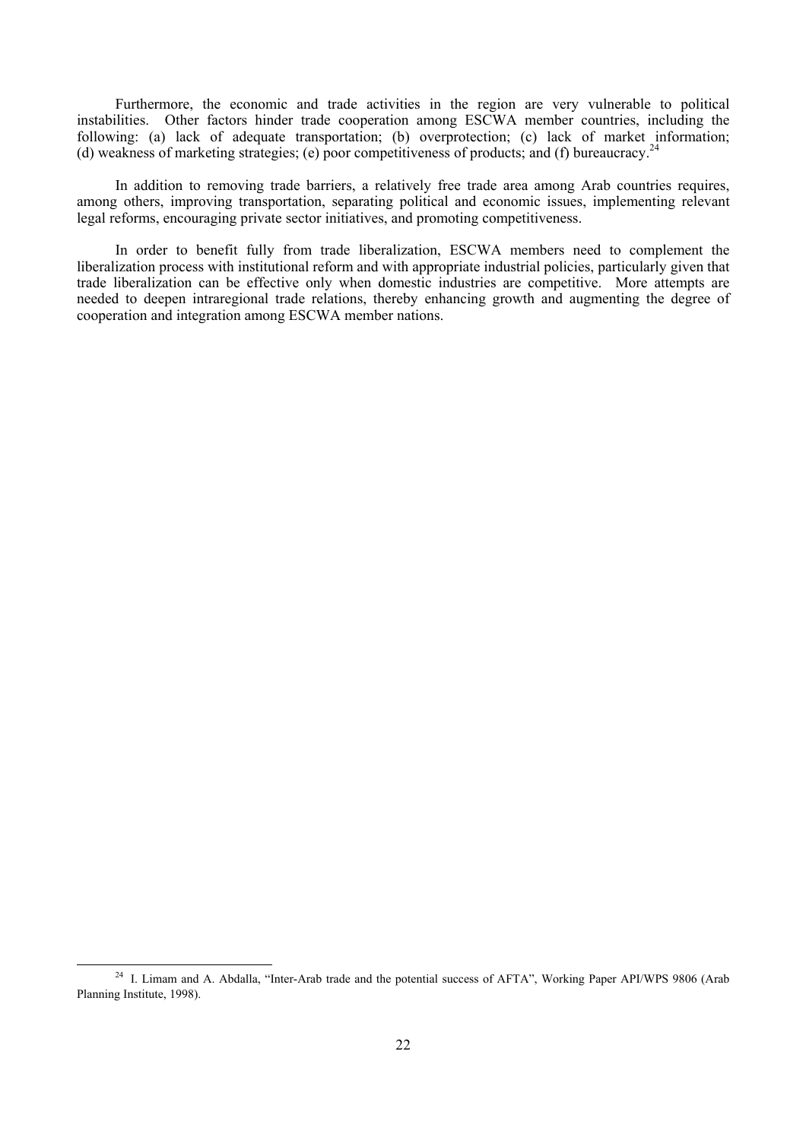Furthermore, the economic and trade activities in the region are very vulnerable to political instabilities. Other factors hinder trade cooperation among ESCWA member countries, including the following: (a) lack of adequate transportation; (b) overprotection; (c) lack of market information; (d) weakness of marketing strategies; (e) poor competitiveness of products; and (f) bureaucracy.24

 In addition to removing trade barriers, a relatively free trade area among Arab countries requires, among others, improving transportation, separating political and economic issues, implementing relevant legal reforms, encouraging private sector initiatives, and promoting competitiveness.

 In order to benefit fully from trade liberalization, ESCWA members need to complement the liberalization process with institutional reform and with appropriate industrial policies, particularly given that trade liberalization can be effective only when domestic industries are competitive. More attempts are needed to deepen intraregional trade relations, thereby enhancing growth and augmenting the degree of cooperation and integration among ESCWA member nations.

<sup>&</sup>lt;sup>24</sup> I. Limam and A. Abdalla, "Inter-Arab trade and the potential success of AFTA", Working Paper API/WPS 9806 (Arab Planning Institute, 1998).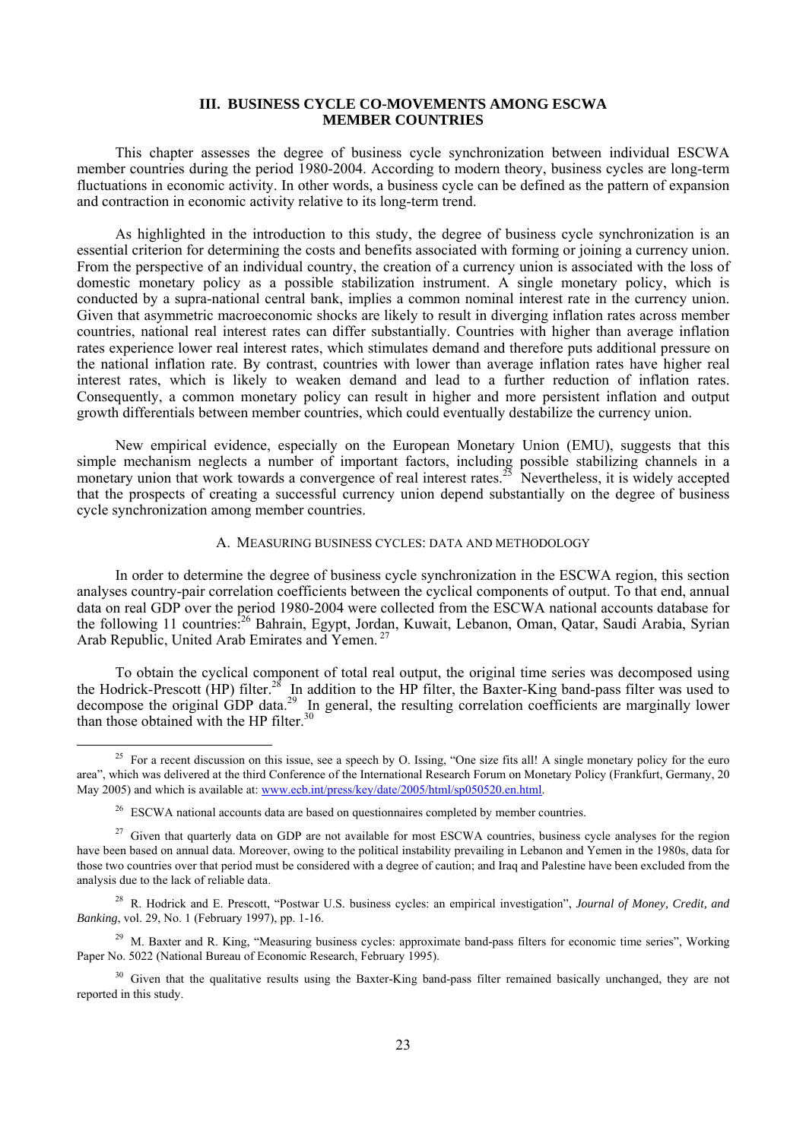#### **III. BUSINESS CYCLE CO-MOVEMENTS AMONG ESCWA MEMBER COUNTRIES**

 This chapter assesses the degree of business cycle synchronization between individual ESCWA member countries during the period 1980-2004. According to modern theory, business cycles are long-term fluctuations in economic activity. In other words, a business cycle can be defined as the pattern of expansion and contraction in economic activity relative to its long-term trend.

 As highlighted in the introduction to this study, the degree of business cycle synchronization is an essential criterion for determining the costs and benefits associated with forming or joining a currency union. From the perspective of an individual country, the creation of a currency union is associated with the loss of domestic monetary policy as a possible stabilization instrument. A single monetary policy, which is conducted by a supra-national central bank, implies a common nominal interest rate in the currency union. Given that asymmetric macroeconomic shocks are likely to result in diverging inflation rates across member countries, national real interest rates can differ substantially. Countries with higher than average inflation rates experience lower real interest rates, which stimulates demand and therefore puts additional pressure on the national inflation rate. By contrast, countries with lower than average inflation rates have higher real interest rates, which is likely to weaken demand and lead to a further reduction of inflation rates. Consequently, a common monetary policy can result in higher and more persistent inflation and output growth differentials between member countries, which could eventually destabilize the currency union.

 New empirical evidence, especially on the European Monetary Union (EMU), suggests that this simple mechanism neglects a number of important factors, including possible stabilizing channels in a monetary union that work towards a convergence of real interest rates.<sup>25</sup> Nevertheless, it is widely accepted that the prospects of creating a successful currency union depend substantially on the degree of business cycle synchronization among member countries.

# A. MEASURING BUSINESS CYCLES: DATA AND METHODOLOGY

 In order to determine the degree of business cycle synchronization in the ESCWA region, this section analyses country-pair correlation coefficients between the cyclical components of output. To that end, annual data on real GDP over the period 1980-2004 were collected from the ESCWA national accounts database for the following 11 countries:26 Bahrain, Egypt, Jordan, Kuwait, Lebanon, Oman, Qatar, Saudi Arabia, Syrian Arab Republic, United Arab Emirates and Yemen.<sup>2</sup>

 To obtain the cyclical component of total real output, the original time series was decomposed using the Hodrick-Prescott (HP) filter.<sup>28</sup> In addition to the HP filter, the Baxter-King band-pass filter was used to decompose the original GDP data.<sup>29</sup> In general, the resulting correlation coefficients are marginally lower than those obtained with the HP filter. $30$ 

<sup>29</sup> M. Baxter and R. King, "Measuring business cycles: approximate band-pass filters for economic time series", Working Paper No. 5022 (National Bureau of Economic Research, February 1995).

<sup>&</sup>lt;sup>25</sup> For a recent discussion on this issue, see a speech by O. Issing, "One size fits all! A single monetary policy for the euro area", which was delivered at the third Conference of the International Research Forum on Monetary Policy (Frankfurt, Germany, 20 May 2005) and which is available at: www.ecb.int/press/key/date/2005/html/sp050520.en.html.

<sup>&</sup>lt;sup>26</sup> ESCWA national accounts data are based on questionnaires completed by member countries.

<sup>&</sup>lt;sup>27</sup> Given that quarterly data on GDP are not available for most ESCWA countries, business cycle analyses for the region have been based on annual data. Moreover, owing to the political instability prevailing in Lebanon and Yemen in the 1980s, data for those two countries over that period must be considered with a degree of caution; and Iraq and Palestine have been excluded from the analysis due to the lack of reliable data.

<sup>28</sup> R. Hodrick and E. Prescott, "Postwar U.S. business cycles: an empirical investigation", *Journal of Money, Credit, and Banking*, vol. 29, No. 1 (February 1997), pp. 1-16.

<sup>&</sup>lt;sup>30</sup> Given that the qualitative results using the Baxter-King band-pass filter remained basically unchanged, they are not reported in this study.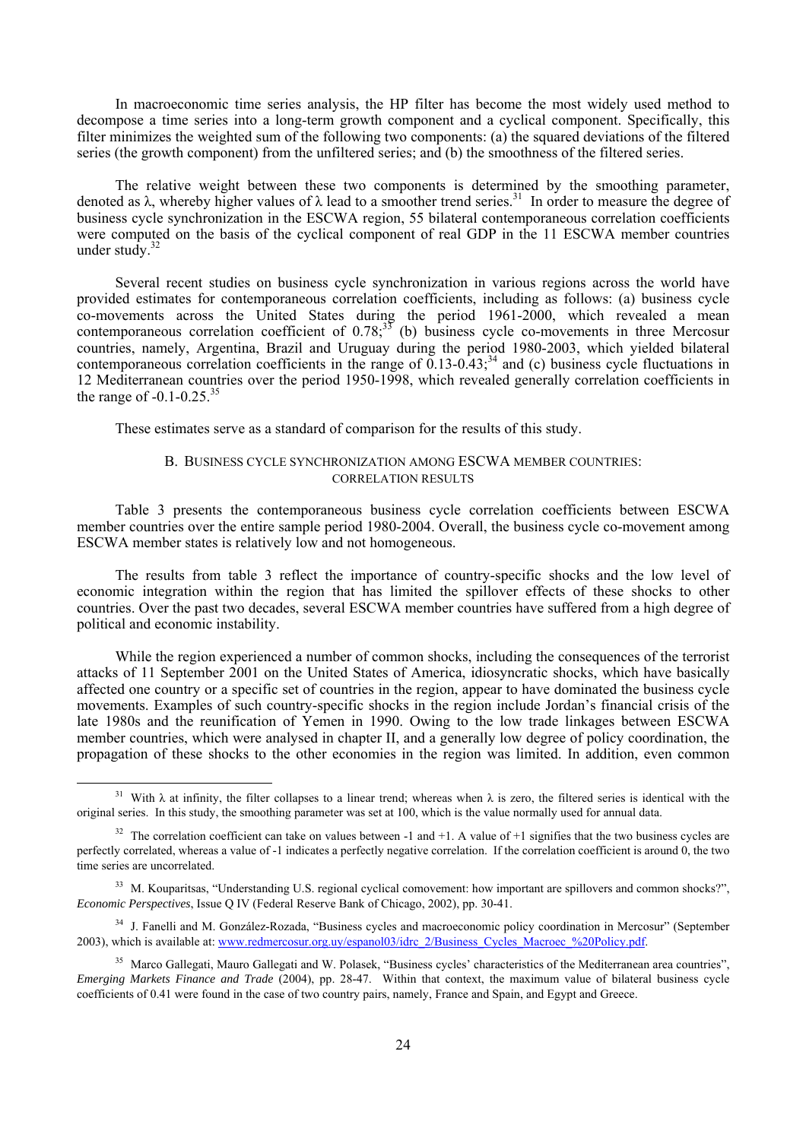In macroeconomic time series analysis, the HP filter has become the most widely used method to decompose a time series into a long-term growth component and a cyclical component. Specifically, this filter minimizes the weighted sum of the following two components: (a) the squared deviations of the filtered series (the growth component) from the unfiltered series; and (b) the smoothness of the filtered series.

 The relative weight between these two components is determined by the smoothing parameter, denoted as  $\lambda$ , whereby higher values of  $\lambda$  lead to a smoother trend series.<sup>31</sup> In order to measure the degree of business cycle synchronization in the ESCWA region, 55 bilateral contemporaneous correlation coefficients were computed on the basis of the cyclical component of real GDP in the 11 ESCWA member countries under study.<sup>32</sup>

 Several recent studies on business cycle synchronization in various regions across the world have provided estimates for contemporaneous correlation coefficients, including as follows: (a) business cycle co-movements across the United States during the period 1961-2000, which revealed a mean contemporaneous correlation coefficient of  $0.78$ ;<sup>33</sup> (b) business cycle co-movements in three Mercosur countries, namely, Argentina, Brazil and Uruguay during the period 1980-2003, which yielded bilateral contemporaneous correlation coefficients in the range of  $0.13$ - $0.43$ ;<sup>34</sup> and (c) business cycle fluctuations in 12 Mediterranean countries over the period 1950-1998, which revealed generally correlation coefficients in the range of  $-0.1 - 0.25$ .<sup>35</sup>

These estimates serve as a standard of comparison for the results of this study.

# B. BUSINESS CYCLE SYNCHRONIZATION AMONG ESCWA MEMBER COUNTRIES: CORRELATION RESULTS

 Table 3 presents the contemporaneous business cycle correlation coefficients between ESCWA member countries over the entire sample period 1980-2004. Overall, the business cycle co-movement among ESCWA member states is relatively low and not homogeneous.

 The results from table 3 reflect the importance of country-specific shocks and the low level of economic integration within the region that has limited the spillover effects of these shocks to other countries. Over the past two decades, several ESCWA member countries have suffered from a high degree of political and economic instability.

 While the region experienced a number of common shocks, including the consequences of the terrorist attacks of 11 September 2001 on the United States of America, idiosyncratic shocks, which have basically affected one country or a specific set of countries in the region, appear to have dominated the business cycle movements. Examples of such country-specific shocks in the region include Jordan's financial crisis of the late 1980s and the reunification of Yemen in 1990. Owing to the low trade linkages between ESCWA member countries, which were analysed in chapter II, and a generally low degree of policy coordination, the propagation of these shocks to the other economies in the region was limited. In addition, even common

<sup>&</sup>lt;sup>31</sup> With  $\lambda$  at infinity, the filter collapses to a linear trend; whereas when  $\lambda$  is zero, the filtered series is identical with the original series. In this study, the smoothing parameter was set at 100, which is the value normally used for annual data.

 $32$  The correlation coefficient can take on values between -1 and +1. A value of +1 signifies that the two business cycles are perfectly correlated, whereas a value of -1 indicates a perfectly negative correlation. If the correlation coefficient is around 0, the two time series are uncorrelated.

<sup>&</sup>lt;sup>33</sup> M. Kouparitsas, "Understanding U.S. regional cyclical comovement: how important are spillovers and common shocks?", *Economic Perspectives*, Issue Q IV (Federal Reserve Bank of Chicago, 2002), pp. 30-41.

<sup>&</sup>lt;sup>34</sup> J. Fanelli and M. González-Rozada, "Business cycles and macroeconomic policy coordination in Mercosur" (September 2003), which is available at: www.redmercosur.org.uy/espanol03/idrc\_2/Business\_Cycles\_Macroec\_%20Policy.pdf.

<sup>&</sup>lt;sup>35</sup> Marco Gallegati, Mauro Gallegati and W. Polasek, "Business cycles' characteristics of the Mediterranean area countries", *Emerging Markets Finance and Trade* (2004), pp. 28-47. Within that context, the maximum value of bilateral business cycle coefficients of 0.41 were found in the case of two country pairs, namely, France and Spain, and Egypt and Greece.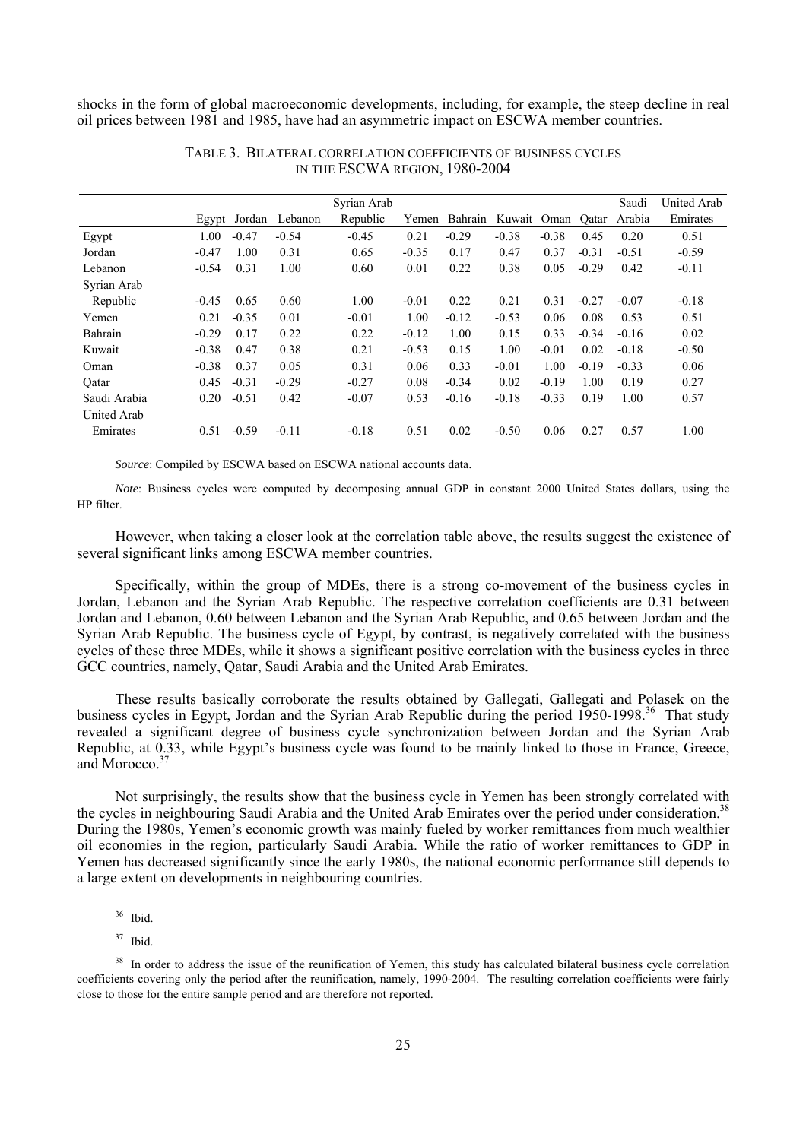shocks in the form of global macroeconomic developments, including, for example, the steep decline in real oil prices between 1981 and 1985, have had an asymmetric impact on ESCWA member countries.

|              |         |              |         | Syrian Arab |         |         |         |         |         | Saudi   | <b>United Arab</b> |
|--------------|---------|--------------|---------|-------------|---------|---------|---------|---------|---------|---------|--------------------|
|              |         | Egypt Jordan | Lebanon | Republic    | Yemen   | Bahrain | Kuwait  | Oman    | Oatar   | Arabia  | Emirates           |
| Egypt        | 1.00    | $-0.47$      | $-0.54$ | $-0.45$     | 0.21    | $-0.29$ | $-0.38$ | $-0.38$ | 0.45    | 0.20    | 0.51               |
| Jordan       | $-0.47$ | 1.00         | 0.31    | 0.65        | $-0.35$ | 0.17    | 0.47    | 0.37    | $-0.31$ | $-0.51$ | $-0.59$            |
| Lebanon      | $-0.54$ | 0.31         | 1.00    | 0.60        | 0.01    | 0.22    | 0.38    | 0.05    | $-0.29$ | 0.42    | $-0.11$            |
| Syrian Arab  |         |              |         |             |         |         |         |         |         |         |                    |
| Republic     | $-0.45$ | 0.65         | 0.60    | 1.00        | $-0.01$ | 0.22    | 0.21    | 0.31    | $-0.27$ | $-0.07$ | $-0.18$            |
| Yemen        | 0.21    | $-0.35$      | 0.01    | $-0.01$     | 1.00    | $-0.12$ | $-0.53$ | 0.06    | 0.08    | 0.53    | 0.51               |
| Bahrain      | $-0.29$ | 0.17         | 0.22    | 0.22        | $-0.12$ | 1.00    | 0.15    | 0.33    | $-0.34$ | $-0.16$ | 0.02               |
| Kuwait       | $-0.38$ | 0.47         | 0.38    | 0.21        | $-0.53$ | 0.15    | 1.00    | $-0.01$ | 0.02    | $-0.18$ | $-0.50$            |
| Oman         | $-0.38$ | 0.37         | 0.05    | 0.31        | 0.06    | 0.33    | $-0.01$ | 1.00    | $-0.19$ | $-0.33$ | 0.06               |
| Oatar        | 0.45    | $-0.31$      | $-0.29$ | $-0.27$     | 0.08    | $-0.34$ | 0.02    | $-0.19$ | 1.00    | 0.19    | 0.27               |
| Saudi Arabia | 0.20    | $-0.51$      | 0.42    | $-0.07$     | 0.53    | $-0.16$ | $-0.18$ | $-0.33$ | 0.19    | 1.00    | 0.57               |
| United Arab  |         |              |         |             |         |         |         |         |         |         |                    |
| Emirates     | 0.51    | $-0.59$      | $-0.11$ | $-0.18$     | 0.51    | 0.02    | $-0.50$ | 0.06    | 0.27    | 0.57    | 1.00               |

#### TABLE 3. BILATERAL CORRELATION COEFFICIENTS OF BUSINESS CYCLES IN THE ESCWA REGION, 1980-2004

 *Source*: Compiled by ESCWA based on ESCWA national accounts data.

 *Note*: Business cycles were computed by decomposing annual GDP in constant 2000 United States dollars, using the HP filter.

 However, when taking a closer look at the correlation table above, the results suggest the existence of several significant links among ESCWA member countries.

 Specifically, within the group of MDEs, there is a strong co-movement of the business cycles in Jordan, Lebanon and the Syrian Arab Republic. The respective correlation coefficients are 0.31 between Jordan and Lebanon, 0.60 between Lebanon and the Syrian Arab Republic, and 0.65 between Jordan and the Syrian Arab Republic. The business cycle of Egypt, by contrast, is negatively correlated with the business cycles of these three MDEs, while it shows a significant positive correlation with the business cycles in three GCC countries, namely, Qatar, Saudi Arabia and the United Arab Emirates.

 These results basically corroborate the results obtained by Gallegati, Gallegati and Polasek on the business cycles in Egypt, Jordan and the Syrian Arab Republic during the period 1950-1998.<sup>36</sup> That study revealed a significant degree of business cycle synchronization between Jordan and the Syrian Arab Republic, at 0.33, while Egypt's business cycle was found to be mainly linked to those in France, Greece, and Morocco.<sup>37</sup>

 Not surprisingly, the results show that the business cycle in Yemen has been strongly correlated with the cycles in neighbouring Saudi Arabia and the United Arab Emirates over the period under consideration.<sup>38</sup> During the 1980s, Yemen's economic growth was mainly fueled by worker remittances from much wealthier oil economies in the region, particularly Saudi Arabia. While the ratio of worker remittances to GDP in Yemen has decreased significantly since the early 1980s, the national economic performance still depends to a large extent on developments in neighbouring countries.

37 Ibid.

 <sup>36</sup> Ibid.

<sup>&</sup>lt;sup>38</sup> In order to address the issue of the reunification of Yemen, this study has calculated bilateral business cycle correlation coefficients covering only the period after the reunification, namely, 1990-2004. The resulting correlation coefficients were fairly close to those for the entire sample period and are therefore not reported.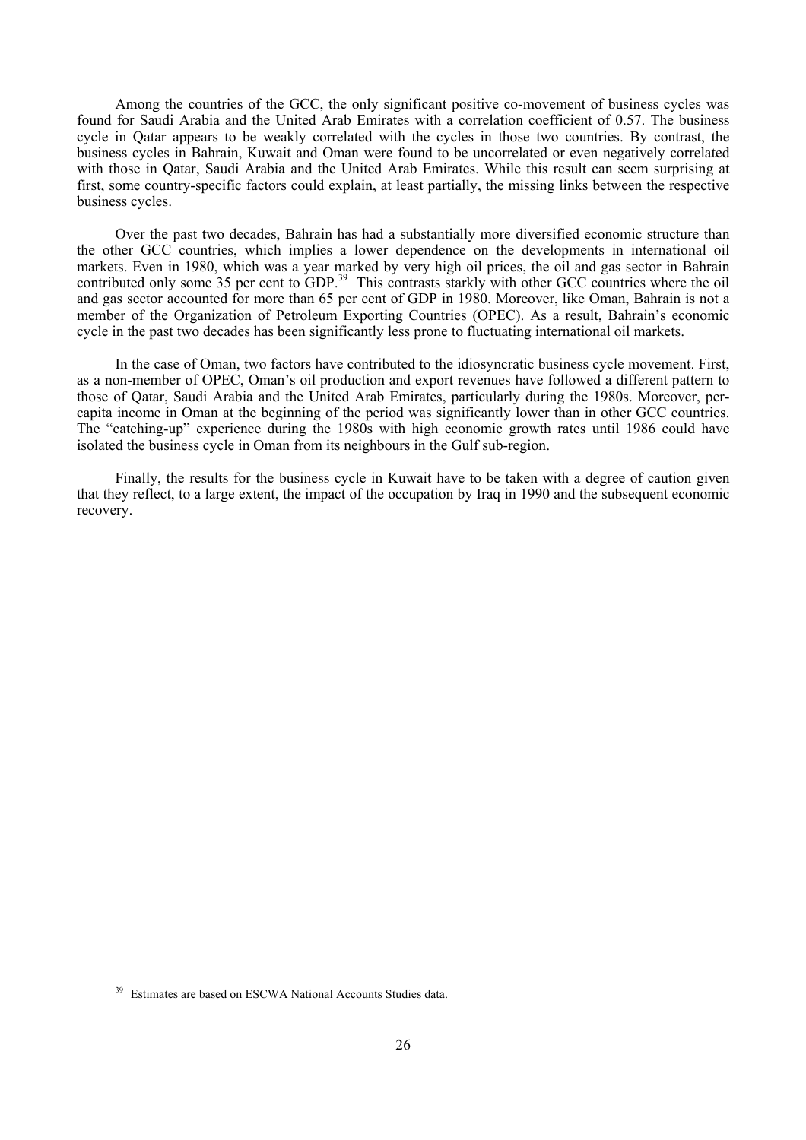Among the countries of the GCC, the only significant positive co-movement of business cycles was found for Saudi Arabia and the United Arab Emirates with a correlation coefficient of 0.57. The business cycle in Qatar appears to be weakly correlated with the cycles in those two countries. By contrast, the business cycles in Bahrain, Kuwait and Oman were found to be uncorrelated or even negatively correlated with those in Qatar, Saudi Arabia and the United Arab Emirates. While this result can seem surprising at first, some country-specific factors could explain, at least partially, the missing links between the respective business cycles.

 Over the past two decades, Bahrain has had a substantially more diversified economic structure than the other GCC countries, which implies a lower dependence on the developments in international oil markets. Even in 1980, which was a year marked by very high oil prices, the oil and gas sector in Bahrain contributed only some 35 per cent to GDP.<sup>39</sup> This contrasts starkly with other GCC countries where the oil and gas sector accounted for more than 65 per cent of GDP in 1980. Moreover, like Oman, Bahrain is not a member of the Organization of Petroleum Exporting Countries (OPEC). As a result, Bahrain's economic cycle in the past two decades has been significantly less prone to fluctuating international oil markets.

 In the case of Oman, two factors have contributed to the idiosyncratic business cycle movement. First, as a non-member of OPEC, Oman's oil production and export revenues have followed a different pattern to those of Qatar, Saudi Arabia and the United Arab Emirates, particularly during the 1980s. Moreover, percapita income in Oman at the beginning of the period was significantly lower than in other GCC countries. The "catching-up" experience during the 1980s with high economic growth rates until 1986 could have isolated the business cycle in Oman from its neighbours in the Gulf sub-region.

 Finally, the results for the business cycle in Kuwait have to be taken with a degree of caution given that they reflect, to a large extent, the impact of the occupation by Iraq in 1990 and the subsequent economic recovery.

<sup>&</sup>lt;sup>39</sup> Estimates are based on ESCWA National Accounts Studies data.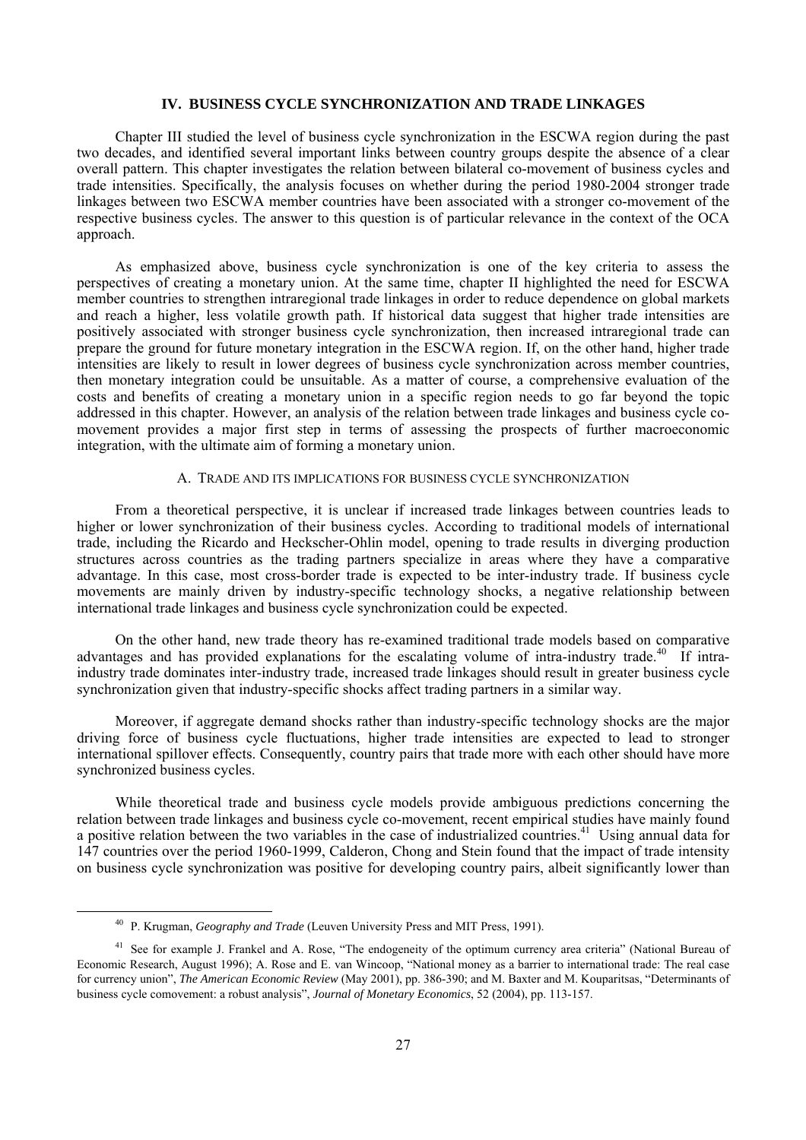#### **IV. BUSINESS CYCLE SYNCHRONIZATION AND TRADE LINKAGES**

 Chapter III studied the level of business cycle synchronization in the ESCWA region during the past two decades, and identified several important links between country groups despite the absence of a clear overall pattern. This chapter investigates the relation between bilateral co-movement of business cycles and trade intensities. Specifically, the analysis focuses on whether during the period 1980-2004 stronger trade linkages between two ESCWA member countries have been associated with a stronger co-movement of the respective business cycles. The answer to this question is of particular relevance in the context of the OCA approach.

 As emphasized above, business cycle synchronization is one of the key criteria to assess the perspectives of creating a monetary union. At the same time, chapter II highlighted the need for ESCWA member countries to strengthen intraregional trade linkages in order to reduce dependence on global markets and reach a higher, less volatile growth path. If historical data suggest that higher trade intensities are positively associated with stronger business cycle synchronization, then increased intraregional trade can prepare the ground for future monetary integration in the ESCWA region. If, on the other hand, higher trade intensities are likely to result in lower degrees of business cycle synchronization across member countries, then monetary integration could be unsuitable. As a matter of course, a comprehensive evaluation of the costs and benefits of creating a monetary union in a specific region needs to go far beyond the topic addressed in this chapter. However, an analysis of the relation between trade linkages and business cycle comovement provides a major first step in terms of assessing the prospects of further macroeconomic integration, with the ultimate aim of forming a monetary union.

#### A. TRADE AND ITS IMPLICATIONS FOR BUSINESS CYCLE SYNCHRONIZATION

 From a theoretical perspective, it is unclear if increased trade linkages between countries leads to higher or lower synchronization of their business cycles. According to traditional models of international trade, including the Ricardo and Heckscher-Ohlin model, opening to trade results in diverging production structures across countries as the trading partners specialize in areas where they have a comparative advantage. In this case, most cross-border trade is expected to be inter-industry trade. If business cycle movements are mainly driven by industry-specific technology shocks, a negative relationship between international trade linkages and business cycle synchronization could be expected.

 On the other hand, new trade theory has re-examined traditional trade models based on comparative advantages and has provided explanations for the escalating volume of intra-industry trade.<sup>40</sup> If intraindustry trade dominates inter-industry trade, increased trade linkages should result in greater business cycle synchronization given that industry-specific shocks affect trading partners in a similar way.

 Moreover, if aggregate demand shocks rather than industry-specific technology shocks are the major driving force of business cycle fluctuations, higher trade intensities are expected to lead to stronger international spillover effects. Consequently, country pairs that trade more with each other should have more synchronized business cycles.

 While theoretical trade and business cycle models provide ambiguous predictions concerning the relation between trade linkages and business cycle co-movement, recent empirical studies have mainly found a positive relation between the two variables in the case of industrialized countries.<sup>41</sup> Using annual data for 147 countries over the period 1960-1999, Calderon, Chong and Stein found that the impact of trade intensity on business cycle synchronization was positive for developing country pairs, albeit significantly lower than

 <sup>40</sup> P. Krugman, *Geography and Trade* (Leuven University Press and MIT Press, 1991).

<sup>&</sup>lt;sup>41</sup> See for example J. Frankel and A. Rose, "The endogeneity of the optimum currency area criteria" (National Bureau of Economic Research, August 1996); A. Rose and E. van Wincoop, "National money as a barrier to international trade: The real case for currency union", *The American Economic Review* (May 2001), pp. 386-390; and M. Baxter and M. Kouparitsas, "Determinants of business cycle comovement: a robust analysis", *Journal of Monetary Economics*, 52 (2004), pp. 113-157.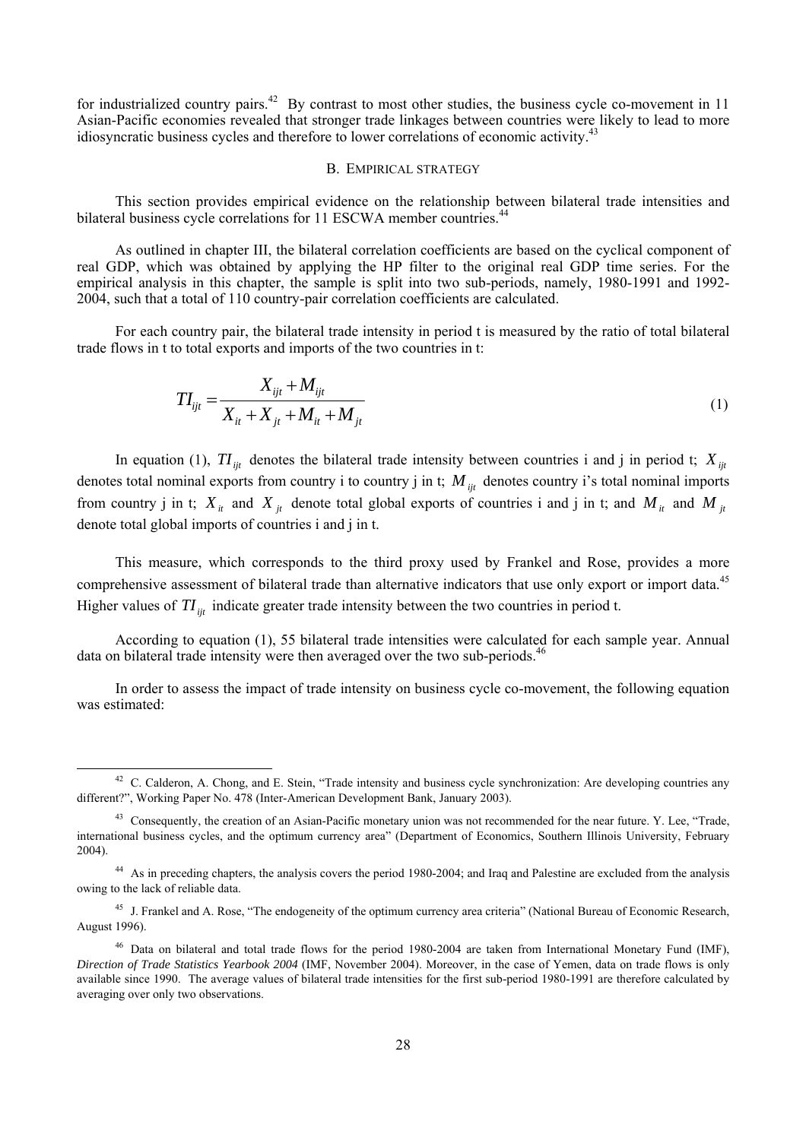for industrialized country pairs.<sup>42</sup> By contrast to most other studies, the business cycle co-movement in 11 Asian-Pacific economies revealed that stronger trade linkages between countries were likely to lead to more idiosyncratic business cycles and therefore to lower correlations of economic activity.<sup>43</sup>

#### B. EMPIRICAL STRATEGY

 This section provides empirical evidence on the relationship between bilateral trade intensities and bilateral business cycle correlations for 11 ESCWA member countries.<sup>44</sup>

 As outlined in chapter III, the bilateral correlation coefficients are based on the cyclical component of real GDP, which was obtained by applying the HP filter to the original real GDP time series. For the empirical analysis in this chapter, the sample is split into two sub-periods, namely, 1980-1991 and 1992- 2004, such that a total of 110 country-pair correlation coefficients are calculated.

 For each country pair, the bilateral trade intensity in period t is measured by the ratio of total bilateral trade flows in t to total exports and imports of the two countries in t:

$$
TI_{ijt} = \frac{X_{ijt} + M_{ijt}}{X_{it} + X_{jt} + M_{it} + M_{jt}}
$$
\n(1)

In equation (1),  $TI_{ijt}$  denotes the bilateral trade intensity between countries i and j in period t;  $X_{ijt}$ denotes total nominal exports from country i to country j in t;  $M_{ii}$  denotes country i's total nominal imports from country j in t;  $X_{it}$  and  $X_{it}$  denote total global exports of countries i and j in t; and  $M_{it}$  and  $M_{it}$ denote total global imports of countries i and j in t.

 This measure, which corresponds to the third proxy used by Frankel and Rose, provides a more comprehensive assessment of bilateral trade than alternative indicators that use only export or import data.<sup>45</sup> Higher values of  $TI_{ijt}$  indicate greater trade intensity between the two countries in period t.

 According to equation (1), 55 bilateral trade intensities were calculated for each sample year. Annual data on bilateral trade intensity were then averaged over the two sub-periods.<sup>46</sup>

 In order to assess the impact of trade intensity on business cycle co-movement, the following equation was estimated:

 $42$  C. Calderon, A. Chong, and E. Stein, "Trade intensity and business cycle synchronization: Are developing countries any different?", Working Paper No. 478 (Inter-American Development Bank, January 2003).

<sup>&</sup>lt;sup>43</sup> Consequently, the creation of an Asian-Pacific monetary union was not recommended for the near future. Y. Lee, "Trade, international business cycles, and the optimum currency area" (Department of Economics, Southern Illinois University, February 2004).

<sup>&</sup>lt;sup>44</sup> As in preceding chapters, the analysis covers the period 1980-2004; and Iraq and Palestine are excluded from the analysis owing to the lack of reliable data.

<sup>&</sup>lt;sup>45</sup> J. Frankel and A. Rose, "The endogeneity of the optimum currency area criteria" (National Bureau of Economic Research, August 1996).

<sup>&</sup>lt;sup>46</sup> Data on bilateral and total trade flows for the period 1980-2004 are taken from International Monetary Fund (IMF), *Direction of Trade Statistics Yearbook 2004* (IMF, November 2004). Moreover, in the case of Yemen, data on trade flows is only available since 1990. The average values of bilateral trade intensities for the first sub-period 1980-1991 are therefore calculated by averaging over only two observations.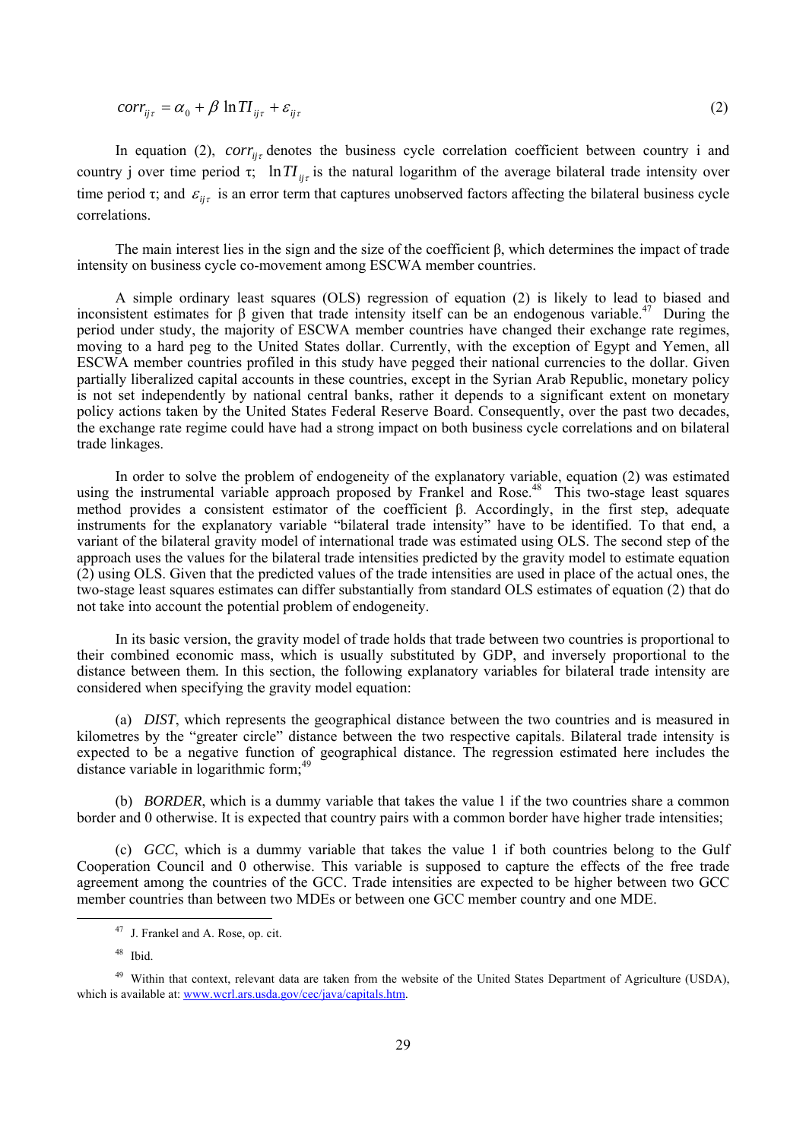$$
corr_{ij\tau} = \alpha_0 + \beta \ln T I_{ij\tau} + \varepsilon_{ij\tau}
$$
 (2)

In equation (2),  $corr_{ii\tau}$  denotes the business cycle correlation coefficient between country i and country j over time period  $\tau$ ;  $\ln T I_{ij\tau}$  is the natural logarithm of the average bilateral trade intensity over time period  $\tau$ ; and  $\varepsilon_{ii\tau}$  is an error term that captures unobserved factors affecting the bilateral business cycle correlations.

 The main interest lies in the sign and the size of the coefficient β, which determines the impact of trade intensity on business cycle co-movement among ESCWA member countries.

 A simple ordinary least squares (OLS) regression of equation (2) is likely to lead to biased and inconsistent estimates for  $\beta$  given that trade intensity itself can be an endogenous variable.<sup>47</sup> During the period under study, the majority of ESCWA member countries have changed their exchange rate regimes, moving to a hard peg to the United States dollar. Currently, with the exception of Egypt and Yemen, all ESCWA member countries profiled in this study have pegged their national currencies to the dollar. Given partially liberalized capital accounts in these countries, except in the Syrian Arab Republic, monetary policy is not set independently by national central banks, rather it depends to a significant extent on monetary policy actions taken by the United States Federal Reserve Board. Consequently, over the past two decades, the exchange rate regime could have had a strong impact on both business cycle correlations and on bilateral trade linkages.

 In order to solve the problem of endogeneity of the explanatory variable, equation (2) was estimated using the instrumental variable approach proposed by Frankel and Rose.<sup>48</sup> This two-stage least squares method provides a consistent estimator of the coefficient β. Accordingly, in the first step, adequate instruments for the explanatory variable "bilateral trade intensity" have to be identified. To that end, a variant of the bilateral gravity model of international trade was estimated using OLS. The second step of the approach uses the values for the bilateral trade intensities predicted by the gravity model to estimate equation (2) using OLS. Given that the predicted values of the trade intensities are used in place of the actual ones, the two-stage least squares estimates can differ substantially from standard OLS estimates of equation (2) that do not take into account the potential problem of endogeneity.

 In its basic version, the gravity model of trade holds that trade between two countries is proportional to their combined economic mass, which is usually substituted by GDP, and inversely proportional to the distance between them*.* In this section, the following explanatory variables for bilateral trade intensity are considered when specifying the gravity model equation:

 (a) *DIST*, which represents the geographical distance between the two countries and is measured in kilometres by the "greater circle" distance between the two respective capitals. Bilateral trade intensity is expected to be a negative function of geographical distance. The regression estimated here includes the distance variable in logarithmic form; $49$ 

 (b) *BORDER*, which is a dummy variable that takes the value 1 if the two countries share a common border and 0 otherwise. It is expected that country pairs with a common border have higher trade intensities;

 (c) *GCC*, which is a dummy variable that takes the value 1 if both countries belong to the Gulf Cooperation Council and 0 otherwise. This variable is supposed to capture the effects of the free trade agreement among the countries of the GCC. Trade intensities are expected to be higher between two GCC member countries than between two MDEs or between one GCC member country and one MDE.

 <sup>47</sup> J. Frankel and A. Rose, op. cit.

<sup>48</sup> Ibid.

<sup>&</sup>lt;sup>49</sup> Within that context, relevant data are taken from the website of the United States Department of Agriculture (USDA), which is available at: www.wcrl.ars.usda.gov/cec/java/capitals.htm.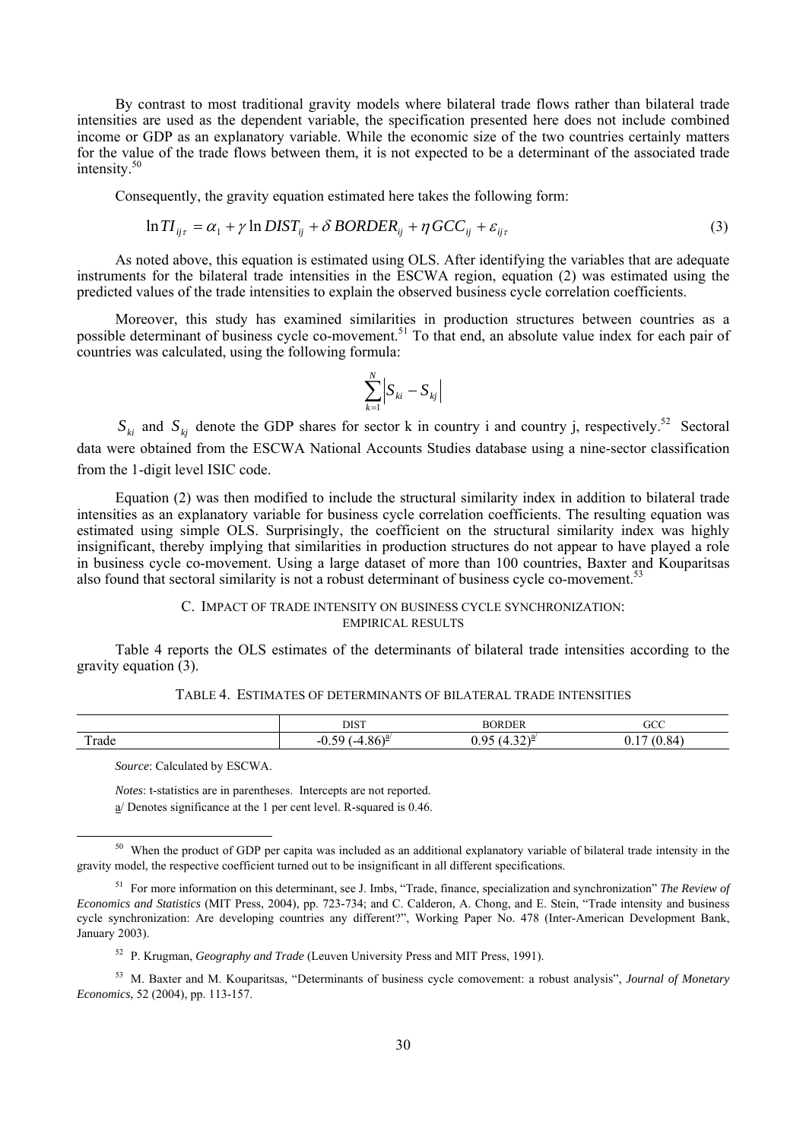By contrast to most traditional gravity models where bilateral trade flows rather than bilateral trade intensities are used as the dependent variable, the specification presented here does not include combined income or GDP as an explanatory variable. While the economic size of the two countries certainly matters for the value of the trade flows between them, it is not expected to be a determinant of the associated trade intensity.<sup>50</sup>

Consequently, the gravity equation estimated here takes the following form:

$$
\ln T I_{ij\tau} = \alpha_1 + \gamma \ln DIST_{ij} + \delta BORDER_{ij} + \eta GCC_{ij} + \varepsilon_{ij\tau}
$$
\n(3)

 As noted above, this equation is estimated using OLS. After identifying the variables that are adequate instruments for the bilateral trade intensities in the ESCWA region, equation (2) was estimated using the predicted values of the trade intensities to explain the observed business cycle correlation coefficients.

 Moreover, this study has examined similarities in production structures between countries as a possible determinant of business cycle co-movement.<sup>51</sup> To that end, an absolute value index for each pair of countries was calculated, using the following formula:

$$
\sum_{k=1}^N \Bigl|S_{ki}-S_{kj}\Bigr|
$$

 $S_{ki}$  and  $S_{kj}$  denote the GDP shares for sector k in country i and country j, respectively.<sup>52</sup> Sectoral data were obtained from the ESCWA National Accounts Studies database using a nine-sector classification from the 1-digit level ISIC code.

 Equation (2) was then modified to include the structural similarity index in addition to bilateral trade intensities as an explanatory variable for business cycle correlation coefficients. The resulting equation was estimated using simple OLS. Surprisingly, the coefficient on the structural similarity index was highly insignificant, thereby implying that similarities in production structures do not appear to have played a role in business cycle co-movement. Using a large dataset of more than 100 countries, Baxter and Kouparitsas also found that sectoral similarity is not a robust determinant of business cycle co-movement.<sup>53</sup>

## C. IMPACT OF TRADE INTENSITY ON BUSINESS CYCLE SYNCHRONIZATION: EMPIRICAL RESULTS

 Table 4 reports the OLS estimates of the determinants of bilateral trade intensities according to the gravity equation (3).

|       | <b>DIST</b>                                                                       | $\sim$ $\sim$ $\sim$ $\sim$ $\sim$<br>ж | GCC                   |  |
|-------|-----------------------------------------------------------------------------------|-----------------------------------------|-----------------------|--|
| Trade | $\left( \bigwedge \mathcal{U} \right)$<br>$\sim$<br>$\sim$<br>$-U. \sim$ .<br>.ov | $\sim$ $\sim$ $\sim$<br>va:<br>.        | $\Omega$<br>∼<br>v. i |  |

TABLE 4. ESTIMATES OF DETERMINANTS OF BILATERAL TRADE INTENSITIES

 *Source*: Calculated by ESCWA.

 *Notes*: t-statistics are in parentheses. Intercepts are not reported. a/ Denotes significance at the 1 per cent level. R-squared is 0.46.

<sup>&</sup>lt;sup>50</sup> When the product of GDP per capita was included as an additional explanatory variable of bilateral trade intensity in the gravity model, the respective coefficient turned out to be insignificant in all different specifications.

<sup>51</sup> For more information on this determinant, see J. Imbs, "Trade, finance, specialization and synchronization" *The Review of Economics and Statistics* (MIT Press, 2004), pp. 723-734; and C. Calderon, A. Chong, and E. Stein, "Trade intensity and business cycle synchronization: Are developing countries any different?", Working Paper No. 478 (Inter-American Development Bank, January 2003).

<sup>52</sup> P. Krugman, *Geography and Trade* (Leuven University Press and MIT Press, 1991).

<sup>53</sup> M. Baxter and M. Kouparitsas, "Determinants of business cycle comovement: a robust analysis", *Journal of Monetary Economics*, 52 (2004), pp. 113-157.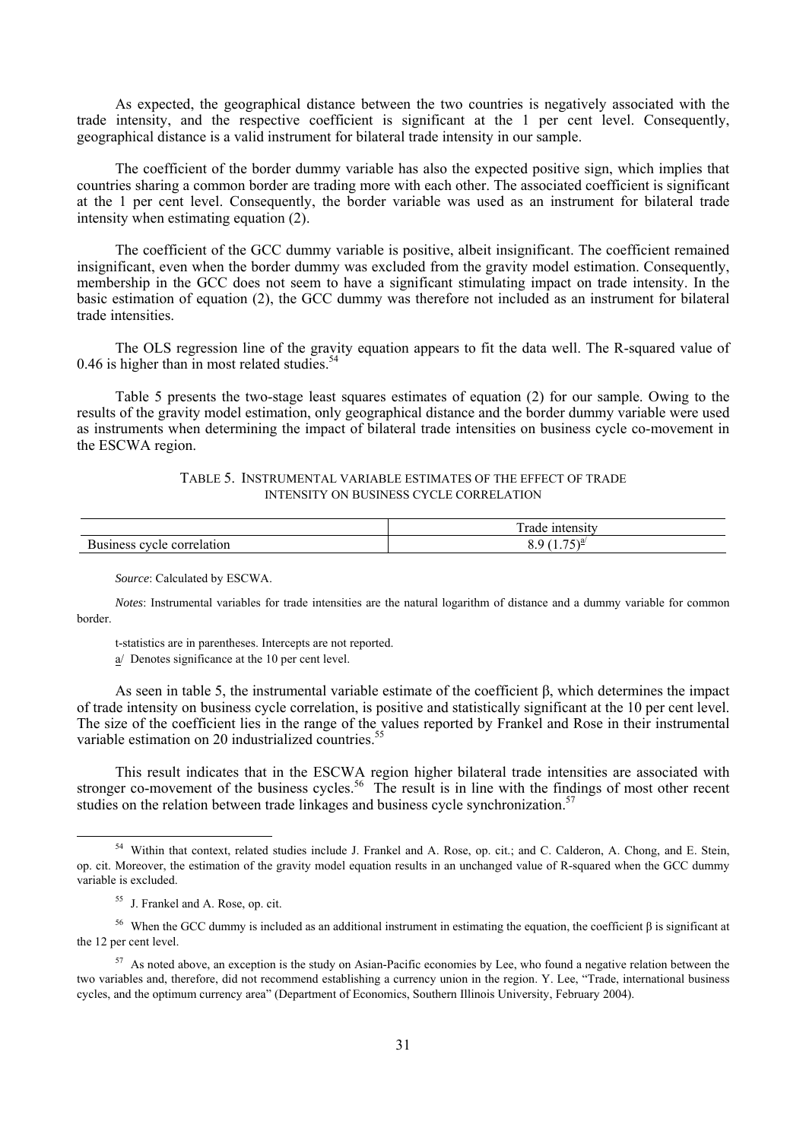As expected, the geographical distance between the two countries is negatively associated with the trade intensity, and the respective coefficient is significant at the 1 per cent level. Consequently, geographical distance is a valid instrument for bilateral trade intensity in our sample.

 The coefficient of the border dummy variable has also the expected positive sign, which implies that countries sharing a common border are trading more with each other. The associated coefficient is significant at the 1 per cent level. Consequently, the border variable was used as an instrument for bilateral trade intensity when estimating equation (2).

 The coefficient of the GCC dummy variable is positive, albeit insignificant. The coefficient remained insignificant, even when the border dummy was excluded from the gravity model estimation. Consequently, membership in the GCC does not seem to have a significant stimulating impact on trade intensity. In the basic estimation of equation (2), the GCC dummy was therefore not included as an instrument for bilateral trade intensities.

 The OLS regression line of the gravity equation appears to fit the data well. The R-squared value of 0.46 is higher than in most related studies. $54$ 

 Table 5 presents the two-stage least squares estimates of equation (2) for our sample. Owing to the results of the gravity model estimation, only geographical distance and the border dummy variable were used as instruments when determining the impact of bilateral trade intensities on business cycle co-movement in the ESCWA region.

#### TABLE 5. INSTRUMENTAL VARIABLE ESTIMATES OF THE EFFECT OF TRADE INTENSITY ON BUSINESS CYCLE CORRELATION

|                                      | $\sim$<br>rad.                                  |
|--------------------------------------|-------------------------------------------------|
| T.<br>$\sim$ week.<br>`IOL<br>$\sim$ | $- - -$<br>$\sim$<br>$\mathbf{v}$ .<br>. .<br>. |

 *Source*: Calculated by ESCWA.

 *Notes*: Instrumental variables for trade intensities are the natural logarithm of distance and a dummy variable for common border.

t-statistics are in parentheses. Intercepts are not reported.

a/ Denotes significance at the 10 per cent level.

 As seen in table 5, the instrumental variable estimate of the coefficient β, which determines the impact of trade intensity on business cycle correlation, is positive and statistically significant at the 10 per cent level. The size of the coefficient lies in the range of the values reported by Frankel and Rose in their instrumental variable estimation on 20 industrialized countries.<sup>55</sup>

 This result indicates that in the ESCWA region higher bilateral trade intensities are associated with stronger co-movement of the business cycles.<sup>56</sup> The result is in line with the findings of most other recent studies on the relation between trade linkages and business cycle synchronization.<sup>5</sup>

<sup>56</sup> When the GCC dummy is included as an additional instrument in estimating the equation, the coefficient  $\beta$  is significant at the 12 per cent level.

 <sup>54</sup> Within that context, related studies include J. Frankel and A. Rose, op. cit.; and C. Calderon, A. Chong, and E. Stein, op. cit. Moreover, the estimation of the gravity model equation results in an unchanged value of R-squared when the GCC dummy variable is excluded.

<sup>55</sup> J. Frankel and A. Rose, op. cit.

<sup>&</sup>lt;sup>57</sup> As noted above, an exception is the study on Asian-Pacific economies by Lee, who found a negative relation between the two variables and, therefore, did not recommend establishing a currency union in the region. Y. Lee, "Trade, international business cycles, and the optimum currency area" (Department of Economics, Southern Illinois University, February 2004).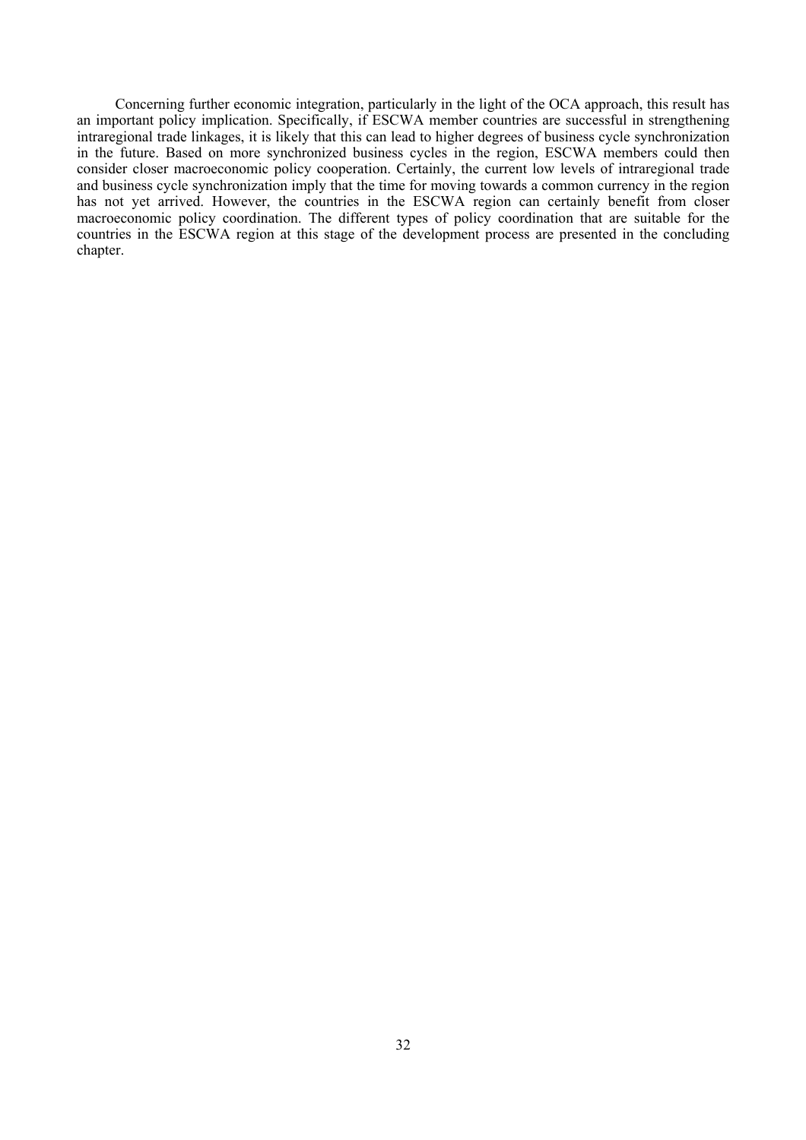Concerning further economic integration, particularly in the light of the OCA approach, this result has an important policy implication. Specifically, if ESCWA member countries are successful in strengthening intraregional trade linkages, it is likely that this can lead to higher degrees of business cycle synchronization in the future. Based on more synchronized business cycles in the region, ESCWA members could then consider closer macroeconomic policy cooperation. Certainly, the current low levels of intraregional trade and business cycle synchronization imply that the time for moving towards a common currency in the region has not yet arrived. However, the countries in the ESCWA region can certainly benefit from closer macroeconomic policy coordination. The different types of policy coordination that are suitable for the countries in the ESCWA region at this stage of the development process are presented in the concluding chapter.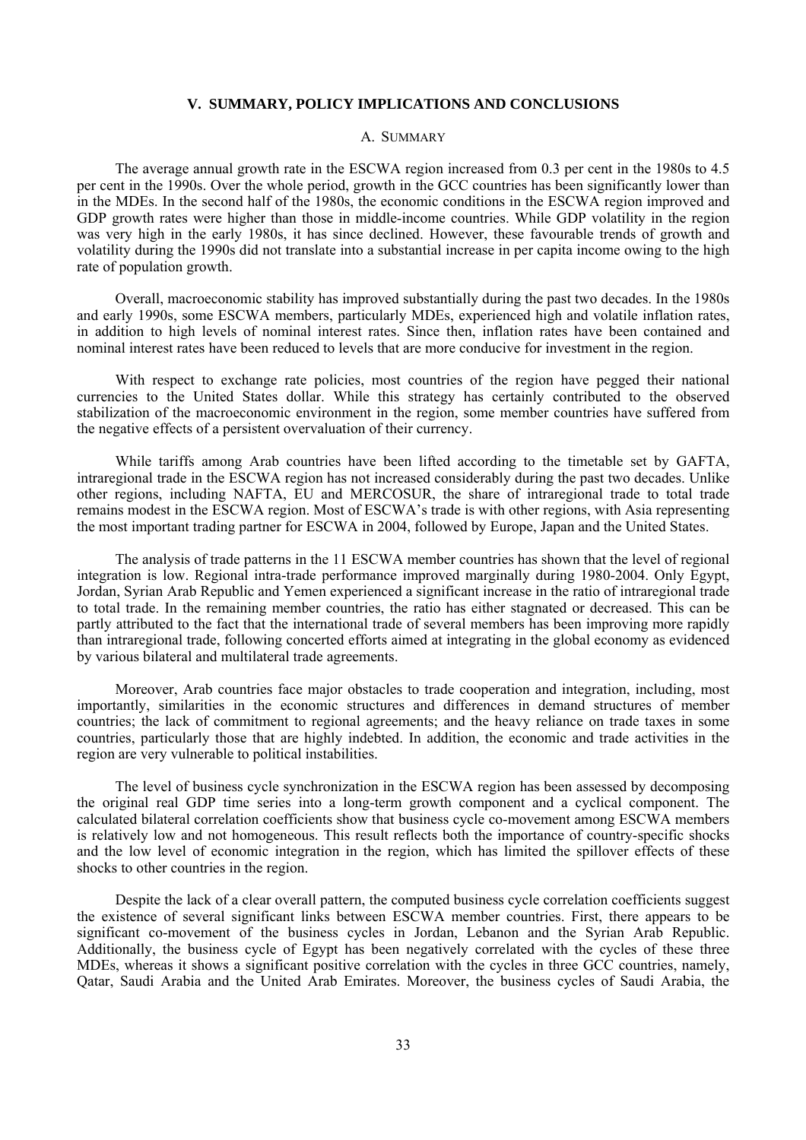#### **V. SUMMARY, POLICY IMPLICATIONS AND CONCLUSIONS**

#### A. SUMMARY

 The average annual growth rate in the ESCWA region increased from 0.3 per cent in the 1980s to 4.5 per cent in the 1990s. Over the whole period, growth in the GCC countries has been significantly lower than in the MDEs. In the second half of the 1980s, the economic conditions in the ESCWA region improved and GDP growth rates were higher than those in middle-income countries. While GDP volatility in the region was very high in the early 1980s, it has since declined. However, these favourable trends of growth and volatility during the 1990s did not translate into a substantial increase in per capita income owing to the high rate of population growth.

 Overall, macroeconomic stability has improved substantially during the past two decades. In the 1980s and early 1990s, some ESCWA members, particularly MDEs, experienced high and volatile inflation rates, in addition to high levels of nominal interest rates. Since then, inflation rates have been contained and nominal interest rates have been reduced to levels that are more conducive for investment in the region.

With respect to exchange rate policies, most countries of the region have pegged their national currencies to the United States dollar. While this strategy has certainly contributed to the observed stabilization of the macroeconomic environment in the region, some member countries have suffered from the negative effects of a persistent overvaluation of their currency.

 While tariffs among Arab countries have been lifted according to the timetable set by GAFTA, intraregional trade in the ESCWA region has not increased considerably during the past two decades. Unlike other regions, including NAFTA, EU and MERCOSUR, the share of intraregional trade to total trade remains modest in the ESCWA region. Most of ESCWA's trade is with other regions, with Asia representing the most important trading partner for ESCWA in 2004, followed by Europe, Japan and the United States.

 The analysis of trade patterns in the 11 ESCWA member countries has shown that the level of regional integration is low. Regional intra-trade performance improved marginally during 1980-2004. Only Egypt, Jordan, Syrian Arab Republic and Yemen experienced a significant increase in the ratio of intraregional trade to total trade. In the remaining member countries, the ratio has either stagnated or decreased. This can be partly attributed to the fact that the international trade of several members has been improving more rapidly than intraregional trade, following concerted efforts aimed at integrating in the global economy as evidenced by various bilateral and multilateral trade agreements.

 Moreover, Arab countries face major obstacles to trade cooperation and integration, including, most importantly, similarities in the economic structures and differences in demand structures of member countries; the lack of commitment to regional agreements; and the heavy reliance on trade taxes in some countries, particularly those that are highly indebted. In addition, the economic and trade activities in the region are very vulnerable to political instabilities.

 The level of business cycle synchronization in the ESCWA region has been assessed by decomposing the original real GDP time series into a long-term growth component and a cyclical component. The calculated bilateral correlation coefficients show that business cycle co-movement among ESCWA members is relatively low and not homogeneous. This result reflects both the importance of country-specific shocks and the low level of economic integration in the region, which has limited the spillover effects of these shocks to other countries in the region.

 Despite the lack of a clear overall pattern, the computed business cycle correlation coefficients suggest the existence of several significant links between ESCWA member countries. First, there appears to be significant co-movement of the business cycles in Jordan, Lebanon and the Syrian Arab Republic. Additionally, the business cycle of Egypt has been negatively correlated with the cycles of these three MDEs, whereas it shows a significant positive correlation with the cycles in three GCC countries, namely, Qatar, Saudi Arabia and the United Arab Emirates. Moreover, the business cycles of Saudi Arabia, the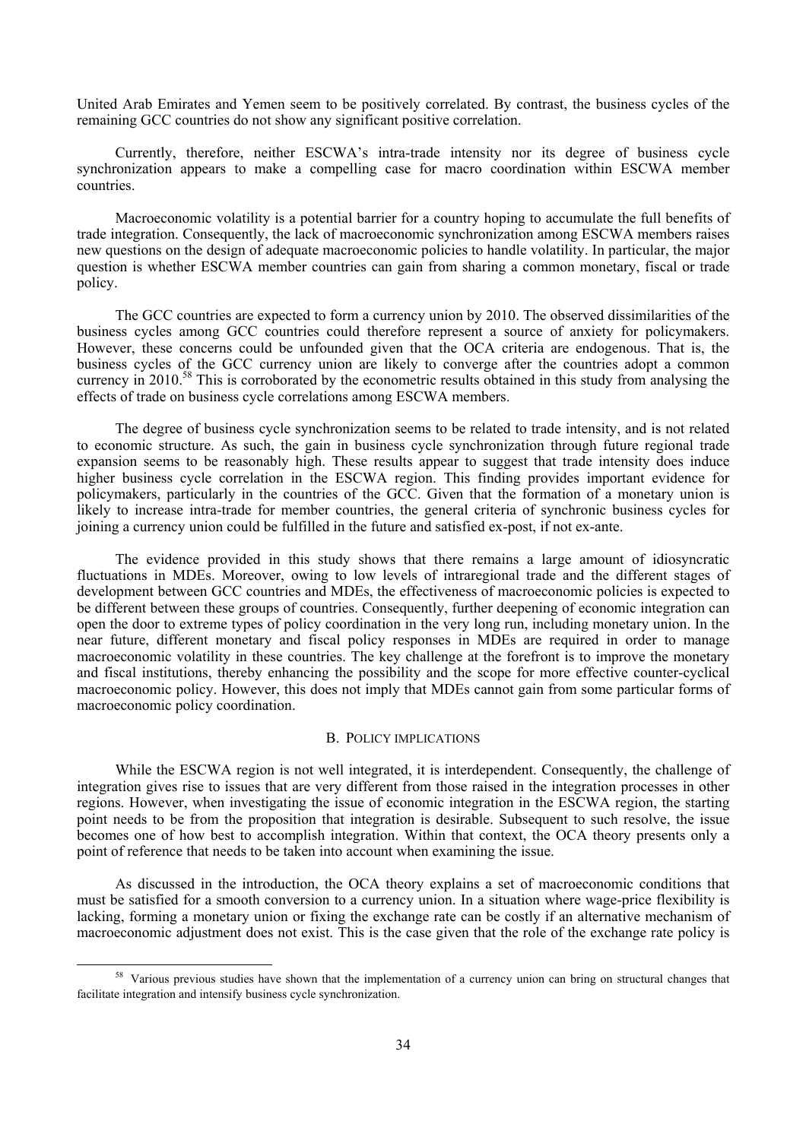United Arab Emirates and Yemen seem to be positively correlated. By contrast, the business cycles of the remaining GCC countries do not show any significant positive correlation.

 Currently, therefore, neither ESCWA's intra-trade intensity nor its degree of business cycle synchronization appears to make a compelling case for macro coordination within ESCWA member countries.

 Macroeconomic volatility is a potential barrier for a country hoping to accumulate the full benefits of trade integration. Consequently, the lack of macroeconomic synchronization among ESCWA members raises new questions on the design of adequate macroeconomic policies to handle volatility. In particular, the major question is whether ESCWA member countries can gain from sharing a common monetary, fiscal or trade policy.

 The GCC countries are expected to form a currency union by 2010. The observed dissimilarities of the business cycles among GCC countries could therefore represent a source of anxiety for policymakers. However, these concerns could be unfounded given that the OCA criteria are endogenous. That is, the business cycles of the GCC currency union are likely to converge after the countries adopt a common currency in 2010.<sup>58</sup> This is corroborated by the econometric results obtained in this study from analysing the effects of trade on business cycle correlations among ESCWA members.

 The degree of business cycle synchronization seems to be related to trade intensity, and is not related to economic structure. As such, the gain in business cycle synchronization through future regional trade expansion seems to be reasonably high. These results appear to suggest that trade intensity does induce higher business cycle correlation in the ESCWA region. This finding provides important evidence for policymakers, particularly in the countries of the GCC. Given that the formation of a monetary union is likely to increase intra-trade for member countries, the general criteria of synchronic business cycles for joining a currency union could be fulfilled in the future and satisfied ex-post, if not ex-ante.

 The evidence provided in this study shows that there remains a large amount of idiosyncratic fluctuations in MDEs. Moreover, owing to low levels of intraregional trade and the different stages of development between GCC countries and MDEs, the effectiveness of macroeconomic policies is expected to be different between these groups of countries. Consequently, further deepening of economic integration can open the door to extreme types of policy coordination in the very long run, including monetary union. In the near future, different monetary and fiscal policy responses in MDEs are required in order to manage macroeconomic volatility in these countries. The key challenge at the forefront is to improve the monetary and fiscal institutions, thereby enhancing the possibility and the scope for more effective counter-cyclical macroeconomic policy. However, this does not imply that MDEs cannot gain from some particular forms of macroeconomic policy coordination.

#### B. POLICY IMPLICATIONS

While the ESCWA region is not well integrated, it is interdependent. Consequently, the challenge of integration gives rise to issues that are very different from those raised in the integration processes in other regions. However, when investigating the issue of economic integration in the ESCWA region, the starting point needs to be from the proposition that integration is desirable. Subsequent to such resolve, the issue becomes one of how best to accomplish integration. Within that context, the OCA theory presents only a point of reference that needs to be taken into account when examining the issue.

 As discussed in the introduction, the OCA theory explains a set of macroeconomic conditions that must be satisfied for a smooth conversion to a currency union. In a situation where wage-price flexibility is lacking, forming a monetary union or fixing the exchange rate can be costly if an alternative mechanism of macroeconomic adjustment does not exist. This is the case given that the role of the exchange rate policy is

<sup>&</sup>lt;sup>58</sup> Various previous studies have shown that the implementation of a currency union can bring on structural changes that facilitate integration and intensify business cycle synchronization.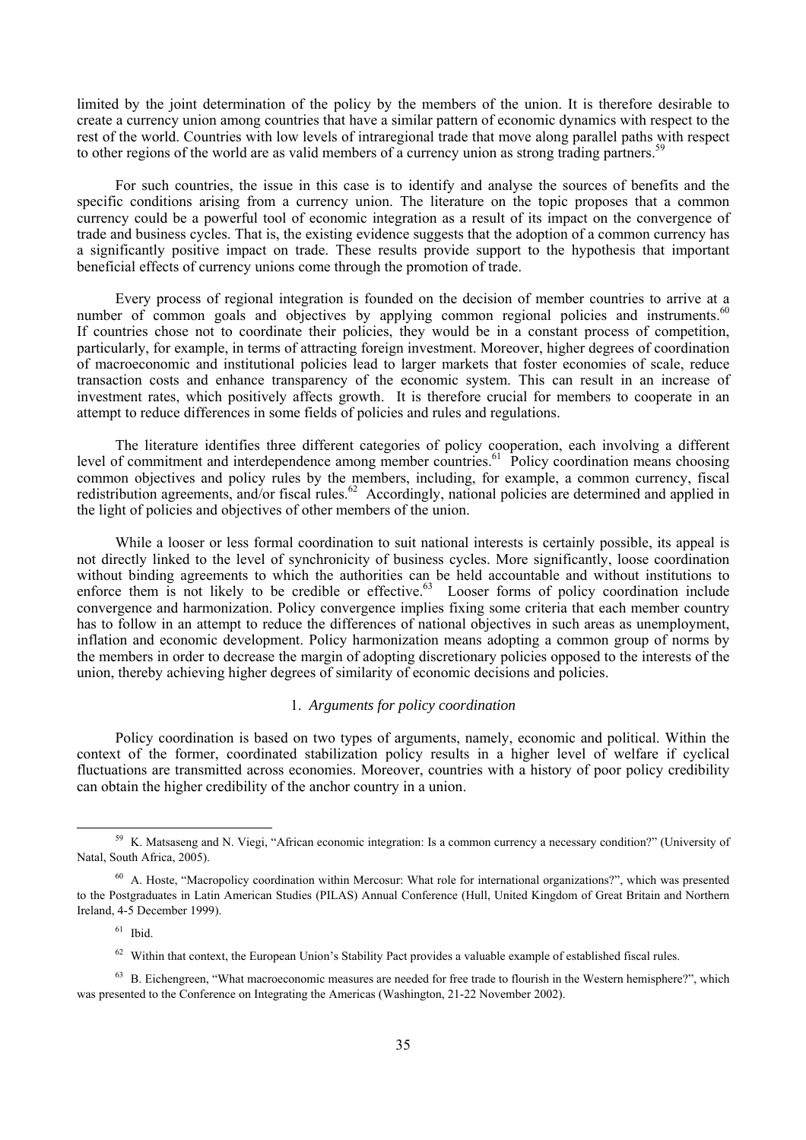limited by the joint determination of the policy by the members of the union. It is therefore desirable to create a currency union among countries that have a similar pattern of economic dynamics with respect to the rest of the world. Countries with low levels of intraregional trade that move along parallel paths with respect to other regions of the world are as valid members of a currency union as strong trading partners.<sup>5</sup>

 For such countries, the issue in this case is to identify and analyse the sources of benefits and the specific conditions arising from a currency union. The literature on the topic proposes that a common currency could be a powerful tool of economic integration as a result of its impact on the convergence of trade and business cycles. That is, the existing evidence suggests that the adoption of a common currency has a significantly positive impact on trade. These results provide support to the hypothesis that important beneficial effects of currency unions come through the promotion of trade.

 Every process of regional integration is founded on the decision of member countries to arrive at a number of common goals and objectives by applying common regional policies and instruments.<sup>60</sup> If countries chose not to coordinate their policies, they would be in a constant process of competition, particularly, for example, in terms of attracting foreign investment. Moreover, higher degrees of coordination of macroeconomic and institutional policies lead to larger markets that foster economies of scale, reduce transaction costs and enhance transparency of the economic system. This can result in an increase of investment rates, which positively affects growth. It is therefore crucial for members to cooperate in an attempt to reduce differences in some fields of policies and rules and regulations.

 The literature identifies three different categories of policy cooperation, each involving a different level of commitment and interdependence among member countries.<sup>61</sup> Policy coordination means choosing common objectives and policy rules by the members, including, for example, a common currency, fiscal redistribution agreements, and/or fiscal rules.<sup>62</sup> Accordingly, national policies are determined and applied in the light of policies and objectives of other members of the union.

 While a looser or less formal coordination to suit national interests is certainly possible, its appeal is not directly linked to the level of synchronicity of business cycles. More significantly, loose coordination without binding agreements to which the authorities can be held accountable and without institutions to enforce them is not likely to be credible or effective.<sup>63</sup> Looser forms of policy coordination include convergence and harmonization. Policy convergence implies fixing some criteria that each member country has to follow in an attempt to reduce the differences of national objectives in such areas as unemployment, inflation and economic development. Policy harmonization means adopting a common group of norms by the members in order to decrease the margin of adopting discretionary policies opposed to the interests of the union, thereby achieving higher degrees of similarity of economic decisions and policies.

#### 1. *Arguments for policy coordination*

 Policy coordination is based on two types of arguments, namely, economic and political. Within the context of the former, coordinated stabilization policy results in a higher level of welfare if cyclical fluctuations are transmitted across economies. Moreover, countries with a history of poor policy credibility can obtain the higher credibility of the anchor country in a union.

<sup>&</sup>lt;sup>59</sup> K. Matsaseng and N. Viegi, "African economic integration: Is a common currency a necessary condition?" (University of Natal, South Africa, 2005).

<sup>60</sup> A. Hoste, "Macropolicy coordination within Mercosur: What role for international organizations?", which was presented to the Postgraduates in Latin American Studies (PILAS) Annual Conference (Hull, United Kingdom of Great Britain and Northern Ireland, 4-5 December 1999).

 $61$  Ibid.

<sup>&</sup>lt;sup>62</sup> Within that context, the European Union's Stability Pact provides a valuable example of established fiscal rules.

<sup>&</sup>lt;sup>63</sup> B. Eichengreen, "What macroeconomic measures are needed for free trade to flourish in the Western hemisphere?", which was presented to the Conference on Integrating the Americas (Washington, 21-22 November 2002).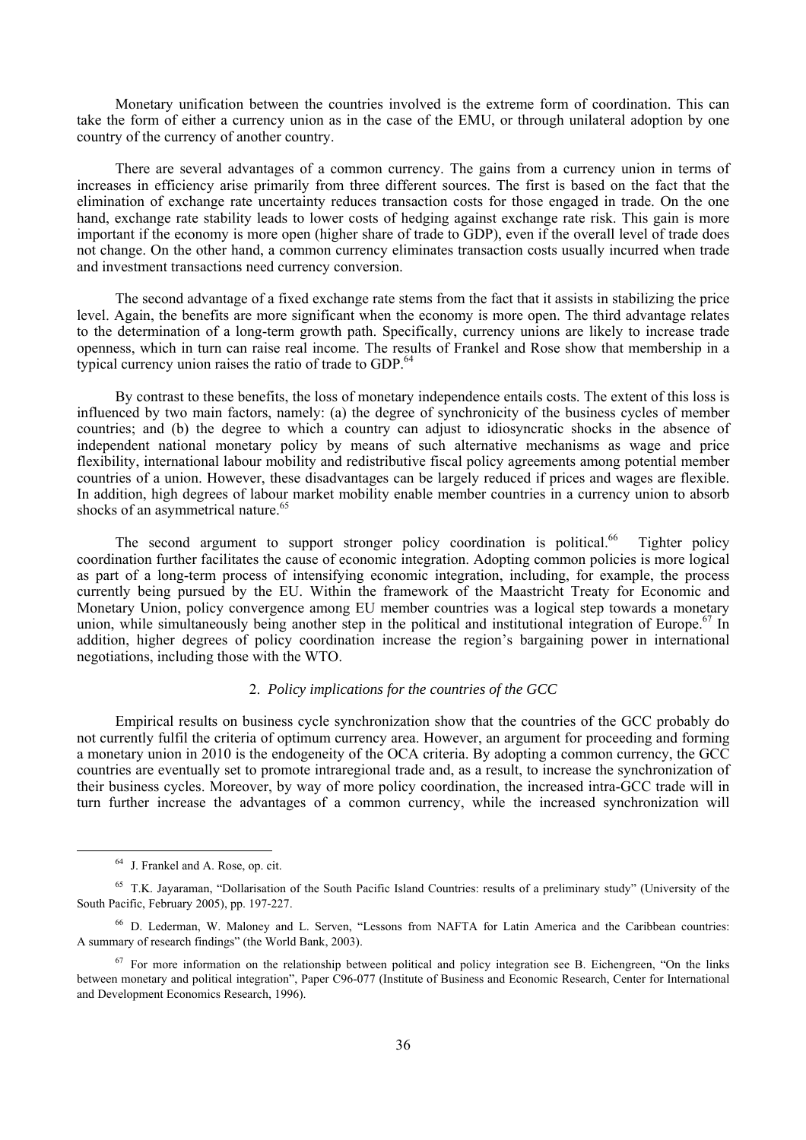Monetary unification between the countries involved is the extreme form of coordination. This can take the form of either a currency union as in the case of the EMU, or through unilateral adoption by one country of the currency of another country.

 There are several advantages of a common currency. The gains from a currency union in terms of increases in efficiency arise primarily from three different sources. The first is based on the fact that the elimination of exchange rate uncertainty reduces transaction costs for those engaged in trade. On the one hand, exchange rate stability leads to lower costs of hedging against exchange rate risk. This gain is more important if the economy is more open (higher share of trade to GDP), even if the overall level of trade does not change. On the other hand, a common currency eliminates transaction costs usually incurred when trade and investment transactions need currency conversion.

 The second advantage of a fixed exchange rate stems from the fact that it assists in stabilizing the price level. Again, the benefits are more significant when the economy is more open. The third advantage relates to the determination of a long-term growth path. Specifically, currency unions are likely to increase trade openness, which in turn can raise real income. The results of Frankel and Rose show that membership in a typical currency union raises the ratio of trade to GDP.<sup>64</sup>

 By contrast to these benefits, the loss of monetary independence entails costs. The extent of this loss is influenced by two main factors, namely: (a) the degree of synchronicity of the business cycles of member countries; and (b) the degree to which a country can adjust to idiosyncratic shocks in the absence of independent national monetary policy by means of such alternative mechanisms as wage and price flexibility, international labour mobility and redistributive fiscal policy agreements among potential member countries of a union. However, these disadvantages can be largely reduced if prices and wages are flexible. In addition, high degrees of labour market mobility enable member countries in a currency union to absorb shocks of an asymmetrical nature.<sup>65</sup>

The second argument to support stronger policy coordination is political.<sup>66</sup> Tighter policy coordination further facilitates the cause of economic integration. Adopting common policies is more logical as part of a long-term process of intensifying economic integration, including, for example, the process currently being pursued by the EU. Within the framework of the Maastricht Treaty for Economic and Monetary Union, policy convergence among EU member countries was a logical step towards a monetary union, while simultaneously being another step in the political and institutional integration of Europe.<sup>67</sup> In addition, higher degrees of policy coordination increase the region's bargaining power in international negotiations, including those with the WTO.

# 2. *Policy implications for the countries of the GCC*

 Empirical results on business cycle synchronization show that the countries of the GCC probably do not currently fulfil the criteria of optimum currency area. However, an argument for proceeding and forming a monetary union in 2010 is the endogeneity of the OCA criteria. By adopting a common currency, the GCC countries are eventually set to promote intraregional trade and, as a result, to increase the synchronization of their business cycles. Moreover, by way of more policy coordination, the increased intra-GCC trade will in turn further increase the advantages of a common currency, while the increased synchronization will

 <sup>64</sup> J. Frankel and A. Rose, op. cit.

 $<sup>65</sup>$  T.K. Jayaraman, "Dollarisation of the South Pacific Island Countries: results of a preliminary study" (University of the</sup> South Pacific, February 2005), pp. 197-227.

<sup>66</sup> D. Lederman, W. Maloney and L. Serven, "Lessons from NAFTA for Latin America and the Caribbean countries: A summary of research findings" (the World Bank, 2003).

<sup>&</sup>lt;sup>67</sup> For more information on the relationship between political and policy integration see B. Eichengreen, "On the links between monetary and political integration", Paper C96-077 (Institute of Business and Economic Research, Center for International and Development Economics Research, 1996).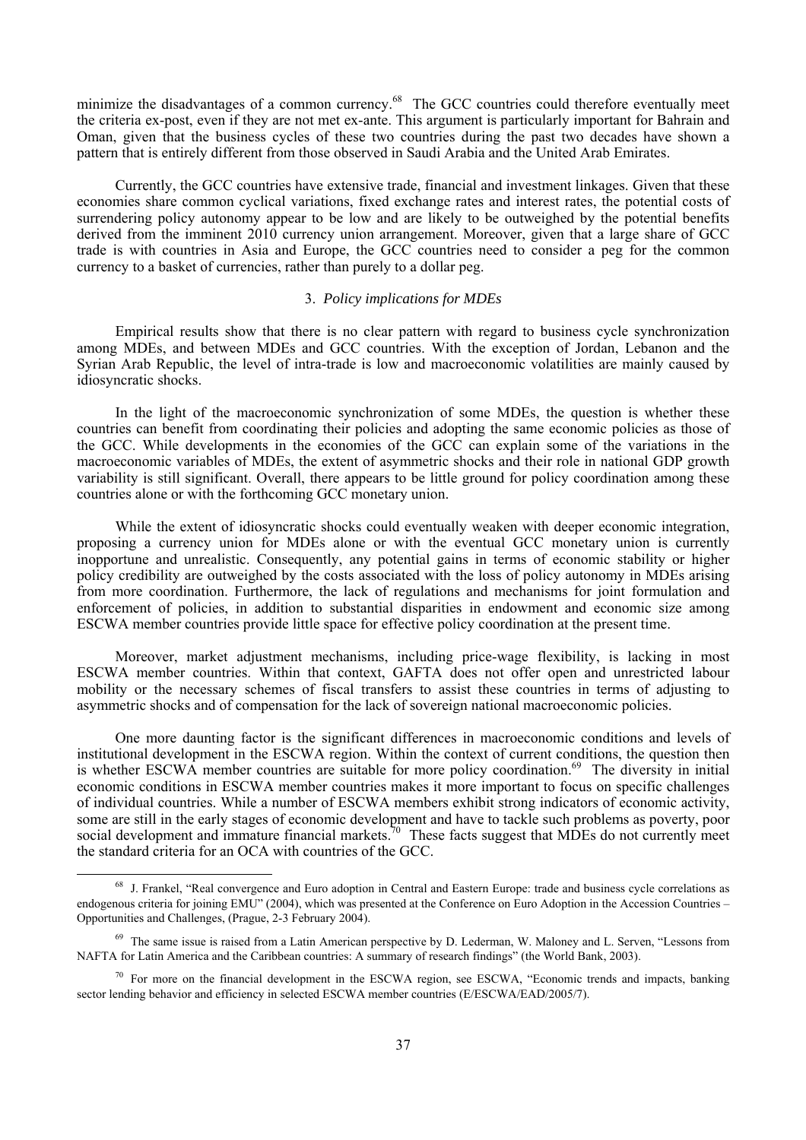minimize the disadvantages of a common currency.<sup>68</sup> The GCC countries could therefore eventually meet the criteria ex-post, even if they are not met ex-ante. This argument is particularly important for Bahrain and Oman, given that the business cycles of these two countries during the past two decades have shown a pattern that is entirely different from those observed in Saudi Arabia and the United Arab Emirates.

 Currently, the GCC countries have extensive trade, financial and investment linkages. Given that these economies share common cyclical variations, fixed exchange rates and interest rates, the potential costs of surrendering policy autonomy appear to be low and are likely to be outweighed by the potential benefits derived from the imminent 2010 currency union arrangement. Moreover, given that a large share of GCC trade is with countries in Asia and Europe, the GCC countries need to consider a peg for the common currency to a basket of currencies, rather than purely to a dollar peg.

#### 3. *Policy implications for MDEs*

 Empirical results show that there is no clear pattern with regard to business cycle synchronization among MDEs, and between MDEs and GCC countries. With the exception of Jordan, Lebanon and the Syrian Arab Republic, the level of intra-trade is low and macroeconomic volatilities are mainly caused by idiosyncratic shocks.

 In the light of the macroeconomic synchronization of some MDEs, the question is whether these countries can benefit from coordinating their policies and adopting the same economic policies as those of the GCC. While developments in the economies of the GCC can explain some of the variations in the macroeconomic variables of MDEs, the extent of asymmetric shocks and their role in national GDP growth variability is still significant. Overall, there appears to be little ground for policy coordination among these countries alone or with the forthcoming GCC monetary union.

 While the extent of idiosyncratic shocks could eventually weaken with deeper economic integration, proposing a currency union for MDEs alone or with the eventual GCC monetary union is currently inopportune and unrealistic. Consequently, any potential gains in terms of economic stability or higher policy credibility are outweighed by the costs associated with the loss of policy autonomy in MDEs arising from more coordination. Furthermore, the lack of regulations and mechanisms for joint formulation and enforcement of policies, in addition to substantial disparities in endowment and economic size among ESCWA member countries provide little space for effective policy coordination at the present time.

 Moreover, market adjustment mechanisms, including price-wage flexibility, is lacking in most ESCWA member countries. Within that context, GAFTA does not offer open and unrestricted labour mobility or the necessary schemes of fiscal transfers to assist these countries in terms of adjusting to asymmetric shocks and of compensation for the lack of sovereign national macroeconomic policies.

 One more daunting factor is the significant differences in macroeconomic conditions and levels of institutional development in the ESCWA region. Within the context of current conditions, the question then is whether ESCWA member countries are suitable for more policy coordination.<sup>69</sup> The diversity in initial economic conditions in ESCWA member countries makes it more important to focus on specific challenges of individual countries. While a number of ESCWA members exhibit strong indicators of economic activity, some are still in the early stages of economic development and have to tackle such problems as poverty, poor social development and immature financial markets.<sup>70</sup> These facts suggest that MDEs do not currently meet the standard criteria for an OCA with countries of the GCC.

<sup>&</sup>lt;sup>68</sup> J. Frankel, "Real convergence and Euro adoption in Central and Eastern Europe: trade and business cycle correlations as endogenous criteria for joining EMU" (2004), which was presented at the Conference on Euro Adoption in the Accession Countries – Opportunities and Challenges, (Prague, 2-3 February 2004).

<sup>&</sup>lt;sup>69</sup> The same issue is raised from a Latin American perspective by D. Lederman, W. Maloney and L. Serven, "Lessons from NAFTA for Latin America and the Caribbean countries: A summary of research findings" (the World Bank, 2003).

<sup>&</sup>lt;sup>70</sup> For more on the financial development in the ESCWA region, see ESCWA, "Economic trends and impacts, banking sector lending behavior and efficiency in selected ESCWA member countries (E/ESCWA/EAD/2005/7).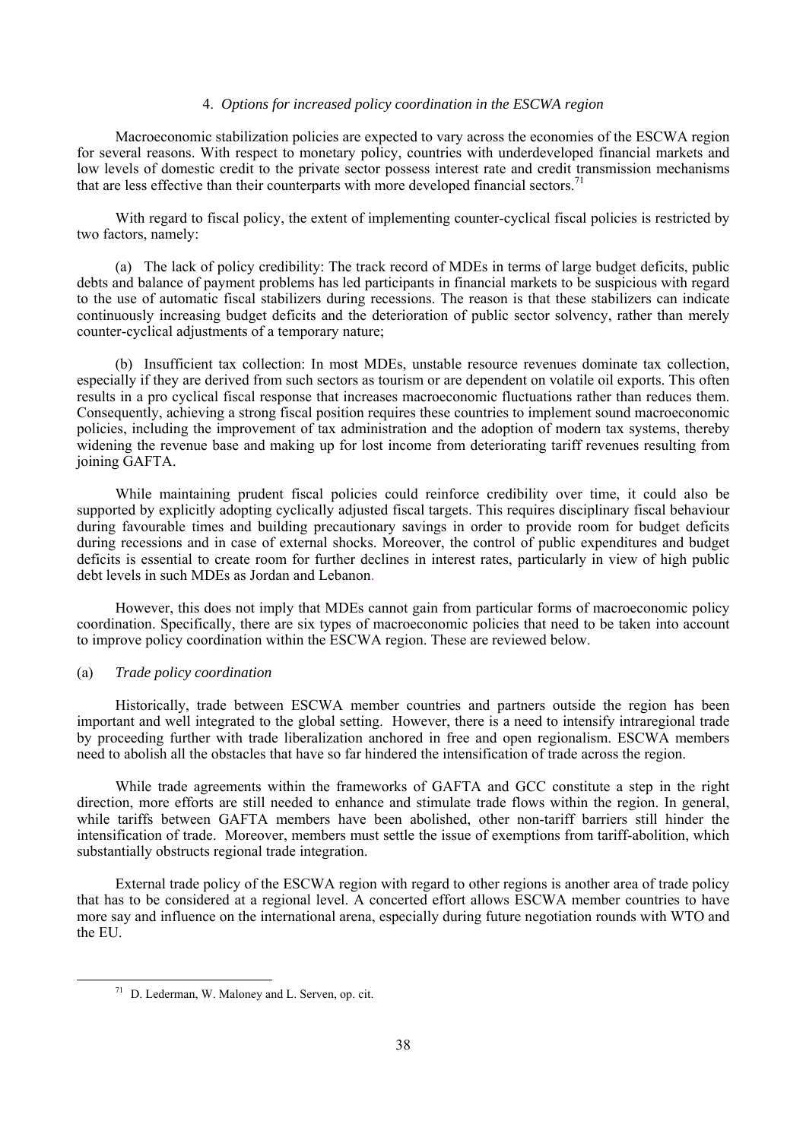#### 4. *Options for increased policy coordination in the ESCWA region*

 Macroeconomic stabilization policies are expected to vary across the economies of the ESCWA region for several reasons. With respect to monetary policy, countries with underdeveloped financial markets and low levels of domestic credit to the private sector possess interest rate and credit transmission mechanisms that are less effective than their counterparts with more developed financial sectors.<sup>71</sup>

With regard to fiscal policy, the extent of implementing counter-cyclical fiscal policies is restricted by two factors, namely:

 (a) The lack of policy credibility: The track record of MDEs in terms of large budget deficits, public debts and balance of payment problems has led participants in financial markets to be suspicious with regard to the use of automatic fiscal stabilizers during recessions. The reason is that these stabilizers can indicate continuously increasing budget deficits and the deterioration of public sector solvency, rather than merely counter-cyclical adjustments of a temporary nature;

 (b) Insufficient tax collection: In most MDEs, unstable resource revenues dominate tax collection, especially if they are derived from such sectors as tourism or are dependent on volatile oil exports. This often results in a pro cyclical fiscal response that increases macroeconomic fluctuations rather than reduces them. Consequently, achieving a strong fiscal position requires these countries to implement sound macroeconomic policies, including the improvement of tax administration and the adoption of modern tax systems, thereby widening the revenue base and making up for lost income from deteriorating tariff revenues resulting from joining GAFTA.

 While maintaining prudent fiscal policies could reinforce credibility over time, it could also be supported by explicitly adopting cyclically adjusted fiscal targets. This requires disciplinary fiscal behaviour during favourable times and building precautionary savings in order to provide room for budget deficits during recessions and in case of external shocks. Moreover, the control of public expenditures and budget deficits is essential to create room for further declines in interest rates, particularly in view of high public debt levels in such MDEs as Jordan and Lebanon.

 However, this does not imply that MDEs cannot gain from particular forms of macroeconomic policy coordination. Specifically, there are six types of macroeconomic policies that need to be taken into account to improve policy coordination within the ESCWA region. These are reviewed below.

#### (a) *Trade policy coordination*

 Historically, trade between ESCWA member countries and partners outside the region has been important and well integrated to the global setting. However, there is a need to intensify intraregional trade by proceeding further with trade liberalization anchored in free and open regionalism. ESCWA members need to abolish all the obstacles that have so far hindered the intensification of trade across the region.

 While trade agreements within the frameworks of GAFTA and GCC constitute a step in the right direction, more efforts are still needed to enhance and stimulate trade flows within the region. In general, while tariffs between GAFTA members have been abolished, other non-tariff barriers still hinder the intensification of trade. Moreover, members must settle the issue of exemptions from tariff-abolition, which substantially obstructs regional trade integration.

 External trade policy of the ESCWA region with regard to other regions is another area of trade policy that has to be considered at a regional level. A concerted effort allows ESCWA member countries to have more say and influence on the international arena, especially during future negotiation rounds with WTO and the EU.

 <sup>71</sup> D. Lederman, W. Maloney and L. Serven, op. cit.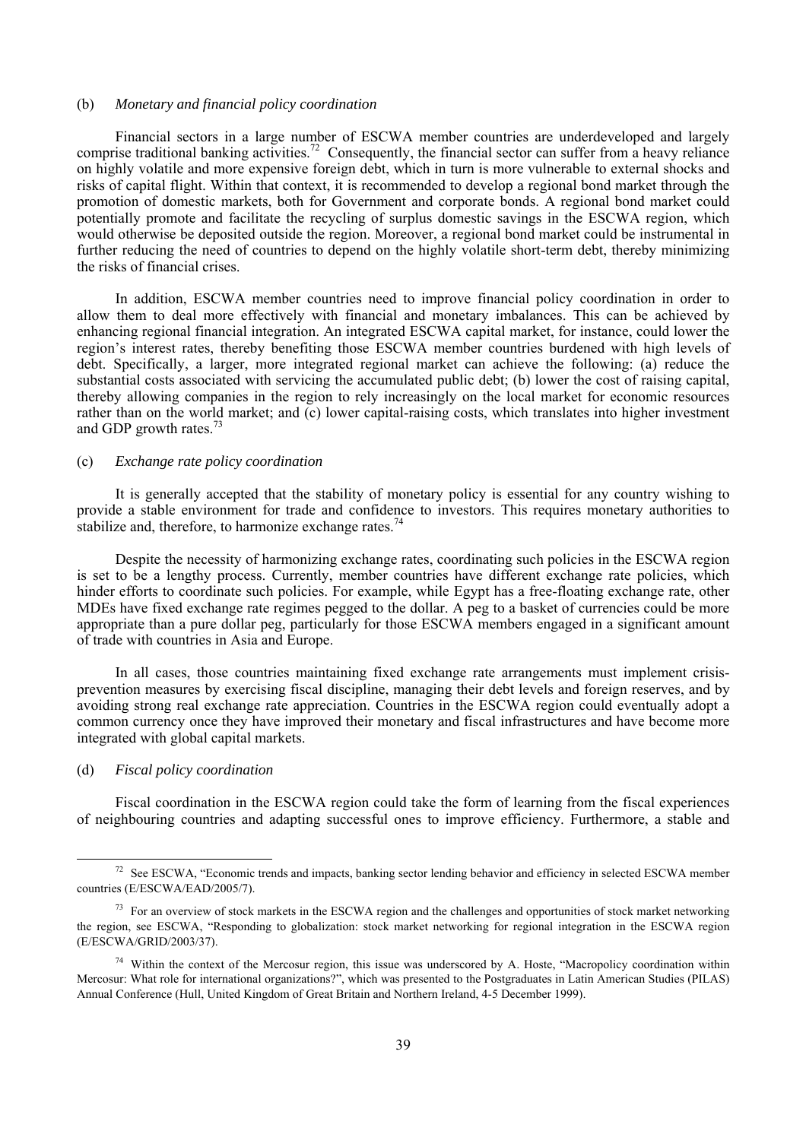#### (b) *Monetary and financial policy coordination*

 Financial sectors in a large number of ESCWA member countries are underdeveloped and largely comprise traditional banking activities.<sup>72</sup> Consequently, the financial sector can suffer from a heavy reliance on highly volatile and more expensive foreign debt, which in turn is more vulnerable to external shocks and risks of capital flight. Within that context, it is recommended to develop a regional bond market through the promotion of domestic markets, both for Government and corporate bonds. A regional bond market could potentially promote and facilitate the recycling of surplus domestic savings in the ESCWA region, which would otherwise be deposited outside the region. Moreover, a regional bond market could be instrumental in further reducing the need of countries to depend on the highly volatile short-term debt, thereby minimizing the risks of financial crises.

 In addition, ESCWA member countries need to improve financial policy coordination in order to allow them to deal more effectively with financial and monetary imbalances. This can be achieved by enhancing regional financial integration. An integrated ESCWA capital market, for instance, could lower the region's interest rates, thereby benefiting those ESCWA member countries burdened with high levels of debt. Specifically, a larger, more integrated regional market can achieve the following: (a) reduce the substantial costs associated with servicing the accumulated public debt; (b) lower the cost of raising capital, thereby allowing companies in the region to rely increasingly on the local market for economic resources rather than on the world market; and (c) lower capital-raising costs, which translates into higher investment and GDP growth rates.73

#### (c) *Exchange rate policy coordination*

 It is generally accepted that the stability of monetary policy is essential for any country wishing to provide a stable environment for trade and confidence to investors. This requires monetary authorities to stabilize and, therefore, to harmonize exchange rates.<sup>74</sup>

 Despite the necessity of harmonizing exchange rates, coordinating such policies in the ESCWA region is set to be a lengthy process. Currently, member countries have different exchange rate policies, which hinder efforts to coordinate such policies. For example, while Egypt has a free-floating exchange rate, other MDEs have fixed exchange rate regimes pegged to the dollar. A peg to a basket of currencies could be more appropriate than a pure dollar peg, particularly for those ESCWA members engaged in a significant amount of trade with countries in Asia and Europe.

 In all cases, those countries maintaining fixed exchange rate arrangements must implement crisisprevention measures by exercising fiscal discipline, managing their debt levels and foreign reserves, and by avoiding strong real exchange rate appreciation. Countries in the ESCWA region could eventually adopt a common currency once they have improved their monetary and fiscal infrastructures and have become more integrated with global capital markets.

#### (d) *Fiscal policy coordination*

 Fiscal coordination in the ESCWA region could take the form of learning from the fiscal experiences of neighbouring countries and adapting successful ones to improve efficiency. Furthermore, a stable and

<sup>&</sup>lt;sup>72</sup> See ESCWA, "Economic trends and impacts, banking sector lending behavior and efficiency in selected ESCWA member countries (E/ESCWA/EAD/2005/7).

<sup>&</sup>lt;sup>73</sup> For an overview of stock markets in the ESCWA region and the challenges and opportunities of stock market networking the region, see ESCWA, "Responding to globalization: stock market networking for regional integration in the ESCWA region (E/ESCWA/GRID/2003/37).

<sup>&</sup>lt;sup>74</sup> Within the context of the Mercosur region, this issue was underscored by A. Hoste, "Macropolicy coordination within Mercosur: What role for international organizations?", which was presented to the Postgraduates in Latin American Studies (PILAS) Annual Conference (Hull, United Kingdom of Great Britain and Northern Ireland, 4-5 December 1999).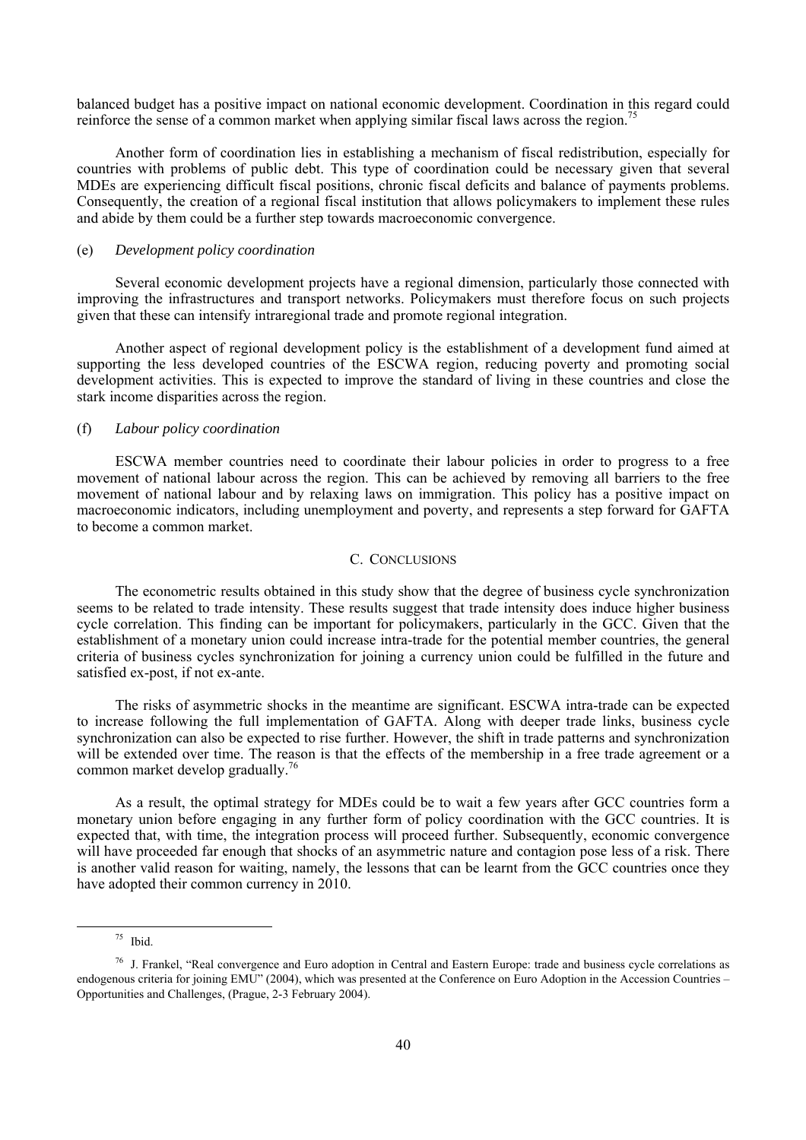balanced budget has a positive impact on national economic development. Coordination in this regard could reinforce the sense of a common market when applying similar fiscal laws across the region.<sup>75</sup>

 Another form of coordination lies in establishing a mechanism of fiscal redistribution, especially for countries with problems of public debt. This type of coordination could be necessary given that several MDEs are experiencing difficult fiscal positions, chronic fiscal deficits and balance of payments problems. Consequently, the creation of a regional fiscal institution that allows policymakers to implement these rules and abide by them could be a further step towards macroeconomic convergence.

#### (e) *Development policy coordination*

 Several economic development projects have a regional dimension, particularly those connected with improving the infrastructures and transport networks. Policymakers must therefore focus on such projects given that these can intensify intraregional trade and promote regional integration.

 Another aspect of regional development policy is the establishment of a development fund aimed at supporting the less developed countries of the ESCWA region, reducing poverty and promoting social development activities. This is expected to improve the standard of living in these countries and close the stark income disparities across the region.

#### (f) *Labour policy coordination*

 ESCWA member countries need to coordinate their labour policies in order to progress to a free movement of national labour across the region. This can be achieved by removing all barriers to the free movement of national labour and by relaxing laws on immigration. This policy has a positive impact on macroeconomic indicators, including unemployment and poverty, and represents a step forward for GAFTA to become a common market.

#### C. CONCLUSIONS

 The econometric results obtained in this study show that the degree of business cycle synchronization seems to be related to trade intensity. These results suggest that trade intensity does induce higher business cycle correlation. This finding can be important for policymakers, particularly in the GCC. Given that the establishment of a monetary union could increase intra-trade for the potential member countries, the general criteria of business cycles synchronization for joining a currency union could be fulfilled in the future and satisfied ex-post, if not ex-ante.

 The risks of asymmetric shocks in the meantime are significant. ESCWA intra-trade can be expected to increase following the full implementation of GAFTA. Along with deeper trade links, business cycle synchronization can also be expected to rise further. However, the shift in trade patterns and synchronization will be extended over time. The reason is that the effects of the membership in a free trade agreement or a common market develop gradually.<sup>76</sup>

 As a result, the optimal strategy for MDEs could be to wait a few years after GCC countries form a monetary union before engaging in any further form of policy coordination with the GCC countries. It is expected that, with time, the integration process will proceed further. Subsequently, economic convergence will have proceeded far enough that shocks of an asymmetric nature and contagion pose less of a risk. There is another valid reason for waiting, namely, the lessons that can be learnt from the GCC countries once they have adopted their common currency in 2010.

 $75$  Ibid.

 $76$  J. Frankel, "Real convergence and Euro adoption in Central and Eastern Europe: trade and business cycle correlations as endogenous criteria for joining EMU" (2004), which was presented at the Conference on Euro Adoption in the Accession Countries – Opportunities and Challenges, (Prague, 2-3 February 2004).